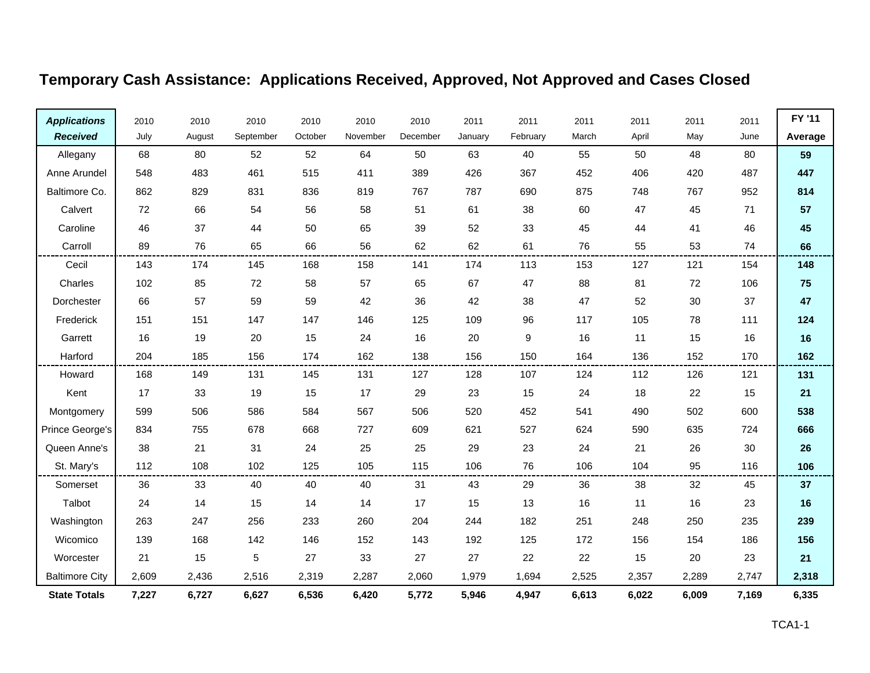| <b>Applications</b>   | 2010  | 2010   | 2010      | 2010    | 2010     | 2010     | 2011    | 2011     | 2011  | 2011  | 2011  | 2011  | FY '11  |
|-----------------------|-------|--------|-----------|---------|----------|----------|---------|----------|-------|-------|-------|-------|---------|
| <b>Received</b>       | July  | August | September | October | November | December | January | February | March | April | May   | June  | Average |
| Allegany              | 68    | 80     | 52        | 52      | 64       | 50       | 63      | 40       | 55    | 50    | 48    | 80    | 59      |
| Anne Arundel          | 548   | 483    | 461       | 515     | 411      | 389      | 426     | 367      | 452   | 406   | 420   | 487   | 447     |
| Baltimore Co.         | 862   | 829    | 831       | 836     | 819      | 767      | 787     | 690      | 875   | 748   | 767   | 952   | 814     |
| Calvert               | 72    | 66     | 54        | 56      | 58       | 51       | 61      | 38       | 60    | 47    | 45    | 71    | 57      |
| Caroline              | 46    | 37     | 44        | 50      | 65       | 39       | 52      | 33       | 45    | 44    | 41    | 46    | 45      |
| Carroll               | 89    | 76     | 65        | 66      | 56       | 62       | 62      | 61       | 76    | 55    | 53    | 74    | 66      |
| Cecil                 | 143   | 174    | 145       | 168     | 158      | 141      | 174     | 113      | 153   | 127   | 121   | 154   | 148     |
| Charles               | 102   | 85     | 72        | 58      | 57       | 65       | 67      | 47       | 88    | 81    | 72    | 106   | 75      |
| Dorchester            | 66    | 57     | 59        | 59      | 42       | 36       | 42      | 38       | 47    | 52    | 30    | 37    | 47      |
| Frederick             | 151   | 151    | 147       | 147     | 146      | 125      | 109     | 96       | 117   | 105   | 78    | 111   | 124     |
| Garrett               | 16    | 19     | 20        | 15      | 24       | 16       | 20      | 9        | 16    | 11    | 15    | 16    | 16      |
| Harford               | 204   | 185    | 156       | 174     | 162      | 138      | 156     | 150      | 164   | 136   | 152   | 170   | 162     |
| Howard                | 168   | 149    | 131       | 145     | 131      | 127      | 128     | 107      | 124   | 112   | 126   | 121   | 131     |
| Kent                  | 17    | 33     | 19        | 15      | 17       | 29       | 23      | 15       | 24    | 18    | 22    | 15    | 21      |
| Montgomery            | 599   | 506    | 586       | 584     | 567      | 506      | 520     | 452      | 541   | 490   | 502   | 600   | 538     |
| Prince George's       | 834   | 755    | 678       | 668     | 727      | 609      | 621     | 527      | 624   | 590   | 635   | 724   | 666     |
| Queen Anne's          | 38    | 21     | 31        | 24      | 25       | 25       | 29      | 23       | 24    | 21    | 26    | 30    | 26      |
| St. Mary's            | 112   | 108    | 102       | 125     | 105      | 115      | 106     | 76       | 106   | 104   | 95    | 116   | 106     |
| Somerset              | 36    | 33     | 40        | 40      | 40       | 31       | 43      | 29       | 36    | 38    | 32    | 45    | 37      |
| Talbot                | 24    | 14     | 15        | 14      | 14       | 17       | 15      | 13       | 16    | 11    | 16    | 23    | 16      |
| Washington            | 263   | 247    | 256       | 233     | 260      | 204      | 244     | 182      | 251   | 248   | 250   | 235   | 239     |
| Wicomico              | 139   | 168    | 142       | 146     | 152      | 143      | 192     | 125      | 172   | 156   | 154   | 186   | 156     |
| Worcester             | 21    | 15     | 5         | 27      | 33       | 27       | 27      | 22       | 22    | 15    | 20    | 23    | 21      |
| <b>Baltimore City</b> | 2,609 | 2,436  | 2,516     | 2,319   | 2,287    | 2,060    | 1,979   | 1,694    | 2,525 | 2,357 | 2,289 | 2,747 | 2,318   |
| <b>State Totals</b>   | 7,227 | 6,727  | 6,627     | 6,536   | 6,420    | 5,772    | 5,946   | 4,947    | 6,613 | 6,022 | 6,009 | 7,169 | 6,335   |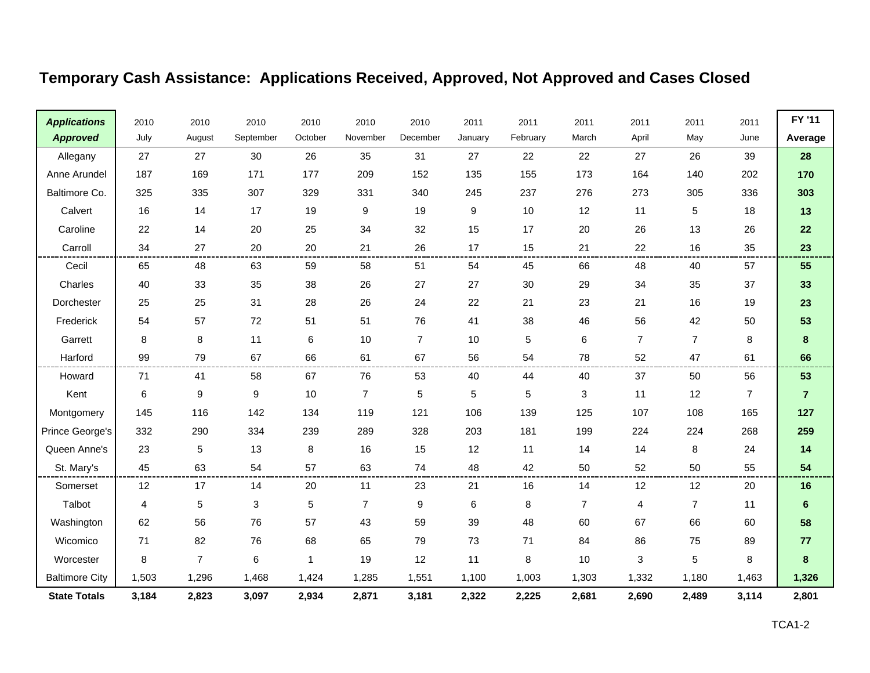| <b>Applications</b>   | 2010  | 2010           | 2010             | 2010    | 2010           | 2010           | 2011    | 2011        | 2011           | 2011           | 2011           | 2011           | FY '11         |
|-----------------------|-------|----------------|------------------|---------|----------------|----------------|---------|-------------|----------------|----------------|----------------|----------------|----------------|
| <b>Approved</b>       | July  | August         | September        | October | November       | December       | January | February    | March          | April          | May            | June           | Average        |
| Allegany              | 27    | 27             | 30               | 26      | 35             | 31             | 27      | 22          | 22             | 27             | 26             | 39             | 28             |
| Anne Arundel          | 187   | 169            | 171              | 177     | 209            | 152            | 135     | 155         | 173            | 164            | 140            | 202            | 170            |
| Baltimore Co.         | 325   | 335            | 307              | 329     | 331            | 340            | 245     | 237         | 276            | 273            | 305            | 336            | 303            |
| Calvert               | 16    | 14             | 17               | 19      | 9              | 19             | 9       | 10          | 12             | 11             | 5              | 18             | 13             |
| Caroline              | 22    | 14             | 20               | 25      | 34             | 32             | 15      | 17          | 20             | 26             | 13             | 26             | 22             |
| Carroll               | 34    | 27             | 20               | 20      | 21             | 26             | 17      | 15          | 21             | 22             | 16             | 35             | 23             |
| Cecil                 | 65    | 48             | 63               | 59      | 58             | 51             | 54      | 45          | 66             | 48             | 40             | 57             | 55             |
| Charles               | 40    | 33             | 35               | 38      | 26             | 27             | 27      | 30          | 29             | 34             | 35             | 37             | 33             |
| Dorchester            | 25    | 25             | 31               | 28      | 26             | 24             | 22      | 21          | 23             | 21             | 16             | 19             | 23             |
| Frederick             | 54    | 57             | 72               | 51      | 51             | 76             | 41      | 38          | 46             | 56             | 42             | 50             | 53             |
| Garrett               | 8     | 8              | 11               | 6       | 10             | $\overline{7}$ | 10      | $\sqrt{5}$  | 6              | $\overline{7}$ | $\overline{7}$ | 8              | 8              |
| Harford               | 99    | 79             | 67               | 66      | 61             | 67             | 56      | 54          | 78             | 52             | 47             | 61             | 66             |
| Howard                | 71    | 41             | 58               | 67      | 76             | 53             | 40      | 44          | 40             | 37             | 50             | 56             | 53             |
| Kent                  | 6     | 9              | $\boldsymbol{9}$ | 10      | $\overline{7}$ | 5              | 5       | $\,$ 5 $\,$ | 3              | 11             | 12             | $\overline{7}$ | $\overline{7}$ |
| Montgomery            | 145   | 116            | 142              | 134     | 119            | 121            | 106     | 139         | 125            | 107            | 108            | 165            | 127            |
| Prince George's       | 332   | 290            | 334              | 239     | 289            | 328            | 203     | 181         | 199            | 224            | 224            | 268            | 259            |
| Queen Anne's          | 23    | 5              | 13               | 8       | 16             | 15             | 12      | 11          | 14             | 14             | 8              | 24             | $14$           |
| St. Mary's            | 45    | 63             | 54               | 57      | 63             | 74             | 48      | 42          | 50             | 52             | 50             | 55             | 54             |
| Somerset              | 12    | 17             | 14               | 20      | 11             | 23             | 21      | 16          | 14             | 12             | 12             | 20             | 16             |
| Talbot                | 4     | 5              | 3                | 5       | $\overline{7}$ | 9              | 6       | 8           | $\overline{7}$ | 4              | $\overline{7}$ | 11             | $6\phantom{1}$ |
| Washington            | 62    | 56             | 76               | 57      | 43             | 59             | 39      | 48          | 60             | 67             | 66             | 60             | 58             |
| Wicomico              | 71    | 82             | 76               | 68      | 65             | 79             | 73      | 71          | 84             | 86             | 75             | 89             | 77             |
| Worcester             | 8     | $\overline{7}$ | 6                | 1       | 19             | 12             | 11      | 8           | 10             | 3              | 5              | 8              | 8              |
| <b>Baltimore City</b> | 1,503 | 1,296          | 1,468            | 1,424   | 1,285          | 1,551          | 1,100   | 1,003       | 1,303          | 1,332          | 1,180          | 1,463          | 1,326          |
| <b>State Totals</b>   | 3,184 | 2,823          | 3,097            | 2,934   | 2,871          | 3,181          | 2,322   | 2,225       | 2,681          | 2,690          | 2,489          | 3,114          | 2,801          |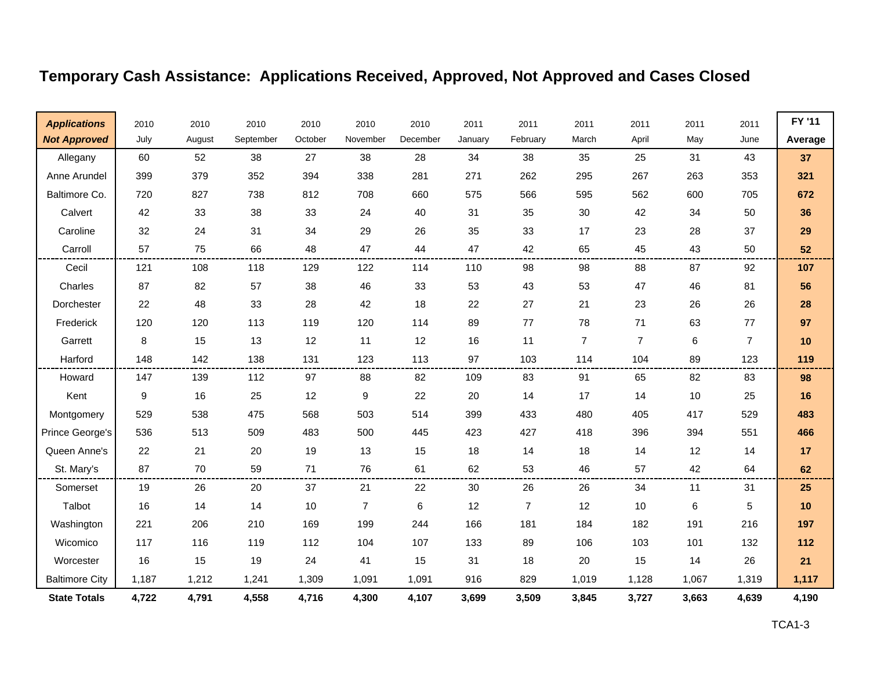| <b>Applications</b>   | 2010  | 2010   | 2010      | 2010    | 2010           | 2010     | 2011    | 2011           | 2011           | 2011           | 2011  | 2011           | FY '11  |
|-----------------------|-------|--------|-----------|---------|----------------|----------|---------|----------------|----------------|----------------|-------|----------------|---------|
| <b>Not Approved</b>   | July  | August | September | October | November       | December | January | February       | March          | April          | May   | June           | Average |
| Allegany              | 60    | 52     | 38        | 27      | 38             | 28       | 34      | 38             | 35             | 25             | 31    | 43             | 37      |
| Anne Arundel          | 399   | 379    | 352       | 394     | 338            | 281      | 271     | 262            | 295            | 267            | 263   | 353            | 321     |
| Baltimore Co.         | 720   | 827    | 738       | 812     | 708            | 660      | 575     | 566            | 595            | 562            | 600   | 705            | 672     |
| Calvert               | 42    | 33     | 38        | 33      | 24             | 40       | 31      | 35             | 30             | 42             | 34    | 50             | 36      |
| Caroline              | 32    | 24     | 31        | 34      | 29             | 26       | 35      | 33             | 17             | 23             | 28    | 37             | 29      |
| Carroll               | 57    | 75     | 66        | 48      | 47             | 44       | 47      | 42             | 65             | 45             | 43    | 50             | 52      |
| Cecil                 | 121   | 108    | 118       | 129     | 122            | 114      | 110     | 98             | 98             | 88             | 87    | 92             | 107     |
| Charles               | 87    | 82     | 57        | 38      | 46             | 33       | 53      | 43             | 53             | 47             | 46    | 81             | 56      |
| Dorchester            | 22    | 48     | 33        | 28      | 42             | 18       | 22      | 27             | 21             | 23             | 26    | 26             | 28      |
| Frederick             | 120   | 120    | 113       | 119     | 120            | 114      | 89      | 77             | 78             | 71             | 63    | 77             | 97      |
| Garrett               | 8     | 15     | 13        | 12      | 11             | 12       | 16      | 11             | $\overline{7}$ | $\overline{7}$ | 6     | $\overline{7}$ | 10      |
| Harford               | 148   | 142    | 138       | 131     | 123            | 113      | 97      | 103            | 114            | 104            | 89    | 123            | 119     |
| Howard                | 147   | 139    | 112       | 97      | 88             | 82       | 109     | 83             | 91             | 65             | 82    | 83             | 98      |
| Kent                  | 9     | 16     | 25        | 12      | 9              | 22       | 20      | 14             | 17             | 14             | 10    | 25             | 16      |
| Montgomery            | 529   | 538    | 475       | 568     | 503            | 514      | 399     | 433            | 480            | 405            | 417   | 529            | 483     |
| Prince George's       | 536   | 513    | 509       | 483     | 500            | 445      | 423     | 427            | 418            | 396            | 394   | 551            | 466     |
| Queen Anne's          | 22    | 21     | 20        | 19      | 13             | 15       | 18      | 14             | 18             | 14             | 12    | 14             | 17      |
| St. Mary's            | 87    | 70     | 59        | 71      | 76             | 61       | 62      | 53             | 46             | 57             | 42    | 64             | 62      |
| Somerset              | 19    | 26     | 20        | 37      | 21             | 22       | 30      | 26             | 26             | 34             | 11    | 31             | 25      |
| Talbot                | 16    | 14     | 14        | 10      | $\overline{7}$ | 6        | 12      | $\overline{7}$ | 12             | 10             | 6     | 5              | 10      |
| Washington            | 221   | 206    | 210       | 169     | 199            | 244      | 166     | 181            | 184            | 182            | 191   | 216            | 197     |
| Wicomico              | 117   | 116    | 119       | 112     | 104            | 107      | 133     | 89             | 106            | 103            | 101   | 132            | 112     |
| Worcester             | 16    | 15     | 19        | 24      | 41             | 15       | 31      | 18             | 20             | 15             | 14    | 26             | 21      |
| <b>Baltimore City</b> | 1,187 | 1,212  | 1,241     | 1,309   | 1,091          | 1,091    | 916     | 829            | 1,019          | 1,128          | 1,067 | 1,319          | 1,117   |
| <b>State Totals</b>   | 4,722 | 4,791  | 4,558     | 4,716   | 4,300          | 4,107    | 3,699   | 3,509          | 3,845          | 3,727          | 3,663 | 4,639          | 4,190   |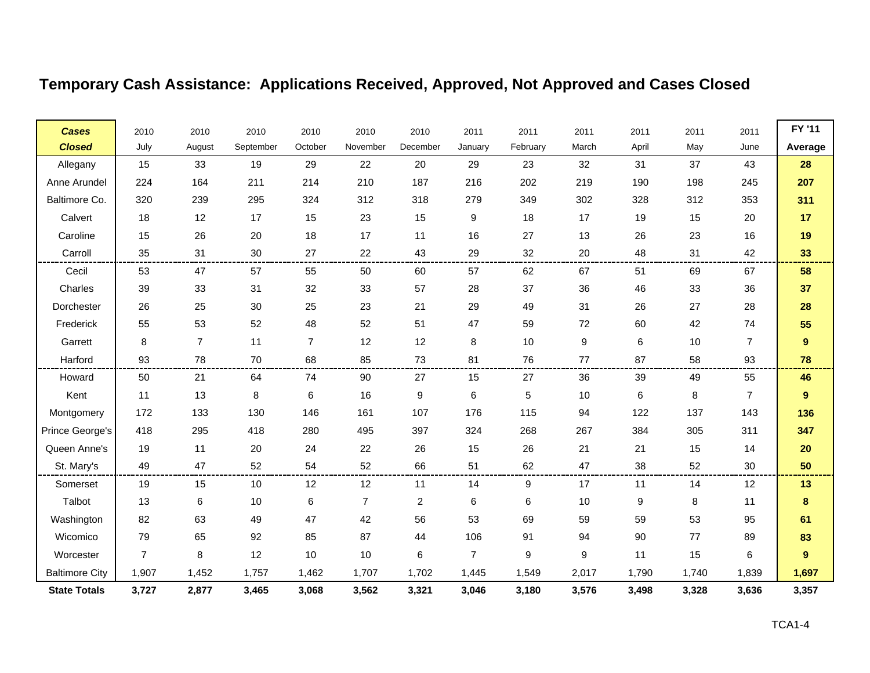| <b>Cases</b>          | 2010           | 2010           | 2010      | 2010           | 2010           | 2010           | 2011           | 2011        | 2011  | 2011             | 2011  | 2011           | FY '11           |
|-----------------------|----------------|----------------|-----------|----------------|----------------|----------------|----------------|-------------|-------|------------------|-------|----------------|------------------|
| <b>Closed</b>         | July           | August         | September | October        | November       | December       | January        | February    | March | April            | May   | June           | Average          |
| Allegany              | 15             | 33             | 19        | 29             | 22             | 20             | 29             | 23          | 32    | 31               | 37    | 43             | 28               |
| Anne Arundel          | 224            | 164            | 211       | 214            | 210            | 187            | 216            | 202         | 219   | 190              | 198   | 245            | 207              |
| Baltimore Co.         | 320            | 239            | 295       | 324            | 312            | 318            | 279            | 349         | 302   | 328              | 312   | 353            | 311              |
| Calvert               | 18             | 12             | 17        | 15             | 23             | 15             | 9              | 18          | 17    | 19               | 15    | 20             | 17               |
| Caroline              | 15             | 26             | 20        | 18             | 17             | 11             | 16             | 27          | 13    | 26               | 23    | 16             | 19               |
| Carroll               | 35             | 31             | 30        | 27             | 22             | 43             | 29             | 32          | 20    | 48               | 31    | 42             | 33               |
| Cecil                 | 53             | 47             | 57        | 55             | 50             | 60             | 57             | 62          | 67    | 51               | 69    | 67             | 58               |
| Charles               | 39             | 33             | 31        | 32             | 33             | 57             | 28             | 37          | 36    | 46               | 33    | 36             | 37               |
| Dorchester            | 26             | 25             | 30        | 25             | 23             | 21             | 29             | 49          | 31    | 26               | 27    | 28             | 28               |
| Frederick             | 55             | 53             | 52        | 48             | 52             | 51             | 47             | 59          | 72    | 60               | 42    | 74             | 55               |
| Garrett               | 8              | $\overline{7}$ | 11        | $\overline{7}$ | 12             | 12             | 8              | 10          | 9     | 6                | 10    | $\overline{7}$ | $\boldsymbol{9}$ |
| Harford               | 93             | 78             | 70        | 68             | 85             | 73             | 81             | 76          | 77    | 87               | 58    | 93             | 78               |
| Howard                | 50             | 21             | 64        | 74             | 90             | 27             | 15             | 27          | 36    | 39               | 49    | 55             | 46               |
| Kent                  | 11             | 13             | 8         | 6              | 16             | 9              | 6              | $\,$ 5 $\,$ | 10    | 6                | 8     | $\overline{7}$ | 9                |
| Montgomery            | 172            | 133            | 130       | 146            | 161            | 107            | 176            | 115         | 94    | 122              | 137   | 143            | 136              |
| Prince George's       | 418            | 295            | 418       | 280            | 495            | 397            | 324            | 268         | 267   | 384              | 305   | 311            | 347              |
| Queen Anne's          | 19             | 11             | 20        | 24             | 22             | 26             | 15             | 26          | 21    | 21               | 15    | 14             | 20               |
| St. Mary's            | 49             | 47             | 52        | 54             | 52             | 66             | 51             | 62          | 47    | 38               | 52    | 30             | 50               |
| Somerset              | 19             | 15             | 10        | 12             | 12             | 11             | 14             | 9           | 17    | 11               | 14    | 12             | 13               |
| Talbot                | 13             | 6              | 10        | 6              | $\overline{7}$ | $\overline{c}$ | 6              | $\,6\,$     | 10    | $\boldsymbol{9}$ | 8     | 11             | $\bf8$           |
| Washington            | 82             | 63             | 49        | 47             | 42             | 56             | 53             | 69          | 59    | 59               | 53    | 95             | 61               |
| Wicomico              | 79             | 65             | 92        | 85             | 87             | 44             | 106            | 91          | 94    | 90               | 77    | 89             | 83               |
| Worcester             | $\overline{7}$ | 8              | 12        | 10             | 10             | 6              | $\overline{7}$ | 9           | 9     | 11               | 15    | 6              | 9                |
| <b>Baltimore City</b> | 1,907          | 1,452          | 1,757     | 1,462          | 1,707          | 1,702          | 1,445          | 1,549       | 2,017 | 1,790            | 1,740 | 1,839          | 1,697            |
| <b>State Totals</b>   | 3,727          | 2,877          | 3,465     | 3,068          | 3,562          | 3,321          | 3,046          | 3,180       | 3,576 | 3,498            | 3,328 | 3,636          | 3,357            |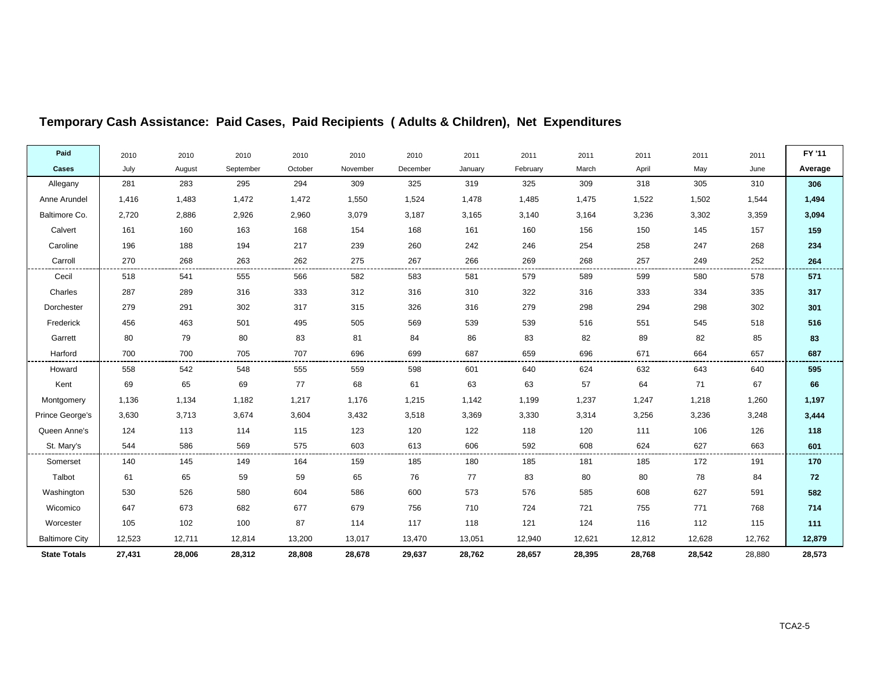| Paid                  | 2010   | 2010   | 2010      | 2010    | 2010     | 2010     | 2011    | 2011     | 2011   | 2011   | 2011   | 2011   | FY '11  |
|-----------------------|--------|--------|-----------|---------|----------|----------|---------|----------|--------|--------|--------|--------|---------|
| Cases                 | July   | August | September | October | November | December | January | February | March  | April  | May    | June   | Average |
| Allegany              | 281    | 283    | 295       | 294     | 309      | 325      | 319     | 325      | 309    | 318    | 305    | 310    | 306     |
| Anne Arundel          | 1,416  | 1,483  | 1,472     | 1,472   | 1,550    | 1,524    | 1,478   | 1,485    | 1,475  | 1,522  | 1,502  | 1,544  | 1,494   |
| Baltimore Co.         | 2,720  | 2,886  | 2,926     | 2,960   | 3,079    | 3,187    | 3,165   | 3,140    | 3,164  | 3,236  | 3,302  | 3,359  | 3,094   |
| Calvert               | 161    | 160    | 163       | 168     | 154      | 168      | 161     | 160      | 156    | 150    | 145    | 157    | 159     |
| Caroline              | 196    | 188    | 194       | 217     | 239      | 260      | 242     | 246      | 254    | 258    | 247    | 268    | 234     |
| Carroll               | 270    | 268    | 263       | 262     | 275      | 267      | 266     | 269      | 268    | 257    | 249    | 252    | 264     |
| Cecil                 | 518    | 541    | 555       | 566     | 582      | 583      | 581     | 579      | 589    | 599    | 580    | 578    | 571     |
| Charles               | 287    | 289    | 316       | 333     | 312      | 316      | 310     | 322      | 316    | 333    | 334    | 335    | 317     |
| Dorchester            | 279    | 291    | 302       | 317     | 315      | 326      | 316     | 279      | 298    | 294    | 298    | 302    | 301     |
| Frederick             | 456    | 463    | 501       | 495     | 505      | 569      | 539     | 539      | 516    | 551    | 545    | 518    | 516     |
| Garrett               | 80     | 79     | 80        | 83      | 81       | 84       | 86      | 83       | 82     | 89     | 82     | 85     | 83      |
| Harford               | 700    | 700    | 705       | 707     | 696      | 699      | 687     | 659      | 696    | 671    | 664    | 657    | 687     |
| Howard                | 558    | 542    | 548       | 555     | 559      | 598      | 601     | 640      | 624    | 632    | 643    | 640    | 595     |
| Kent                  | 69     | 65     | 69        | 77      | 68       | 61       | 63      | 63       | 57     | 64     | 71     | 67     | 66      |
| Montgomery            | 1,136  | 1,134  | 1,182     | 1,217   | 1,176    | 1,215    | 1,142   | 1,199    | 1,237  | 1,247  | 1,218  | 1,260  | 1,197   |
| Prince George's       | 3,630  | 3,713  | 3,674     | 3,604   | 3,432    | 3,518    | 3,369   | 3,330    | 3,314  | 3,256  | 3,236  | 3,248  | 3,444   |
| Queen Anne's          | 124    | 113    | 114       | 115     | 123      | 120      | 122     | 118      | 120    | 111    | 106    | 126    | 118     |
| St. Mary's            | 544    | 586    | 569       | 575     | 603      | 613      | 606     | 592      | 608    | 624    | 627    | 663    | 601     |
| Somerset              | 140    | 145    | 149       | 164     | 159      | 185      | 180     | 185      | 181    | 185    | 172    | 191    | 170     |
| Talbot                | 61     | 65     | 59        | 59      | 65       | 76       | 77      | 83       | 80     | 80     | 78     | 84     | 72      |
| Washington            | 530    | 526    | 580       | 604     | 586      | 600      | 573     | 576      | 585    | 608    | 627    | 591    | 582     |
| Wicomico              | 647    | 673    | 682       | 677     | 679      | 756      | 710     | 724      | 721    | 755    | 771    | 768    | 714     |
| Worcester             | 105    | 102    | 100       | 87      | 114      | 117      | 118     | 121      | 124    | 116    | 112    | 115    | 111     |
| <b>Baltimore City</b> | 12,523 | 12,711 | 12,814    | 13,200  | 13,017   | 13,470   | 13,051  | 12,940   | 12,621 | 12,812 | 12,628 | 12,762 | 12,879  |
| <b>State Totals</b>   | 27,431 | 28,006 | 28,312    | 28,808  | 28,678   | 29,637   | 28,762  | 28,657   | 28,395 | 28,768 | 28,542 | 28,880 | 28,573  |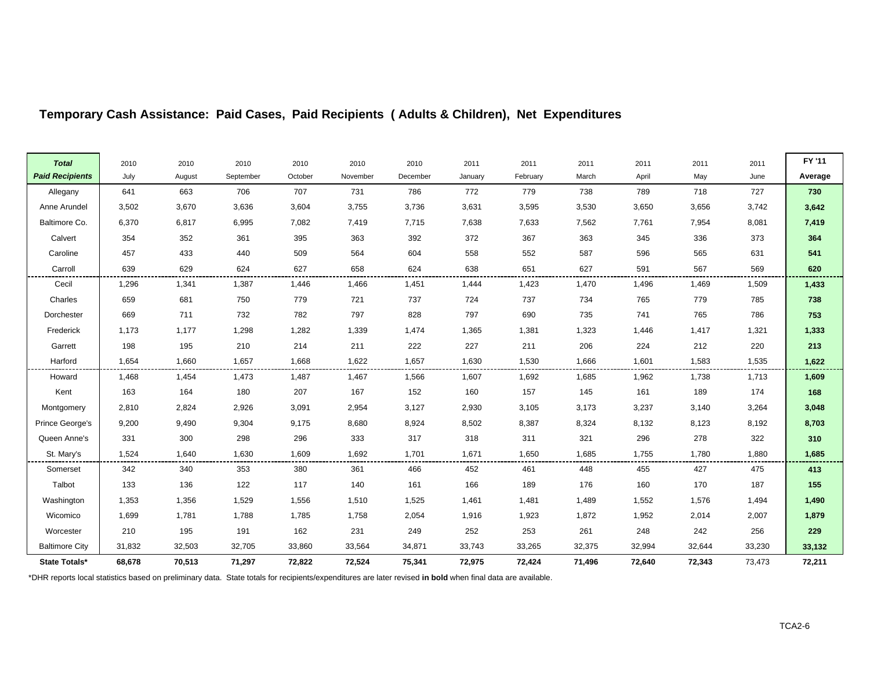| <b>Total</b>           | 2010   | 2010   | 2010      | 2010    | 2010     | 2010     | 2011    | 2011     | 2011   | 2011   | 2011   | 2011   | FY '11  |
|------------------------|--------|--------|-----------|---------|----------|----------|---------|----------|--------|--------|--------|--------|---------|
| <b>Paid Recipients</b> | July   | August | September | October | November | December | January | February | March  | April  | May    | June   | Average |
| Allegany               | 641    | 663    | 706       | 707     | 731      | 786      | 772     | 779      | 738    | 789    | 718    | 727    | 730     |
| Anne Arundel           | 3,502  | 3,670  | 3,636     | 3,604   | 3,755    | 3,736    | 3,631   | 3,595    | 3,530  | 3,650  | 3,656  | 3,742  | 3,642   |
| Baltimore Co.          | 6,370  | 6,817  | 6,995     | 7,082   | 7,419    | 7,715    | 7,638   | 7,633    | 7,562  | 7,761  | 7,954  | 8,081  | 7,419   |
| Calvert                | 354    | 352    | 361       | 395     | 363      | 392      | 372     | 367      | 363    | 345    | 336    | 373    | 364     |
| Caroline               | 457    | 433    | 440       | 509     | 564      | 604      | 558     | 552      | 587    | 596    | 565    | 631    | 541     |
| Carroll                | 639    | 629    | 624       | 627     | 658      | 624      | 638     | 651      | 627    | 591    | 567    | 569    | 620     |
| Cecil                  | 1,296  | 1,341  | 1,387     | 1,446   | 1,466    | 1,451    | 1,444   | 1,423    | 1,470  | 1,496  | 1,469  | 1,509  | 1,433   |
| Charles                | 659    | 681    | 750       | 779     | 721      | 737      | 724     | 737      | 734    | 765    | 779    | 785    | 738     |
| Dorchester             | 669    | 711    | 732       | 782     | 797      | 828      | 797     | 690      | 735    | 741    | 765    | 786    | 753     |
| Frederick              | 1,173  | 1,177  | 1,298     | 1,282   | 1,339    | 1,474    | 1,365   | 1,381    | 1,323  | 1,446  | 1,417  | 1,321  | 1,333   |
| Garrett                | 198    | 195    | 210       | 214     | 211      | 222      | 227     | 211      | 206    | 224    | 212    | 220    | 213     |
| Harford                | 1,654  | 1,660  | 1,657     | 1,668   | 1,622    | 1,657    | 1,630   | 1,530    | 1,666  | 1,601  | 1,583  | 1,535  | 1,622   |
| Howard                 | 1,468  | 1,454  | 1,473     | 1,487   | 1,467    | 1,566    | 1,607   | 1,692    | 1,685  | 1,962  | 1,738  | 1,713  | 1,609   |
| Kent                   | 163    | 164    | 180       | 207     | 167      | 152      | 160     | 157      | 145    | 161    | 189    | 174    | 168     |
| Montgomery             | 2,810  | 2,824  | 2,926     | 3,091   | 2,954    | 3,127    | 2,930   | 3,105    | 3,173  | 3,237  | 3,140  | 3,264  | 3,048   |
| Prince George's        | 9,200  | 9,490  | 9,304     | 9,175   | 8,680    | 8,924    | 8,502   | 8,387    | 8,324  | 8,132  | 8,123  | 8,192  | 8,703   |
| Queen Anne's           | 331    | 300    | 298       | 296     | 333      | 317      | 318     | 311      | 321    | 296    | 278    | 322    | 310     |
| St. Mary's             | 1,524  | 1,640  | 1,630     | 1,609   | 1,692    | 1,701    | 1,671   | 1,650    | 1,685  | 1,755  | 1,780  | 1,880  | 1,685   |
| Somerset               | 342    | 340    | 353       | 380     | 361      | 466      | 452     | 461      | 448    | 455    | 427    | 475    | 413     |
| Talbot                 | 133    | 136    | 122       | 117     | 140      | 161      | 166     | 189      | 176    | 160    | 170    | 187    | 155     |
| Washington             | 1,353  | 1,356  | 1,529     | 1,556   | 1,510    | 1,525    | 1,461   | 1,481    | 1,489  | 1,552  | 1,576  | 1,494  | 1,490   |
| Wicomico               | 1,699  | 1,781  | 1,788     | 1,785   | 1,758    | 2,054    | 1,916   | 1,923    | 1,872  | 1,952  | 2,014  | 2,007  | 1,879   |
| Worcester              | 210    | 195    | 191       | 162     | 231      | 249      | 252     | 253      | 261    | 248    | 242    | 256    | 229     |
| <b>Baltimore City</b>  | 31,832 | 32,503 | 32,705    | 33,860  | 33,564   | 34,871   | 33,743  | 33,265   | 32,375 | 32,994 | 32,644 | 33,230 | 33,132  |
| State Totals*          | 68,678 | 70,513 | 71,297    | 72,822  | 72,524   | 75,341   | 72,975  | 72,424   | 71,496 | 72,640 | 72,343 | 73,473 | 72,211  |

 $\blacksquare$ 

**Contract Contract Contract** 

\*DHR reports local statistics based on preliminary data. State totals for recipients/expenditures are later revised **in bold** when final data are available.

 $\Gamma$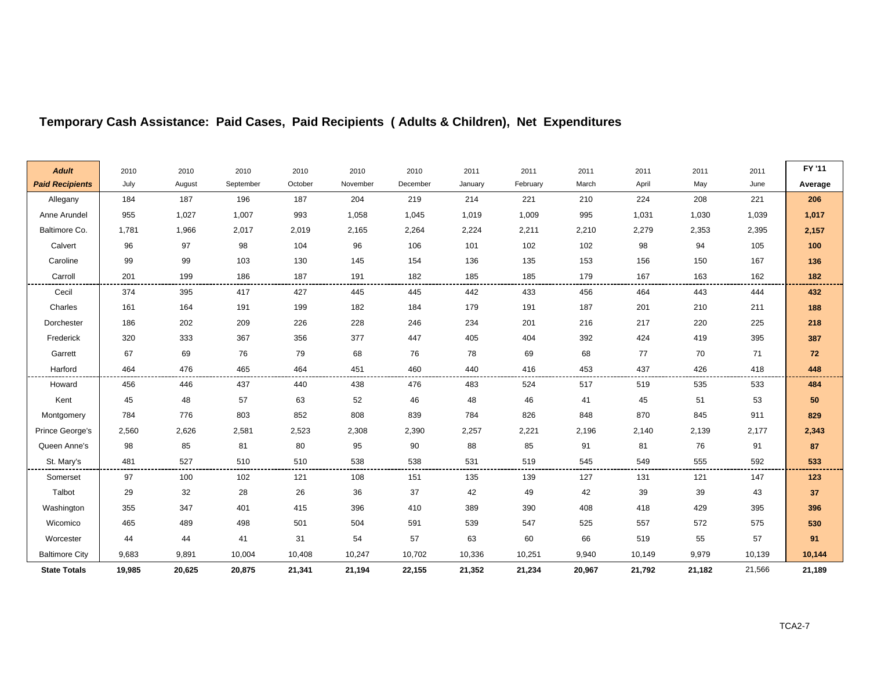| <b>Adult</b>           | 2010   | 2010   | 2010      | 2010    | 2010     | 2010     | 2011    | 2011     | 2011   | 2011   | 2011   | 2011   | FY '11  |
|------------------------|--------|--------|-----------|---------|----------|----------|---------|----------|--------|--------|--------|--------|---------|
| <b>Paid Recipients</b> | July   | August | September | October | November | December | January | February | March  | April  | May    | June   | Average |
| Allegany               | 184    | 187    | 196       | 187     | 204      | 219      | 214     | 221      | 210    | 224    | 208    | 221    | 206     |
| Anne Arundel           | 955    | 1,027  | 1,007     | 993     | 1,058    | 1,045    | 1,019   | 1,009    | 995    | 1,031  | 1,030  | 1,039  | 1,017   |
| Baltimore Co.          | 1,781  | 1,966  | 2,017     | 2,019   | 2,165    | 2,264    | 2,224   | 2,211    | 2,210  | 2,279  | 2,353  | 2,395  | 2,157   |
| Calvert                | 96     | 97     | 98        | 104     | 96       | 106      | 101     | 102      | 102    | 98     | 94     | 105    | 100     |
| Caroline               | 99     | 99     | 103       | 130     | 145      | 154      | 136     | 135      | 153    | 156    | 150    | 167    | 136     |
| Carroll                | 201    | 199    | 186       | 187     | 191      | 182      | 185     | 185      | 179    | 167    | 163    | 162    | 182     |
| Cecil                  | 374    | 395    | 417       | 427     | 445      | 445      | 442     | 433      | 456    | 464    | 443    | 444    | 432     |
| Charles                | 161    | 164    | 191       | 199     | 182      | 184      | 179     | 191      | 187    | 201    | 210    | 211    | 188     |
| Dorchester             | 186    | 202    | 209       | 226     | 228      | 246      | 234     | 201      | 216    | 217    | 220    | 225    | 218     |
| Frederick              | 320    | 333    | 367       | 356     | 377      | 447      | 405     | 404      | 392    | 424    | 419    | 395    | 387     |
| Garrett                | 67     | 69     | 76        | 79      | 68       | 76       | 78      | 69       | 68     | 77     | 70     | 71     | 72      |
| Harford                | 464    | 476    | 465       | 464     | 451      | 460      | 440     | 416      | 453    | 437    | 426    | 418    | 448     |
| Howard                 | 456    | 446    | 437       | 440     | 438      | 476      | 483     | 524      | 517    | 519    | 535    | 533    | 484     |
| Kent                   | 45     | 48     | 57        | 63      | 52       | 46       | 48      | 46       | 41     | 45     | 51     | 53     | 50      |
| Montgomery             | 784    | 776    | 803       | 852     | 808      | 839      | 784     | 826      | 848    | 870    | 845    | 911    | 829     |
| Prince George's        | 2,560  | 2,626  | 2,581     | 2,523   | 2,308    | 2,390    | 2,257   | 2,221    | 2,196  | 2,140  | 2,139  | 2,177  | 2,343   |
| Queen Anne's           | 98     | 85     | 81        | 80      | 95       | 90       | 88      | 85       | 91     | 81     | 76     | 91     | 87      |
| St. Mary's             | 481    | 527    | 510       | 510     | 538      | 538      | 531     | 519      | 545    | 549    | 555    | 592    | 533     |
| Somerset               | 97     | 100    | 102       | 121     | 108      | 151      | 135     | 139      | 127    | 131    | 121    | 147    | 123     |
| Talbot                 | 29     | 32     | 28        | 26      | 36       | 37       | 42      | 49       | 42     | 39     | 39     | 43     | 37      |
| Washington             | 355    | 347    | 401       | 415     | 396      | 410      | 389     | 390      | 408    | 418    | 429    | 395    | 396     |
| Wicomico               | 465    | 489    | 498       | 501     | 504      | 591      | 539     | 547      | 525    | 557    | 572    | 575    | 530     |
| Worcester              | 44     | 44     | 41        | 31      | 54       | 57       | 63      | 60       | 66     | 519    | 55     | 57     | 91      |
| <b>Baltimore City</b>  | 9,683  | 9,891  | 10,004    | 10,408  | 10,247   | 10,702   | 10,336  | 10,251   | 9,940  | 10,149 | 9,979  | 10,139 | 10,144  |
| <b>State Totals</b>    | 19,985 | 20,625 | 20,875    | 21,341  | 21,194   | 22,155   | 21,352  | 21,234   | 20,967 | 21,792 | 21,182 | 21,566 | 21,189  |

Ē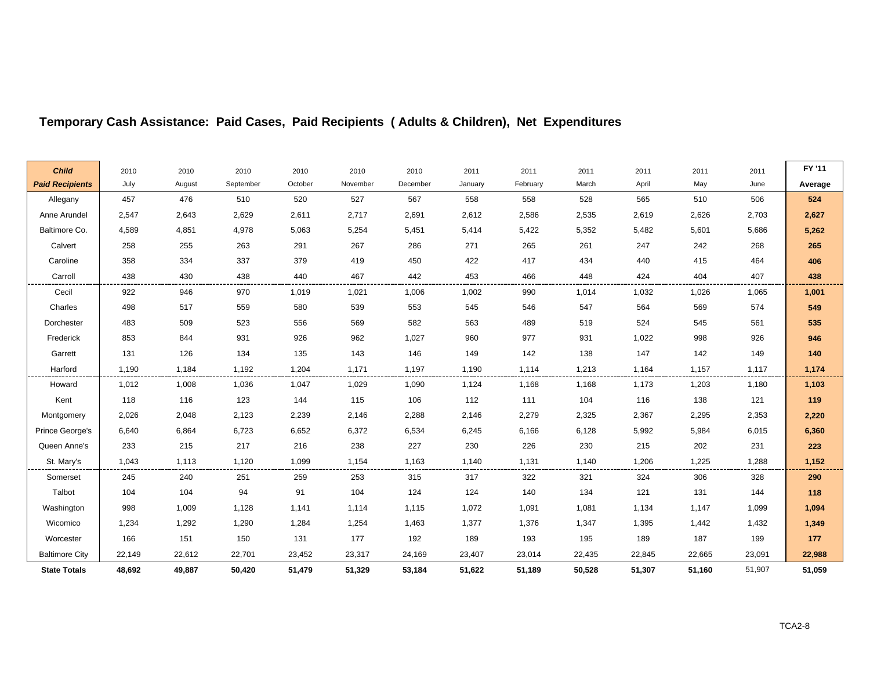| <b>Child</b>           | 2010   | 2010   | 2010      | 2010    | 2010     | 2010     | 2011    | 2011     | 2011   | 2011   | 2011   | 2011   | FY '11  |
|------------------------|--------|--------|-----------|---------|----------|----------|---------|----------|--------|--------|--------|--------|---------|
| <b>Paid Recipients</b> | July   | August | September | October | November | December | January | February | March  | April  | May    | June   | Average |
| Allegany               | 457    | 476    | 510       | 520     | 527      | 567      | 558     | 558      | 528    | 565    | 510    | 506    | 524     |
| Anne Arundel           | 2,547  | 2,643  | 2,629     | 2,611   | 2,717    | 2,691    | 2,612   | 2,586    | 2,535  | 2,619  | 2,626  | 2,703  | 2,627   |
| Baltimore Co.          | 4,589  | 4,851  | 4,978     | 5,063   | 5,254    | 5,451    | 5,414   | 5,422    | 5,352  | 5,482  | 5,601  | 5,686  | 5,262   |
| Calvert                | 258    | 255    | 263       | 291     | 267      | 286      | 271     | 265      | 261    | 247    | 242    | 268    | 265     |
| Caroline               | 358    | 334    | 337       | 379     | 419      | 450      | 422     | 417      | 434    | 440    | 415    | 464    | 406     |
| Carroll                | 438    | 430    | 438       | 440     | 467      | 442      | 453     | 466      | 448    | 424    | 404    | 407    | 438     |
| Cecil                  | 922    | 946    | 970       | 1,019   | 1,021    | 1,006    | 1,002   | 990      | 1,014  | 1,032  | 1,026  | 1,065  | 1,001   |
| Charles                | 498    | 517    | 559       | 580     | 539      | 553      | 545     | 546      | 547    | 564    | 569    | 574    | 549     |
| Dorchester             | 483    | 509    | 523       | 556     | 569      | 582      | 563     | 489      | 519    | 524    | 545    | 561    | 535     |
| Frederick              | 853    | 844    | 931       | 926     | 962      | 1,027    | 960     | 977      | 931    | 1,022  | 998    | 926    | 946     |
| Garrett                | 131    | 126    | 134       | 135     | 143      | 146      | 149     | 142      | 138    | 147    | 142    | 149    | 140     |
| Harford                | 1,190  | 1,184  | 1,192     | 1,204   | 1,171    | 1,197    | 1,190   | 1,114    | 1,213  | 1,164  | 1,157  | 1,117  | 1,174   |
| Howard                 | 1,012  | 1,008  | 1,036     | 1,047   | 1,029    | 1,090    | 1,124   | 1,168    | 1,168  | 1,173  | 1,203  | 1,180  | 1,103   |
| Kent                   | 118    | 116    | 123       | 144     | 115      | 106      | 112     | 111      | 104    | 116    | 138    | 121    | 119     |
| Montgomery             | 2,026  | 2,048  | 2,123     | 2,239   | 2,146    | 2,288    | 2,146   | 2,279    | 2,325  | 2,367  | 2,295  | 2,353  | 2,220   |
| Prince George's        | 6,640  | 6,864  | 6,723     | 6,652   | 6,372    | 6,534    | 6,245   | 6,166    | 6,128  | 5,992  | 5,984  | 6,015  | 6,360   |
| Queen Anne's           | 233    | 215    | 217       | 216     | 238      | 227      | 230     | 226      | 230    | 215    | 202    | 231    | 223     |
| St. Mary's             | 1,043  | 1,113  | 1,120     | 1,099   | 1,154    | 1,163    | 1,140   | 1,131    | 1,140  | 1,206  | 1,225  | 1,288  | 1,152   |
| Somerset               | 245    | 240    | 251       | 259     | 253      | 315      | 317     | 322      | 321    | 324    | 306    | 328    | 290     |
| Talbot                 | 104    | 104    | 94        | 91      | 104      | 124      | 124     | 140      | 134    | 121    | 131    | 144    | 118     |
| Washington             | 998    | 1,009  | 1,128     | 1,141   | 1,114    | 1,115    | 1,072   | 1,091    | 1,081  | 1,134  | 1,147  | 1,099  | 1,094   |
| Wicomico               | 1,234  | 1,292  | 1,290     | 1,284   | 1,254    | 1,463    | 1,377   | 1,376    | 1,347  | 1,395  | 1,442  | 1,432  | 1,349   |
| Worcester              | 166    | 151    | 150       | 131     | 177      | 192      | 189     | 193      | 195    | 189    | 187    | 199    | 177     |
| <b>Baltimore City</b>  | 22,149 | 22,612 | 22,701    | 23,452  | 23,317   | 24,169   | 23,407  | 23,014   | 22,435 | 22,845 | 22,665 | 23,091 | 22,988  |
| <b>State Totals</b>    | 48,692 | 49,887 | 50,420    | 51,479  | 51,329   | 53,184   | 51,622  | 51,189   | 50,528 | 51,307 | 51,160 | 51,907 | 51,059  |

r.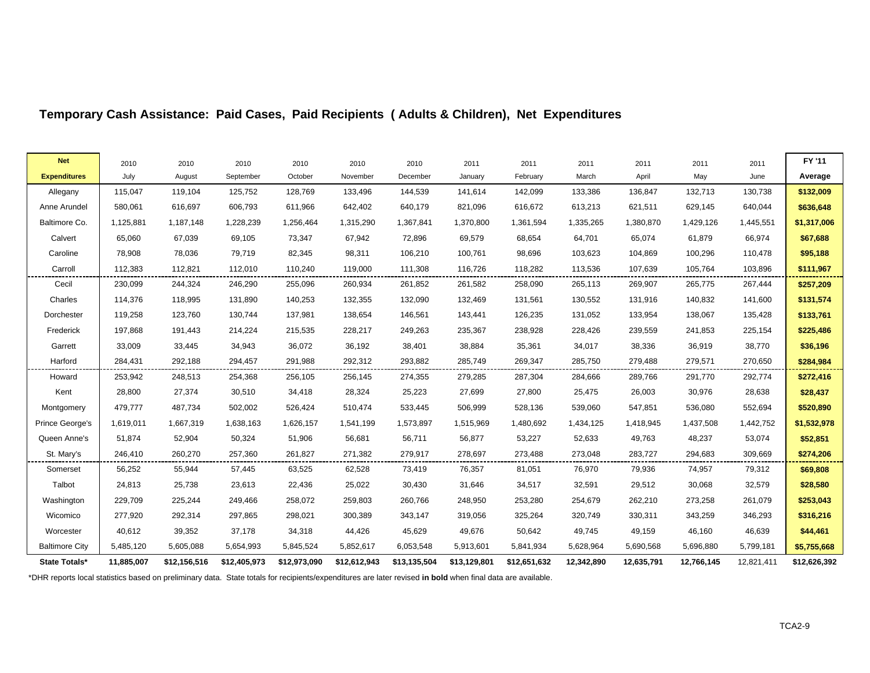| <b>Net</b>            | 2010       | 2010         | 2010         | 2010         | 2010         | 2010         | 2011         | 2011         | 2011       | 2011       | 2011       | 2011       | FY '11       |
|-----------------------|------------|--------------|--------------|--------------|--------------|--------------|--------------|--------------|------------|------------|------------|------------|--------------|
| <b>Expenditures</b>   | July       | August       | September    | October      | November     | December     | January      | February     | March      | April      | May        | June       | Average      |
| Allegany              | 115,047    | 119,104      | 125,752      | 128,769      | 133,496      | 144,539      | 141,614      | 142,099      | 133,386    | 136,847    | 132,713    | 130,738    | \$132,009    |
| Anne Arundel          | 580,061    | 616,697      | 606,793      | 611,966      | 642,402      | 640,179      | 821,096      | 616,672      | 613,213    | 621,511    | 629,145    | 640,044    | \$636,648    |
| Baltimore Co.         | 1,125,881  | 1,187,148    | 1,228,239    | 1,256,464    | 1,315,290    | 1,367,841    | 1,370,800    | 1,361,594    | 1,335,265  | 1,380,870  | 1,429,126  | 1,445,551  | \$1,317,006  |
| Calvert               | 65,060     | 67,039       | 69,105       | 73,347       | 67,942       | 72,896       | 69,579       | 68,654       | 64,701     | 65,074     | 61,879     | 66,974     | \$67,688     |
| Caroline              | 78,908     | 78,036       | 79,719       | 82,345       | 98,311       | 106,210      | 100,761      | 98,696       | 103,623    | 104,869    | 100,296    | 110,478    | \$95,188     |
| Carroll               | 112,383    | 112,821      | 112,010      | 110,240      | 119,000      | 111,308      | 116,726      | 118,282      | 113,536    | 107,639    | 105,764    | 103,896    | \$111,967    |
| Cecil                 | 230,099    | 244,324      | 246,290      | 255,096      | 260,934      | 261,852      | 261,582      | 258,090      | 265,113    | 269,907    | 265,775    | 267,444    | \$257,209    |
| Charles               | 114,376    | 118,995      | 131,890      | 140,253      | 132,355      | 132,090      | 132,469      | 131,561      | 130,552    | 131,916    | 140,832    | 141,600    | \$131,574    |
| Dorchester            | 119,258    | 123,760      | 130,744      | 137,981      | 138,654      | 146,561      | 143,441      | 126,235      | 131,052    | 133,954    | 138,067    | 135,428    | \$133,761    |
| Frederick             | 197,868    | 191,443      | 214,224      | 215,535      | 228,217      | 249,263      | 235,367      | 238,928      | 228,426    | 239,559    | 241,853    | 225,154    | \$225,486    |
| Garrett               | 33,009     | 33,445       | 34,943       | 36,072       | 36,192       | 38,401       | 38,884       | 35,361       | 34,017     | 38,336     | 36,919     | 38,770     | \$36,196     |
| Harford               | 284,431    | 292,188      | 294,457      | 291,988      | 292,312      | 293,882      | 285,749      | 269,347      | 285,750    | 279,488    | 279,571    | 270,650    | \$284,984    |
| Howard                | 253,942    | 248,513      | 254,368      | 256,105      | 256,145      | 274,355      | 279,285      | 287,304      | 284,666    | 289,766    | 291,770    | 292,774    | \$272,416    |
| Kent                  | 28,800     | 27,374       | 30,510       | 34,418       | 28,324       | 25,223       | 27,699       | 27,800       | 25,475     | 26,003     | 30,976     | 28,638     | \$28,437     |
| Montgomery            | 479,777    | 487,734      | 502,002      | 526,424      | 510,474      | 533,445      | 506,999      | 528,136      | 539,060    | 547,851    | 536,080    | 552,694    | \$520,890    |
| Prince George's       | 1,619,011  | 1,667,319    | 1,638,163    | 1,626,157    | 1,541,199    | 1,573,897    | 1,515,969    | 1,480,692    | 1,434,125  | 1,418,945  | 1,437,508  | 1,442,752  | \$1,532,978  |
| Queen Anne's          | 51,874     | 52,904       | 50,324       | 51,906       | 56,681       | 56,711       | 56,877       | 53,227       | 52,633     | 49,763     | 48,237     | 53,074     | \$52,851     |
| St. Mary's            | 246,410    | 260,270      | 257,360      | 261,827      | 271,382      | 279,917      | 278,697      | 273,488      | 273,048    | 283,727    | 294,683    | 309,669    | \$274,206    |
| Somerset              | 56,252     | 55,944       | 57,445       | 63,525       | 62,528       | 73,419       | 76,357       | 81,051       | 76,970     | 79,936     | 74,957     | 79,312     | \$69,808     |
| Talbot                | 24,813     | 25,738       | 23,613       | 22,436       | 25,022       | 30,430       | 31,646       | 34,517       | 32,591     | 29,512     | 30,068     | 32,579     | \$28,580     |
| Washington            | 229,709    | 225,244      | 249,466      | 258,072      | 259,803      | 260,766      | 248,950      | 253,280      | 254,679    | 262,210    | 273,258    | 261,079    | \$253,043    |
| Wicomico              | 277,920    | 292,314      | 297,865      | 298,021      | 300,389      | 343,147      | 319,056      | 325,264      | 320,749    | 330,311    | 343,259    | 346,293    | \$316,216    |
| Worcester             | 40,612     | 39,352       | 37,178       | 34,318       | 44,426       | 45,629       | 49,676       | 50,642       | 49,745     | 49,159     | 46,160     | 46,639     | \$44,461     |
| <b>Baltimore City</b> | 5,485,120  | 5,605,088    | 5,654,993    | 5,845,524    | 5,852,617    | 6,053,548    | 5,913,601    | 5,841,934    | 5,628,964  | 5,690,568  | 5,696,880  | 5,799,181  | \$5,755,668  |
| State Totals*         | 11,885,007 | \$12,156,516 | \$12,405,973 | \$12,973,090 | \$12,612,943 | \$13,135,504 | \$13,129,801 | \$12,651,632 | 12,342,890 | 12,635,791 | 12,766,145 | 12,821,411 | \$12,626,392 |

\*DHR reports local statistics based on preliminary data. State totals for recipients/expenditures are later revised **in bold** when final data are available.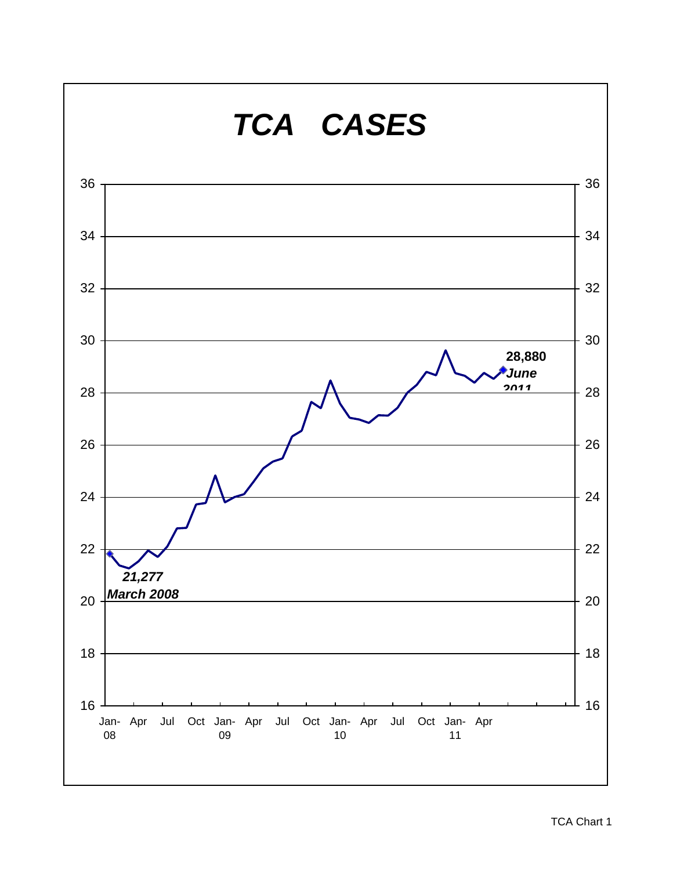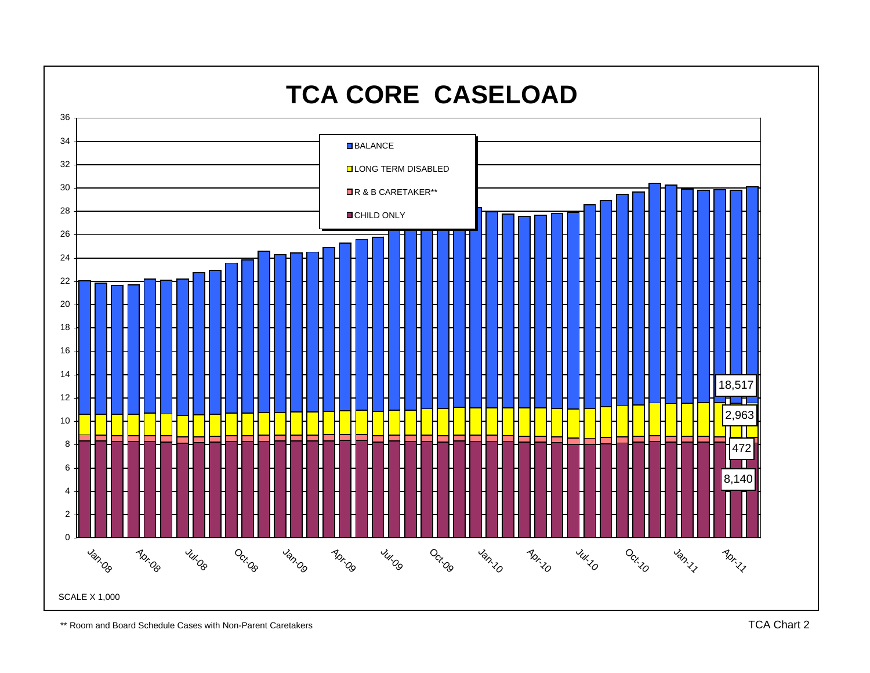

\*\* Room and Board Schedule Cases with Non-Parent Caretakers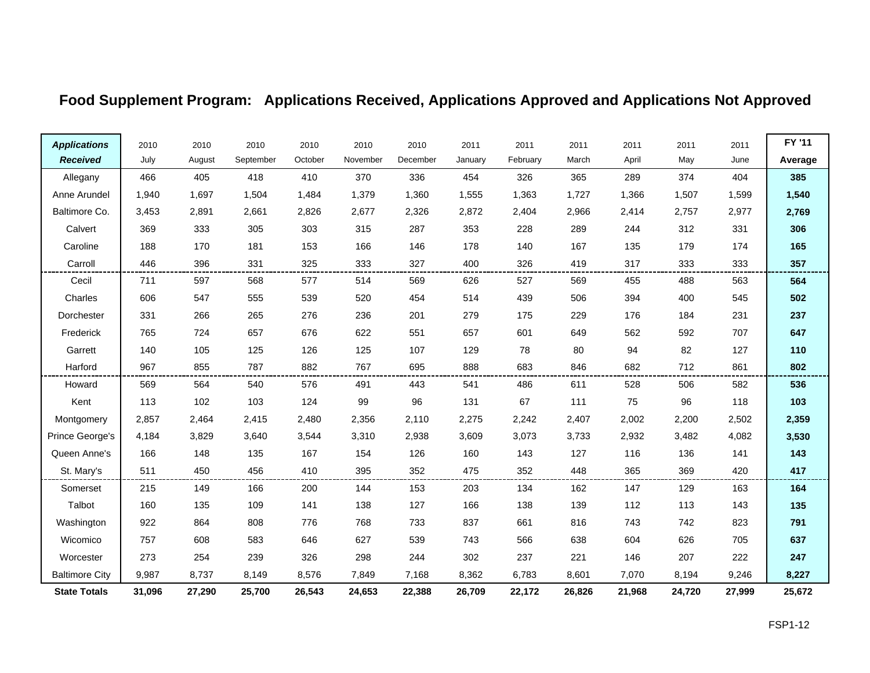# **Food Supplement Program: Applications Received, Applications Approved and Applications Not Approved**

| <b>Applications</b>   | 2010   | 2010   | 2010      | 2010    | 2010     | 2010     | 2011    | 2011     | 2011   | 2011   | 2011   | 2011   | FY '11  |
|-----------------------|--------|--------|-----------|---------|----------|----------|---------|----------|--------|--------|--------|--------|---------|
| <b>Received</b>       | July   | August | September | October | November | December | January | February | March  | April  | May    | June   | Average |
| Allegany              | 466    | 405    | 418       | 410     | 370      | 336      | 454     | 326      | 365    | 289    | 374    | 404    | 385     |
| Anne Arundel          | 1,940  | 1,697  | 1,504     | 1,484   | 1,379    | 1,360    | 1,555   | 1,363    | 1,727  | 1,366  | 1,507  | 1,599  | 1,540   |
| Baltimore Co.         | 3,453  | 2,891  | 2,661     | 2,826   | 2,677    | 2,326    | 2,872   | 2,404    | 2,966  | 2,414  | 2,757  | 2,977  | 2,769   |
| Calvert               | 369    | 333    | 305       | 303     | 315      | 287      | 353     | 228      | 289    | 244    | 312    | 331    | 306     |
| Caroline              | 188    | 170    | 181       | 153     | 166      | 146      | 178     | 140      | 167    | 135    | 179    | 174    | 165     |
| Carroll               | 446    | 396    | 331       | 325     | 333      | 327      | 400     | 326      | 419    | 317    | 333    | 333    | 357     |
| Cecil                 | 711    | 597    | 568       | 577     | 514      | 569      | 626     | 527      | 569    | 455    | 488    | 563    | 564     |
| Charles               | 606    | 547    | 555       | 539     | 520      | 454      | 514     | 439      | 506    | 394    | 400    | 545    | 502     |
| Dorchester            | 331    | 266    | 265       | 276     | 236      | 201      | 279     | 175      | 229    | 176    | 184    | 231    | 237     |
| Frederick             | 765    | 724    | 657       | 676     | 622      | 551      | 657     | 601      | 649    | 562    | 592    | 707    | 647     |
| Garrett               | 140    | 105    | 125       | 126     | 125      | 107      | 129     | 78       | 80     | 94     | 82     | 127    | 110     |
| Harford               | 967    | 855    | 787       | 882     | 767      | 695      | 888     | 683      | 846    | 682    | 712    | 861    | 802     |
| Howard                | 569    | 564    | 540       | 576     | 491      | 443      | 541     | 486      | 611    | 528    | 506    | 582    | 536     |
| Kent                  | 113    | 102    | 103       | 124     | 99       | 96       | 131     | 67       | 111    | 75     | 96     | 118    | 103     |
| Montgomery            | 2,857  | 2,464  | 2,415     | 2,480   | 2,356    | 2,110    | 2,275   | 2,242    | 2,407  | 2,002  | 2,200  | 2,502  | 2,359   |
| Prince George's       | 4,184  | 3,829  | 3,640     | 3,544   | 3,310    | 2,938    | 3,609   | 3,073    | 3,733  | 2,932  | 3,482  | 4,082  | 3,530   |
| Queen Anne's          | 166    | 148    | 135       | 167     | 154      | 126      | 160     | 143      | 127    | 116    | 136    | 141    | 143     |
| St. Mary's            | 511    | 450    | 456       | 410     | 395      | 352      | 475     | 352      | 448    | 365    | 369    | 420    | 417     |
| Somerset              | 215    | 149    | 166       | 200     | 144      | 153      | 203     | 134      | 162    | 147    | 129    | 163    | 164     |
| Talbot                | 160    | 135    | 109       | 141     | 138      | 127      | 166     | 138      | 139    | 112    | 113    | 143    | 135     |
| Washington            | 922    | 864    | 808       | 776     | 768      | 733      | 837     | 661      | 816    | 743    | 742    | 823    | 791     |
| Wicomico              | 757    | 608    | 583       | 646     | 627      | 539      | 743     | 566      | 638    | 604    | 626    | 705    | 637     |
| Worcester             | 273    | 254    | 239       | 326     | 298      | 244      | 302     | 237      | 221    | 146    | 207    | 222    | 247     |
| <b>Baltimore City</b> | 9,987  | 8,737  | 8,149     | 8,576   | 7,849    | 7,168    | 8,362   | 6,783    | 8,601  | 7,070  | 8,194  | 9,246  | 8,227   |
| <b>State Totals</b>   | 31,096 | 27,290 | 25,700    | 26,543  | 24,653   | 22,388   | 26,709  | 22,172   | 26,826 | 21,968 | 24,720 | 27,999 | 25,672  |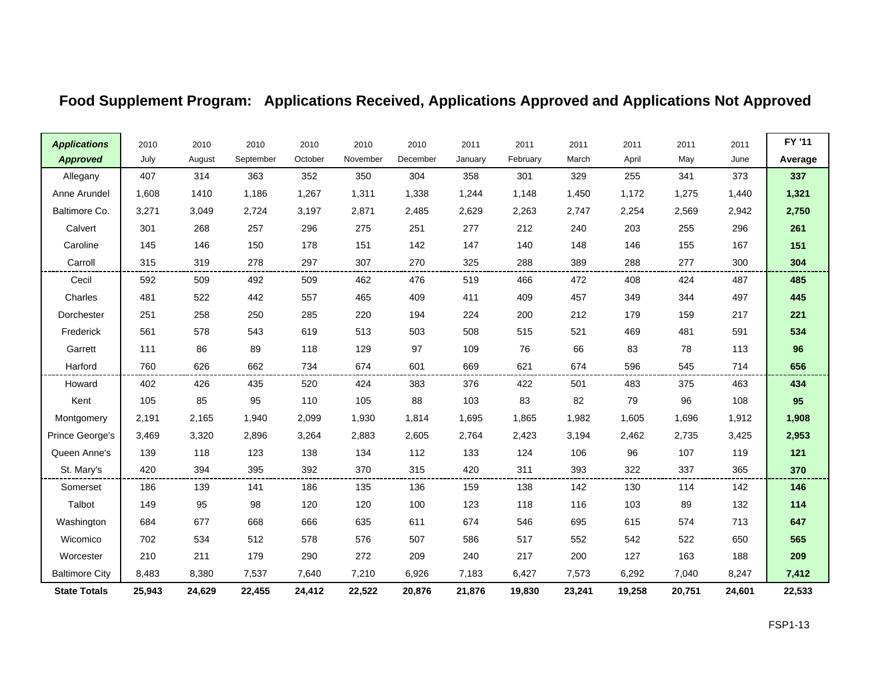## **Food Supplement Program: Applications Received, Applications Approved and Applications Not Approved**

| <b>Applications</b>   | 2010   | 2010   | 2010      | 2010    | 2010     | 2010     | 2011    | 2011     | 2011   | 2011   | 2011   | 2011   | FY '11  |
|-----------------------|--------|--------|-----------|---------|----------|----------|---------|----------|--------|--------|--------|--------|---------|
| <b>Approved</b>       | July   | August | September | October | November | December | January | February | March  | April  | May    | June   | Average |
| Allegany              | 407    | 314    | 363       | 352     | 350      | 304      | 358     | 301      | 329    | 255    | 341    | 373    | 337     |
| Anne Arundel          | 1,608  | 1410   | 1,186     | 1,267   | 1,311    | 1,338    | 1,244   | 1,148    | 1,450  | 1,172  | 1,275  | 1,440  | 1,321   |
| Baltimore Co.         | 3,271  | 3,049  | 2,724     | 3,197   | 2,871    | 2,485    | 2,629   | 2,263    | 2,747  | 2,254  | 2,569  | 2,942  | 2,750   |
| Calvert               | 301    | 268    | 257       | 296     | 275      | 251      | 277     | 212      | 240    | 203    | 255    | 296    | 261     |
| Caroline              | 145    | 146    | 150       | 178     | 151      | 142      | 147     | 140      | 148    | 146    | 155    | 167    | 151     |
| Carroll               | 315    | 319    | 278       | 297     | 307      | 270      | 325     | 288      | 389    | 288    | 277    | 300    | 304     |
| Cecil                 | 592    | 509    | 492       | 509     | 462      | 476      | 519     | 466      | 472    | 408    | 424    | 487    | 485     |
| Charles               | 481    | 522    | 442       | 557     | 465      | 409      | 411     | 409      | 457    | 349    | 344    | 497    | 445     |
| Dorchester            | 251    | 258    | 250       | 285     | 220      | 194      | 224     | 200      | 212    | 179    | 159    | 217    | 221     |
| Frederick             | 561    | 578    | 543       | 619     | 513      | 503      | 508     | 515      | 521    | 469    | 481    | 591    | 534     |
| Garrett               | 111    | 86     | 89        | 118     | 129      | 97       | 109     | 76       | 66     | 83     | 78     | 113    | 96      |
| Harford               | 760    | 626    | 662       | 734     | 674      | 601      | 669     | 621      | 674    | 596    | 545    | 714    | 656     |
| Howard                | 402    | 426    | 435       | 520     | 424      | 383      | 376     | 422      | 501    | 483    | 375    | 463    | 434     |
| Kent                  | 105    | 85     | 95        | 110     | 105      | 88       | 103     | 83       | 82     | 79     | 96     | 108    | 95      |
| Montgomery            | 2,191  | 2,165  | 1,940     | 2,099   | 1,930    | 1,814    | 1,695   | 1,865    | 1,982  | 1,605  | 1,696  | 1,912  | 1,908   |
| Prince George's       | 3,469  | 3,320  | 2,896     | 3,264   | 2,883    | 2,605    | 2,764   | 2,423    | 3,194  | 2,462  | 2,735  | 3,425  | 2,953   |
| Queen Anne's          | 139    | 118    | 123       | 138     | 134      | 112      | 133     | 124      | 106    | 96     | 107    | 119    | 121     |
| St. Mary's            | 420    | 394    | 395       | 392     | 370      | 315      | 420     | 311      | 393    | 322    | 337    | 365    | 370     |
| Somerset              | 186    | 139    | 141       | 186     | 135      | 136      | 159     | 138      | 142    | 130    | 114    | 142    | 146     |
| Talbot                | 149    | 95     | 98        | 120     | 120      | 100      | 123     | 118      | 116    | 103    | 89     | 132    | 114     |
| Washington            | 684    | 677    | 668       | 666     | 635      | 611      | 674     | 546      | 695    | 615    | 574    | 713    | 647     |
| Wicomico              | 702    | 534    | 512       | 578     | 576      | 507      | 586     | 517      | 552    | 542    | 522    | 650    | 565     |
| Worcester             | 210    | 211    | 179       | 290     | 272      | 209      | 240     | 217      | 200    | 127    | 163    | 188    | 209     |
| <b>Baltimore City</b> | 8,483  | 8,380  | 7,537     | 7,640   | 7,210    | 6,926    | 7,183   | 6,427    | 7,573  | 6,292  | 7,040  | 8,247  | 7,412   |
| <b>State Totals</b>   | 25,943 | 24,629 | 22,455    | 24,412  | 22,522   | 20,876   | 21,876  | 19,830   | 23,241 | 19,258 | 20,751 | 24,601 | 22,533  |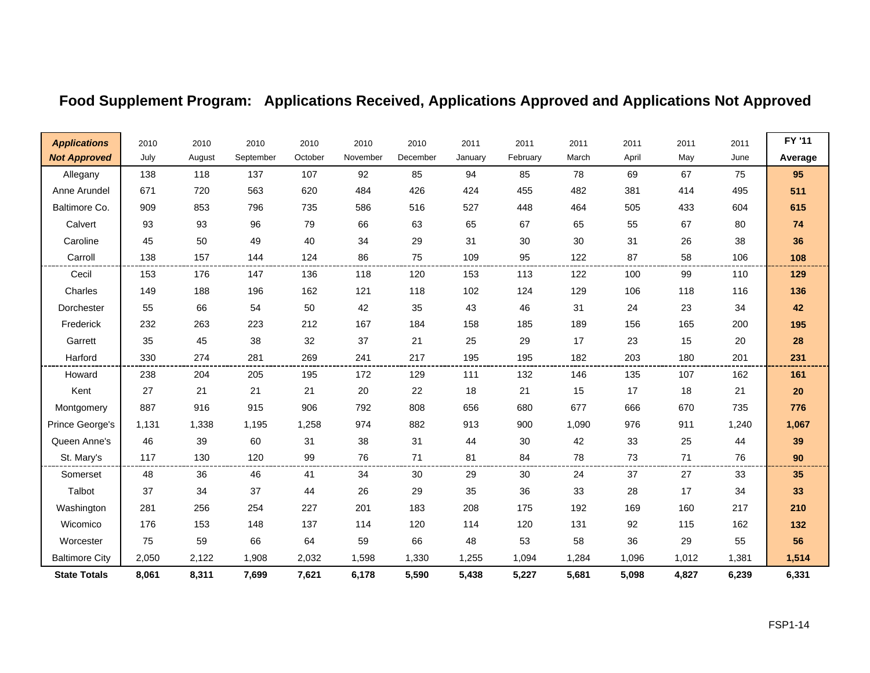# **Food Supplement Program: Applications Received, Applications Approved and Applications Not Approved**

| <b>Applications</b>   | 2010  | 2010   | 2010      | 2010    | 2010     | 2010     | 2011    | 2011     | 2011  | 2011  | 2011  | 2011  | FY '11  |
|-----------------------|-------|--------|-----------|---------|----------|----------|---------|----------|-------|-------|-------|-------|---------|
| <b>Not Approved</b>   | July  | August | September | October | November | December | January | February | March | April | May   | June  | Average |
| Allegany              | 138   | 118    | 137       | 107     | 92       | 85       | 94      | 85       | 78    | 69    | 67    | 75    | 95      |
| Anne Arundel          | 671   | 720    | 563       | 620     | 484      | 426      | 424     | 455      | 482   | 381   | 414   | 495   | 511     |
| Baltimore Co.         | 909   | 853    | 796       | 735     | 586      | 516      | 527     | 448      | 464   | 505   | 433   | 604   | 615     |
| Calvert               | 93    | 93     | 96        | 79      | 66       | 63       | 65      | 67       | 65    | 55    | 67    | 80    | 74      |
| Caroline              | 45    | 50     | 49        | 40      | 34       | 29       | 31      | 30       | 30    | 31    | 26    | 38    | 36      |
| Carroll               | 138   | 157    | 144       | 124     | 86       | 75       | 109     | 95       | 122   | 87    | 58    | 106   | 108     |
| Cecil                 | 153   | 176    | 147       | 136     | 118      | 120      | 153     | 113      | 122   | 100   | 99    | 110   | 129     |
| Charles               | 149   | 188    | 196       | 162     | 121      | 118      | 102     | 124      | 129   | 106   | 118   | 116   | 136     |
| Dorchester            | 55    | 66     | 54        | 50      | 42       | 35       | 43      | 46       | 31    | 24    | 23    | 34    | 42      |
| Frederick             | 232   | 263    | 223       | 212     | 167      | 184      | 158     | 185      | 189   | 156   | 165   | 200   | 195     |
| Garrett               | 35    | 45     | 38        | 32      | 37       | 21       | 25      | 29       | 17    | 23    | 15    | 20    | 28      |
| Harford               | 330   | 274    | 281       | 269     | 241      | 217      | 195     | 195      | 182   | 203   | 180   | 201   | 231     |
| Howard                | 238   | 204    | 205       | 195     | 172      | 129      | 111     | 132      | 146   | 135   | 107   | 162   | 161     |
| Kent                  | 27    | 21     | 21        | 21      | 20       | 22       | 18      | 21       | 15    | 17    | 18    | 21    | 20      |
| Montgomery            | 887   | 916    | 915       | 906     | 792      | 808      | 656     | 680      | 677   | 666   | 670   | 735   | 776     |
| Prince George's       | 1,131 | 1,338  | 1,195     | 1,258   | 974      | 882      | 913     | 900      | 1,090 | 976   | 911   | 1,240 | 1,067   |
| Queen Anne's          | 46    | 39     | 60        | 31      | 38       | 31       | 44      | 30       | 42    | 33    | 25    | 44    | 39      |
| St. Mary's            | 117   | 130    | 120       | 99      | 76       | 71       | 81      | 84       | 78    | 73    | 71    | 76    | 90      |
| Somerset              | 48    | 36     | 46        | 41      | 34       | 30       | 29      | 30       | 24    | 37    | 27    | 33    | 35      |
| Talbot                | 37    | 34     | 37        | 44      | 26       | 29       | 35      | 36       | 33    | 28    | 17    | 34    | 33      |
| Washington            | 281   | 256    | 254       | 227     | 201      | 183      | 208     | 175      | 192   | 169   | 160   | 217   | 210     |
| Wicomico              | 176   | 153    | 148       | 137     | 114      | 120      | 114     | 120      | 131   | 92    | 115   | 162   | 132     |
| Worcester             | 75    | 59     | 66        | 64      | 59       | 66       | 48      | 53       | 58    | 36    | 29    | 55    | 56      |
| <b>Baltimore City</b> | 2,050 | 2,122  | 1,908     | 2,032   | 1,598    | 1,330    | 1,255   | 1,094    | 1,284 | 1,096 | 1,012 | 1,381 | 1,514   |
| <b>State Totals</b>   | 8,061 | 8,311  | 7,699     | 7,621   | 6,178    | 5,590    | 5,438   | 5,227    | 5,681 | 5,098 | 4,827 | 6,239 | 6,331   |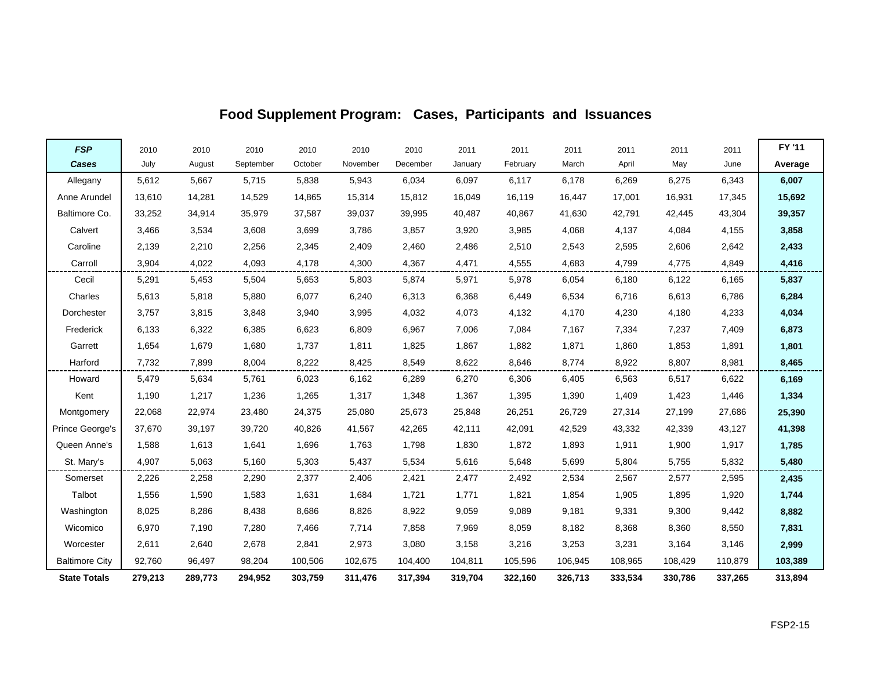| <b>FSP</b>            | 2010    | 2010    | 2010      | 2010    | 2010     | 2010     | 2011    | 2011     | 2011    | 2011    | 2011    | 2011    | FY '11  |
|-----------------------|---------|---------|-----------|---------|----------|----------|---------|----------|---------|---------|---------|---------|---------|
| Cases                 | July    | August  | September | October | November | December | January | February | March   | April   | May     | June    | Average |
| Allegany              | 5,612   | 5,667   | 5,715     | 5,838   | 5,943    | 6,034    | 6,097   | 6,117    | 6,178   | 6,269   | 6,275   | 6,343   | 6,007   |
| Anne Arundel          | 13,610  | 14,281  | 14,529    | 14,865  | 15,314   | 15,812   | 16,049  | 16,119   | 16,447  | 17,001  | 16,931  | 17,345  | 15,692  |
| Baltimore Co.         | 33,252  | 34,914  | 35,979    | 37,587  | 39,037   | 39,995   | 40,487  | 40,867   | 41,630  | 42,791  | 42,445  | 43,304  | 39,357  |
| Calvert               | 3,466   | 3,534   | 3,608     | 3,699   | 3,786    | 3,857    | 3,920   | 3,985    | 4,068   | 4,137   | 4,084   | 4,155   | 3,858   |
| Caroline              | 2,139   | 2,210   | 2,256     | 2,345   | 2,409    | 2,460    | 2,486   | 2,510    | 2,543   | 2,595   | 2,606   | 2,642   | 2,433   |
| Carroll               | 3,904   | 4,022   | 4,093     | 4,178   | 4,300    | 4,367    | 4,471   | 4,555    | 4,683   | 4,799   | 4,775   | 4,849   | 4,416   |
| Cecil                 | 5,291   | 5,453   | 5,504     | 5,653   | 5,803    | 5,874    | 5,971   | 5,978    | 6,054   | 6,180   | 6,122   | 6,165   | 5,837   |
| Charles               | 5,613   | 5,818   | 5,880     | 6,077   | 6,240    | 6,313    | 6,368   | 6,449    | 6,534   | 6,716   | 6,613   | 6,786   | 6,284   |
| Dorchester            | 3,757   | 3,815   | 3,848     | 3,940   | 3,995    | 4,032    | 4,073   | 4,132    | 4,170   | 4,230   | 4,180   | 4,233   | 4,034   |
| Frederick             | 6,133   | 6,322   | 6,385     | 6,623   | 6,809    | 6,967    | 7,006   | 7,084    | 7,167   | 7,334   | 7,237   | 7,409   | 6,873   |
| Garrett               | 1,654   | 1,679   | 1,680     | 1,737   | 1,811    | 1,825    | 1,867   | 1,882    | 1,871   | 1,860   | 1,853   | 1,891   | 1,801   |
| Harford               | 7,732   | 7,899   | 8,004     | 8,222   | 8,425    | 8,549    | 8,622   | 8,646    | 8,774   | 8,922   | 8,807   | 8,981   | 8,465   |
| Howard                | 5,479   | 5,634   | 5,761     | 6,023   | 6,162    | 6,289    | 6,270   | 6,306    | 6,405   | 6,563   | 6,517   | 6,622   | 6,169   |
| Kent                  | 1,190   | 1,217   | 1,236     | 1,265   | 1,317    | 1,348    | 1,367   | 1,395    | 1,390   | 1,409   | 1,423   | 1,446   | 1,334   |
| Montgomery            | 22,068  | 22,974  | 23,480    | 24,375  | 25,080   | 25,673   | 25,848  | 26,251   | 26,729  | 27,314  | 27,199  | 27,686  | 25,390  |
| Prince George's       | 37,670  | 39,197  | 39,720    | 40,826  | 41,567   | 42,265   | 42,111  | 42,091   | 42,529  | 43,332  | 42,339  | 43,127  | 41,398  |
| Queen Anne's          | 1,588   | 1,613   | 1,641     | 1,696   | 1,763    | 1,798    | 1,830   | 1,872    | 1,893   | 1,911   | 1,900   | 1,917   | 1,785   |
| St. Mary's            | 4,907   | 5,063   | 5,160     | 5,303   | 5,437    | 5,534    | 5,616   | 5,648    | 5,699   | 5,804   | 5,755   | 5,832   | 5,480   |
| Somerset              | 2,226   | 2,258   | 2,290     | 2,377   | 2,406    | 2,421    | 2,477   | 2,492    | 2,534   | 2,567   | 2,577   | 2,595   | 2,435   |
| Talbot                | 1,556   | 1,590   | 1,583     | 1,631   | 1,684    | 1,721    | 1,771   | 1,821    | 1,854   | 1,905   | 1,895   | 1,920   | 1,744   |
| Washington            | 8,025   | 8,286   | 8,438     | 8,686   | 8,826    | 8,922    | 9,059   | 9,089    | 9,181   | 9,331   | 9,300   | 9,442   | 8,882   |
| Wicomico              | 6,970   | 7,190   | 7,280     | 7,466   | 7,714    | 7,858    | 7,969   | 8,059    | 8,182   | 8,368   | 8,360   | 8,550   | 7,831   |
| Worcester             | 2,611   | 2,640   | 2,678     | 2,841   | 2,973    | 3,080    | 3,158   | 3,216    | 3,253   | 3,231   | 3,164   | 3,146   | 2,999   |
| <b>Baltimore City</b> | 92,760  | 96,497  | 98,204    | 100,506 | 102,675  | 104,400  | 104,811 | 105,596  | 106,945 | 108,965 | 108,429 | 110,879 | 103,389 |
| <b>State Totals</b>   | 279,213 | 289,773 | 294,952   | 303,759 | 311,476  | 317,394  | 319,704 | 322,160  | 326,713 | 333,534 | 330,786 | 337,265 | 313,894 |

## **Food Supplement Program: Cases, Participants and Issuances**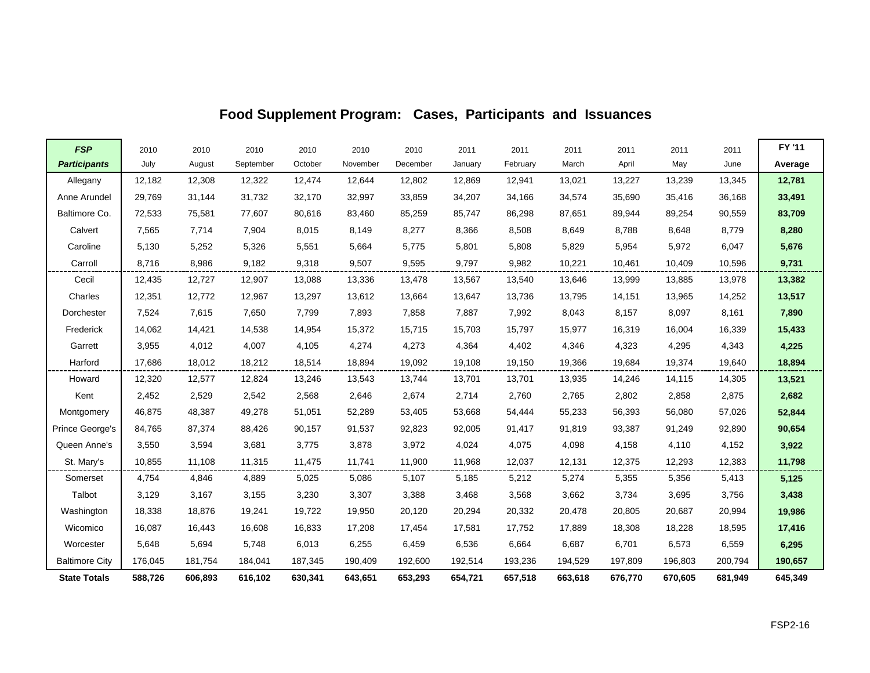| <b>FSP</b>            | 2010    | 2010    | 2010      | 2010    | 2010     | 2010     | 2011    | 2011     | 2011    | 2011    | 2011    | 2011    | FY '11  |
|-----------------------|---------|---------|-----------|---------|----------|----------|---------|----------|---------|---------|---------|---------|---------|
| <b>Participants</b>   | July    | August  | September | October | November | December | January | February | March   | April   | May     | June    | Average |
| Allegany              | 12,182  | 12,308  | 12,322    | 12,474  | 12,644   | 12,802   | 12,869  | 12,941   | 13,021  | 13,227  | 13,239  | 13,345  | 12,781  |
| Anne Arundel          | 29,769  | 31,144  | 31,732    | 32,170  | 32,997   | 33,859   | 34,207  | 34,166   | 34,574  | 35,690  | 35,416  | 36,168  | 33,491  |
| Baltimore Co.         | 72,533  | 75,581  | 77,607    | 80,616  | 83,460   | 85,259   | 85,747  | 86,298   | 87,651  | 89,944  | 89,254  | 90,559  | 83,709  |
| Calvert               | 7,565   | 7,714   | 7,904     | 8,015   | 8,149    | 8,277    | 8,366   | 8,508    | 8,649   | 8,788   | 8,648   | 8,779   | 8,280   |
| Caroline              | 5,130   | 5,252   | 5,326     | 5,551   | 5,664    | 5,775    | 5,801   | 5,808    | 5,829   | 5,954   | 5,972   | 6,047   | 5,676   |
| Carroll               | 8,716   | 8,986   | 9,182     | 9,318   | 9,507    | 9,595    | 9,797   | 9,982    | 10,221  | 10,461  | 10,409  | 10,596  | 9,731   |
| Cecil                 | 12,435  | 12,727  | 12,907    | 13,088  | 13,336   | 13,478   | 13,567  | 13,540   | 13,646  | 13,999  | 13,885  | 13,978  | 13,382  |
| Charles               | 12,351  | 12,772  | 12,967    | 13,297  | 13,612   | 13,664   | 13,647  | 13,736   | 13,795  | 14,151  | 13,965  | 14,252  | 13,517  |
| Dorchester            | 7,524   | 7,615   | 7,650     | 7,799   | 7,893    | 7,858    | 7,887   | 7,992    | 8,043   | 8,157   | 8,097   | 8,161   | 7,890   |
| Frederick             | 14,062  | 14,421  | 14,538    | 14,954  | 15,372   | 15,715   | 15,703  | 15,797   | 15,977  | 16,319  | 16,004  | 16,339  | 15,433  |
| Garrett               | 3,955   | 4,012   | 4,007     | 4,105   | 4,274    | 4,273    | 4,364   | 4,402    | 4,346   | 4,323   | 4,295   | 4,343   | 4,225   |
| Harford               | 17,686  | 18,012  | 18,212    | 18,514  | 18,894   | 19,092   | 19,108  | 19,150   | 19,366  | 19,684  | 19,374  | 19,640  | 18,894  |
| Howard                | 12,320  | 12,577  | 12,824    | 13,246  | 13,543   | 13,744   | 13,701  | 13,701   | 13,935  | 14,246  | 14,115  | 14,305  | 13,521  |
| Kent                  | 2,452   | 2,529   | 2,542     | 2,568   | 2,646    | 2,674    | 2,714   | 2,760    | 2,765   | 2,802   | 2,858   | 2,875   | 2,682   |
| Montgomery            | 46,875  | 48,387  | 49,278    | 51,051  | 52,289   | 53,405   | 53,668  | 54,444   | 55,233  | 56,393  | 56,080  | 57,026  | 52,844  |
| Prince George's       | 84,765  | 87,374  | 88,426    | 90,157  | 91,537   | 92,823   | 92,005  | 91,417   | 91,819  | 93,387  | 91,249  | 92,890  | 90,654  |
| Queen Anne's          | 3,550   | 3,594   | 3,681     | 3,775   | 3,878    | 3,972    | 4,024   | 4,075    | 4,098   | 4,158   | 4,110   | 4,152   | 3,922   |
| St. Mary's            | 10,855  | 11,108  | 11,315    | 11,475  | 11,741   | 11,900   | 11,968  | 12,037   | 12,131  | 12,375  | 12,293  | 12,383  | 11,798  |
| Somerset              | 4,754   | 4,846   | 4,889     | 5,025   | 5,086    | 5,107    | 5,185   | 5,212    | 5,274   | 5,355   | 5,356   | 5,413   | 5,125   |
| Talbot                | 3,129   | 3,167   | 3,155     | 3,230   | 3,307    | 3,388    | 3,468   | 3,568    | 3,662   | 3,734   | 3,695   | 3,756   | 3,438   |
| Washington            | 18,338  | 18,876  | 19,241    | 19,722  | 19,950   | 20,120   | 20,294  | 20,332   | 20,478  | 20,805  | 20,687  | 20,994  | 19,986  |
| Wicomico              | 16.087  | 16,443  | 16,608    | 16,833  | 17,208   | 17.454   | 17,581  | 17.752   | 17,889  | 18,308  | 18,228  | 18,595  | 17,416  |
| Worcester             | 5,648   | 5,694   | 5,748     | 6,013   | 6,255    | 6,459    | 6,536   | 6,664    | 6,687   | 6,701   | 6,573   | 6,559   | 6,295   |
| <b>Baltimore City</b> | 176,045 | 181,754 | 184,041   | 187,345 | 190,409  | 192,600  | 192,514 | 193,236  | 194,529 | 197,809 | 196,803 | 200,794 | 190,657 |
| <b>State Totals</b>   | 588,726 | 606,893 | 616,102   | 630,341 | 643,651  | 653,293  | 654.721 | 657,518  | 663,618 | 676.770 | 670,605 | 681.949 | 645,349 |

## **Food Supplement Program: Cases, Participants and Issuances**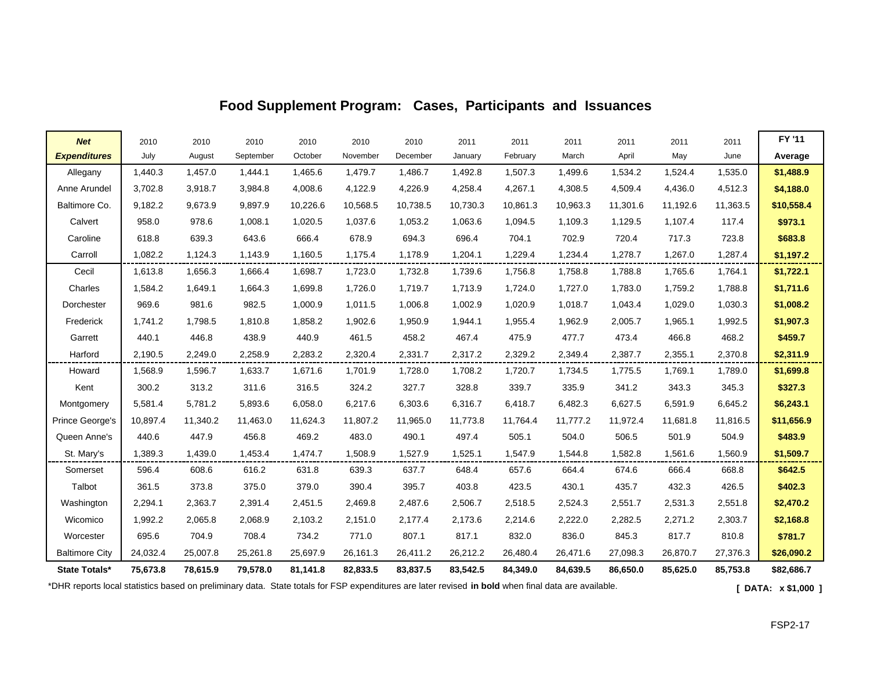| <b>Net</b>            | 2010     | 2010     | 2010      | 2010     | 2010     | 2010     | 2011     | 2011     | 2011     | 2011     | 2011     | 2011     | FY '11     |
|-----------------------|----------|----------|-----------|----------|----------|----------|----------|----------|----------|----------|----------|----------|------------|
| <b>Expenditures</b>   | July     | August   | September | October  | November | December | January  | February | March    | April    | May      | June     | Average    |
| Allegany              | 1,440.3  | 1,457.0  | 1,444.1   | 1,465.6  | 1,479.7  | 1,486.7  | 1,492.8  | 1,507.3  | 1,499.6  | 1,534.2  | 1,524.4  | 1,535.0  | \$1,488.9  |
| Anne Arundel          | 3,702.8  | 3,918.7  | 3,984.8   | 4,008.6  | 4,122.9  | 4,226.9  | 4,258.4  | 4,267.1  | 4,308.5  | 4,509.4  | 4,436.0  | 4,512.3  | \$4,188.0  |
| Baltimore Co.         | 9,182.2  | 9,673.9  | 9,897.9   | 10,226.6 | 10,568.5 | 10,738.5 | 10,730.3 | 10,861.3 | 10,963.3 | 11,301.6 | 11,192.6 | 11,363.5 | \$10,558.4 |
| Calvert               | 958.0    | 978.6    | 1,008.1   | 1,020.5  | 1,037.6  | 1,053.2  | 1,063.6  | 1,094.5  | 1,109.3  | 1,129.5  | 1,107.4  | 117.4    | \$973.1    |
| Caroline              | 618.8    | 639.3    | 643.6     | 666.4    | 678.9    | 694.3    | 696.4    | 704.1    | 702.9    | 720.4    | 717.3    | 723.8    | \$683.8    |
| Carroll               | 1.082.2  | 1,124.3  | 1,143.9   | 1,160.5  | 1,175.4  | 1,178.9  | 1,204.1  | 1,229.4  | 1,234.4  | 1,278.7  | 1,267.0  | 1.287.4  | \$1,197.2  |
| Cecil                 | 1,613.8  | 1,656.3  | 1,666.4   | 1,698.7  | 1,723.0  | 1,732.8  | 1,739.6  | 1,756.8  | 1,758.8  | 1,788.8  | 1,765.6  | 1,764.1  | \$1,722.1  |
| Charles               | 1,584.2  | 1,649.1  | 1,664.3   | 1,699.8  | 1,726.0  | 1,719.7  | 1,713.9  | 1,724.0  | 1,727.0  | 1,783.0  | 1,759.2  | 1,788.8  | \$1,711.6  |
| Dorchester            | 969.6    | 981.6    | 982.5     | 1,000.9  | 1,011.5  | 1,006.8  | 1,002.9  | 1,020.9  | 1,018.7  | 1,043.4  | 1,029.0  | 1,030.3  | \$1,008.2  |
| Frederick             | 1,741.2  | 1,798.5  | 1,810.8   | 1,858.2  | 1,902.6  | 1,950.9  | 1,944.1  | 1,955.4  | 1,962.9  | 2,005.7  | 1,965.1  | 1,992.5  | \$1,907.3  |
| Garrett               | 440.1    | 446.8    | 438.9     | 440.9    | 461.5    | 458.2    | 467.4    | 475.9    | 477.7    | 473.4    | 466.8    | 468.2    | \$459.7    |
| Harford               | 2,190.5  | 2,249.0  | 2,258.9   | 2,283.2  | 2,320.4  | 2,331.7  | 2,317.2  | 2,329.2  | 2,349.4  | 2,387.7  | 2,355.1  | 2,370.8  | \$2,311.9  |
| Howard                | 1,568.9  | 1,596.7  | 1,633.7   | 1,671.6  | 1,701.9  | 1,728.0  | 1,708.2  | 1,720.7  | 1,734.5  | 1,775.5  | 1,769.1  | 1,789.0  | \$1,699.8  |
| Kent                  | 300.2    | 313.2    | 311.6     | 316.5    | 324.2    | 327.7    | 328.8    | 339.7    | 335.9    | 341.2    | 343.3    | 345.3    | \$327.3    |
| Montgomery            | 5,581.4  | 5,781.2  | 5,893.6   | 6,058.0  | 6,217.6  | 6,303.6  | 6,316.7  | 6,418.7  | 6,482.3  | 6,627.5  | 6,591.9  | 6,645.2  | \$6,243.1  |
| Prince George's       | 10,897.4 | 11,340.2 | 11,463.0  | 11,624.3 | 11,807.2 | 11,965.0 | 11,773.8 | 11,764.4 | 11,777.2 | 11,972.4 | 11,681.8 | 11,816.5 | \$11,656.9 |
| Queen Anne's          | 440.6    | 447.9    | 456.8     | 469.2    | 483.0    | 490.1    | 497.4    | 505.1    | 504.0    | 506.5    | 501.9    | 504.9    | \$483.9    |
| St. Mary's            | 1,389.3  | 1,439.0  | 1,453.4   | 1,474.7  | 1,508.9  | 1,527.9  | 1,525.1  | 1,547.9  | 1,544.8  | 1,582.8  | 1,561.6  | 1,560.9  | \$1,509.7  |
| Somerset              | 596.4    | 608.6    | 616.2     | 631.8    | 639.3    | 637.7    | 648.4    | 657.6    | 664.4    | 674.6    | 666.4    | 668.8    | \$642.5    |
| Talbot                | 361.5    | 373.8    | 375.0     | 379.0    | 390.4    | 395.7    | 403.8    | 423.5    | 430.1    | 435.7    | 432.3    | 426.5    | \$402.3    |
| Washington            | 2,294.1  | 2,363.7  | 2,391.4   | 2,451.5  | 2,469.8  | 2,487.6  | 2,506.7  | 2,518.5  | 2,524.3  | 2,551.7  | 2,531.3  | 2,551.8  | \$2,470.2  |
| Wicomico              | 1,992.2  | 2,065.8  | 2,068.9   | 2,103.2  | 2,151.0  | 2,177.4  | 2,173.6  | 2,214.6  | 2,222.0  | 2,282.5  | 2,271.2  | 2,303.7  | \$2,168.8  |
| Worcester             | 695.6    | 704.9    | 708.4     | 734.2    | 771.0    | 807.1    | 817.1    | 832.0    | 836.0    | 845.3    | 817.7    | 810.8    | \$781.7    |
| <b>Baltimore City</b> | 24,032.4 | 25,007.8 | 25,261.8  | 25,697.9 | 26,161.3 | 26,411.2 | 26,212.2 | 26,480.4 | 26,471.6 | 27,098.3 | 26,870.7 | 27,376.3 | \$26,090.2 |
| State Totals*         | 75,673.8 | 78,615.9 | 79,578.0  | 81,141.8 | 82,833.5 | 83,837.5 | 83,542.5 | 84,349.0 | 84,639.5 | 86,650.0 | 85,625.0 | 85,753.8 | \$82,686.7 |

### **Food Supplement Program: Cases, Participants and Issuances**

\*DHR reports local statistics based on preliminary data. State totals for FSP expenditures are later revised **in bold** when final data are available. **[ DATA: x \$1,000 ]**

 $\mathsf{r}$ 

┑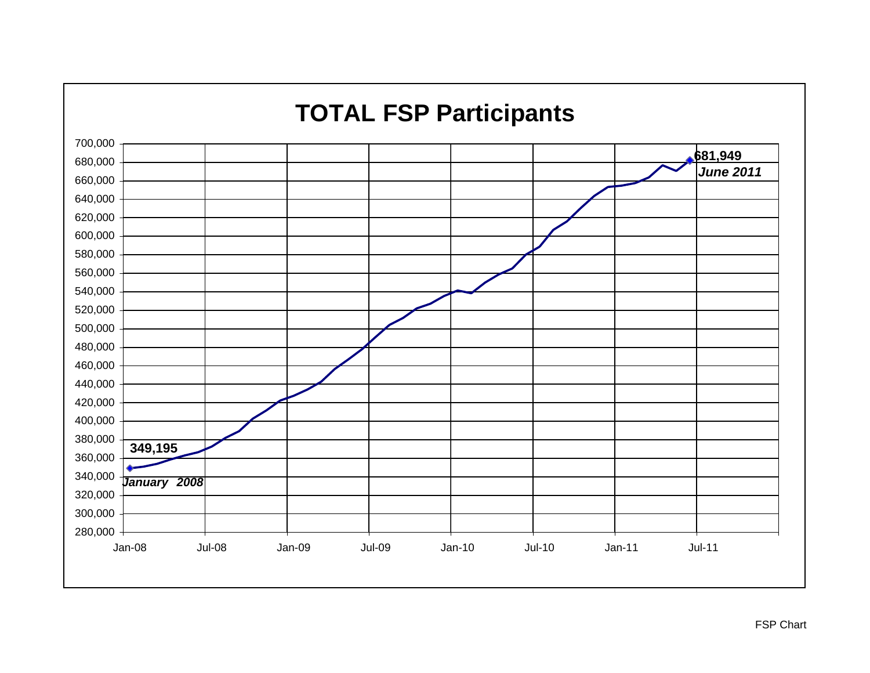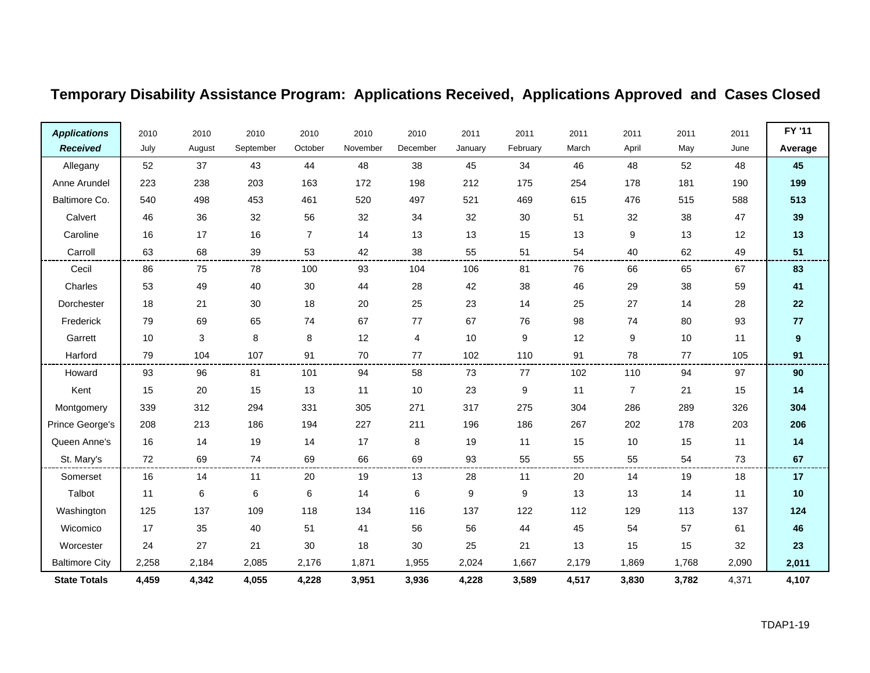## **Temporary Disability Assistance Program: Applications Received, Applications Approved and Cases Closed**

| <b>Applications</b>   | 2010  | 2010   | 2010      | 2010           | 2010     | 2010     | 2011    | 2011             | 2011  | 2011  | 2011  | 2011  | FY '11           |
|-----------------------|-------|--------|-----------|----------------|----------|----------|---------|------------------|-------|-------|-------|-------|------------------|
| <b>Received</b>       | July  | August | September | October        | November | December | January | February         | March | April | May   | June  | Average          |
| Allegany              | 52    | 37     | 43        | 44             | 48       | 38       | 45      | 34               | 46    | 48    | 52    | 48    | 45               |
| Anne Arundel          | 223   | 238    | 203       | 163            | 172      | 198      | 212     | 175              | 254   | 178   | 181   | 190   | 199              |
| Baltimore Co.         | 540   | 498    | 453       | 461            | 520      | 497      | 521     | 469              | 615   | 476   | 515   | 588   | 513              |
| Calvert               | 46    | 36     | 32        | 56             | 32       | 34       | 32      | 30               | 51    | 32    | 38    | 47    | 39               |
| Caroline              | 16    | 17     | 16        | $\overline{7}$ | 14       | 13       | 13      | 15               | 13    | 9     | 13    | 12    | 13               |
| Carroll               | 63    | 68     | 39        | 53             | 42       | 38       | 55      | 51               | 54    | 40    | 62    | 49    | 51               |
| Cecil                 | 86    | 75     | 78        | 100            | 93       | 104      | 106     | 81               | 76    | 66    | 65    | 67    | 83               |
| Charles               | 53    | 49     | 40        | 30             | 44       | 28       | 42      | 38               | 46    | 29    | 38    | 59    | 41               |
| Dorchester            | 18    | 21     | 30        | 18             | 20       | 25       | 23      | 14               | 25    | 27    | 14    | 28    | 22               |
| Frederick             | 79    | 69     | 65        | 74             | 67       | 77       | 67      | 76               | 98    | 74    | 80    | 93    | 77               |
| Garrett               | 10    | 3      | 8         | 8              | 12       | 4        | 10      | $\boldsymbol{9}$ | 12    | 9     | 10    | 11    | $\boldsymbol{9}$ |
| Harford               | 79    | 104    | 107       | 91             | 70       | 77       | 102     | 110              | 91    | 78    | 77    | 105   | 91               |
| Howard                | 93    | 96     | 81        | 101            | 94       | 58       | 73      | 77               | 102   | 110   | 94    | 97    | 90               |
| Kent                  | 15    | 20     | 15        | 13             | 11       | 10       | 23      | 9                | 11    | 7     | 21    | 15    | 14               |
| Montgomery            | 339   | 312    | 294       | 331            | 305      | 271      | 317     | 275              | 304   | 286   | 289   | 326   | 304              |
| Prince George's       | 208   | 213    | 186       | 194            | 227      | 211      | 196     | 186              | 267   | 202   | 178   | 203   | 206              |
| Queen Anne's          | 16    | 14     | 19        | 14             | 17       | 8        | 19      | 11               | 15    | $10$  | 15    | 11    | 14               |
| St. Mary's            | 72    | 69     | 74        | 69             | 66       | 69       | 93      | 55               | 55    | 55    | 54    | 73    | 67               |
| Somerset              | 16    | 14     | 11        | 20             | 19       | 13       | 28      | 11               | 20    | 14    | 19    | 18    | 17               |
| Talbot                | 11    | 6      | 6         | 6              | 14       | 6        | 9       | 9                | 13    | 13    | 14    | 11    | 10               |
| Washington            | 125   | 137    | 109       | 118            | 134      | 116      | 137     | 122              | 112   | 129   | 113   | 137   | 124              |
| Wicomico              | 17    | 35     | 40        | 51             | 41       | 56       | 56      | 44               | 45    | 54    | 57    | 61    | 46               |
| Worcester             | 24    | 27     | 21        | 30             | 18       | 30       | 25      | 21               | 13    | 15    | 15    | 32    | 23               |
| <b>Baltimore City</b> | 2,258 | 2,184  | 2,085     | 2,176          | 1,871    | 1,955    | 2,024   | 1,667            | 2,179 | 1,869 | 1,768 | 2,090 | 2,011            |
| <b>State Totals</b>   | 4,459 | 4,342  | 4,055     | 4,228          | 3,951    | 3,936    | 4,228   | 3,589            | 4,517 | 3,830 | 3,782 | 4,371 | 4,107            |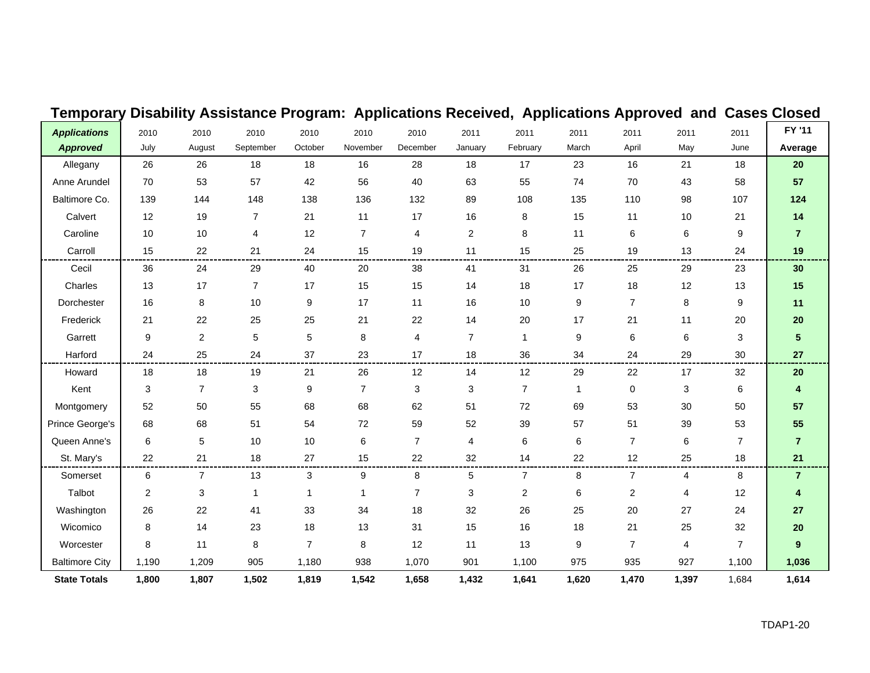| Temporary             |       |                | Disability Assistance Program: Applications Received, Applications Approved and Cases Closed |                |                |                |                |                |              |                |                |                |                 |
|-----------------------|-------|----------------|----------------------------------------------------------------------------------------------|----------------|----------------|----------------|----------------|----------------|--------------|----------------|----------------|----------------|-----------------|
| <b>Applications</b>   | 2010  | 2010           | 2010                                                                                         | 2010           | 2010           | 2010           | 2011           | 2011           | 2011         | 2011           | 2011           | 2011           | FY '11          |
| <b>Approved</b>       | July  | August         | September                                                                                    | October        | November       | December       | January        | February       | March        | April          | May            | June           | Average         |
| Allegany              | 26    | 26             | 18                                                                                           | 18             | 16             | 28             | 18             | 17             | 23           | 16             | 21             | 18             | 20              |
| Anne Arundel          | 70    | 53             | 57                                                                                           | 42             | 56             | 40             | 63             | 55             | 74           | 70             | 43             | 58             | 57              |
| Baltimore Co.         | 139   | 144            | 148                                                                                          | 138            | 136            | 132            | 89             | 108            | 135          | 110            | 98             | 107            | 124             |
| Calvert               | 12    | 19             | 7                                                                                            | 21             | 11             | 17             | 16             | 8              | 15           | 11             | 10             | 21             | 14              |
| Caroline              | 10    | 10             | 4                                                                                            | 12             | $\overline{7}$ | 4              | $\overline{2}$ | 8              | 11           | 6              | 6              | 9              | $\overline{7}$  |
| Carroll               | 15    | 22             | 21                                                                                           | 24             | 15             | 19             | 11             | 15             | 25           | 19             | 13             | 24             | 19              |
| Cecil                 | 36    | 24             | 29                                                                                           | 40             | 20             | 38             | 41             | 31             | 26           | 25             | 29             | 23             | 30              |
| Charles               | 13    | 17             | $\overline{7}$                                                                               | 17             | 15             | 15             | 14             | 18             | 17           | 18             | 12             | 13             | 15              |
| Dorchester            | 16    | 8              | 10                                                                                           | 9              | 17             | 11             | 16             | 10             | 9            | $\overline{7}$ | 8              | 9              | 11              |
| Frederick             | 21    | 22             | 25                                                                                           | 25             | 21             | 22             | 14             | 20             | 17           | 21             | 11             | 20             | ${\bf 20}$      |
| Garrett               | 9     | $\overline{2}$ | $\sqrt{5}$                                                                                   | 5              | 8              | 4              | $\overline{7}$ | -1             | 9            | 6              | 6              | 3              | $5\phantom{.0}$ |
| Harford               | 24    | 25             | 24                                                                                           | 37             | 23             | 17             | 18             | 36             | 34           | 24             | 29             | 30             | 27              |
| Howard                | 18    | 18             | 19                                                                                           | 21             | 26             | 12             | 14             | 12             | 29           | 22             | 17             | 32             | 20              |
| Kent                  | 3     | $\overline{7}$ | 3                                                                                            | 9              | $\overline{7}$ | 3              | 3              | $\overline{7}$ | $\mathbf{1}$ | 0              | 3              | 6              | 4               |
| Montgomery            | 52    | 50             | 55                                                                                           | 68             | 68             | 62             | 51             | $72\,$         | 69           | 53             | 30             | 50             | 57              |
| Prince George's       | 68    | 68             | 51                                                                                           | 54             | 72             | 59             | 52             | 39             | 57           | 51             | 39             | 53             | 55              |
| Queen Anne's          | 6     | 5              | 10                                                                                           | 10             | 6              | $\overline{7}$ | 4              | 6              | 6            | $\overline{7}$ | 6              | $\overline{7}$ | $\overline{7}$  |
| St. Mary's            | 22    | 21             | 18                                                                                           | 27             | 15             | 22             | 32             | 14             | 22           | 12             | 25             | 18             | 21              |
| Somerset              | 6     | $\overline{7}$ | 13                                                                                           | 3              | 9              | 8              | 5              | $\overline{7}$ | 8            | $\overline{7}$ | 4              | 8              | $\overline{7}$  |
| Talbot                | 2     | 3              | $\mathbf{1}$                                                                                 | 1              | $\mathbf 1$    | $\overline{7}$ | 3              | $\overline{2}$ | 6            | $\overline{c}$ | $\overline{4}$ | 12             | 4               |
| Washington            | 26    | 22             | 41                                                                                           | 33             | 34             | 18             | 32             | 26             | 25           | 20             | 27             | 24             | 27              |
| Wicomico              | 8     | 14             | 23                                                                                           | 18             | 13             | 31             | 15             | 16             | 18           | 21             | 25             | 32             | 20              |
| Worcester             | 8     | 11             | 8                                                                                            | $\overline{7}$ | 8              | 12             | 11             | 13             | 9            | 7              | 4              | $\overline{7}$ | 9               |
| <b>Baltimore City</b> | 1,190 | 1,209          | 905                                                                                          | 1,180          | 938            | 1,070          | 901            | 1,100          | 975          | 935            | 927            | 1,100          | 1,036           |
| <b>State Totals</b>   | 1,800 | 1,807          | 1,502                                                                                        | 1,819          | 1,542          | 1,658          | 1,432          | 1,641          | 1,620        | 1,470          | 1,397          | 1,684          | 1,614           |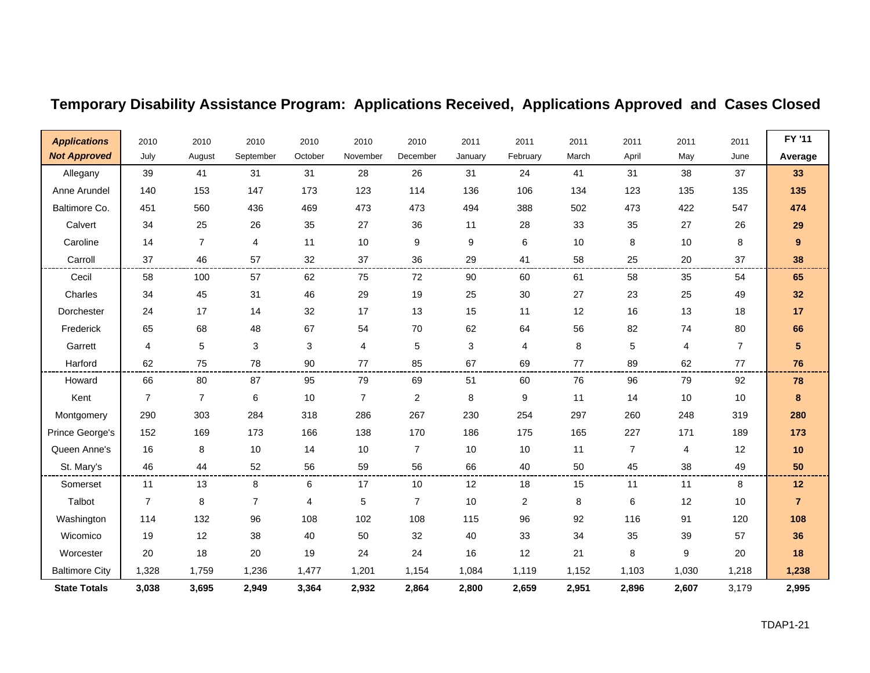| <b>Applications</b>   | 2010           | 2010           | 2010      | 2010    | 2010           | 2010           | 2011    | 2011     | 2011  | 2011           | 2011  | 2011           | FY '11          |
|-----------------------|----------------|----------------|-----------|---------|----------------|----------------|---------|----------|-------|----------------|-------|----------------|-----------------|
| <b>Not Approved</b>   | July           | August         | September | October | November       | December       | January | February | March | April          | May   | June           | Average         |
| Allegany              | 39             | 41             | 31        | 31      | 28             | 26             | 31      | 24       | 41    | 31             | 38    | 37             | 33              |
| Anne Arundel          | 140            | 153            | 147       | 173     | 123            | 114            | 136     | 106      | 134   | 123            | 135   | 135            | 135             |
| Baltimore Co.         | 451            | 560            | 436       | 469     | 473            | 473            | 494     | 388      | 502   | 473            | 422   | 547            | 474             |
| Calvert               | 34             | 25             | 26        | 35      | 27             | 36             | 11      | 28       | 33    | 35             | 27    | 26             | 29              |
| Caroline              | 14             | $\overline{7}$ | 4         | 11      | 10             | 9              | 9       | 6        | 10    | 8              | 10    | 8              | 9               |
| Carroll               | 37             | 46             | 57        | 32      | 37             | 36             | 29      | 41       | 58    | 25             | 20    | 37             | 38              |
| Cecil                 | 58             | 100            | 57        | 62      | 75             | 72             | 90      | 60       | 61    | 58             | 35    | 54             | 65              |
| Charles               | 34             | 45             | 31        | 46      | 29             | 19             | 25      | 30       | 27    | 23             | 25    | 49             | 32              |
| Dorchester            | 24             | 17             | 14        | 32      | 17             | 13             | 15      | 11       | 12    | 16             | 13    | 18             | 17              |
| Frederick             | 65             | 68             | 48        | 67      | 54             | 70             | 62      | 64       | 56    | 82             | 74    | 80             | 66              |
| Garrett               | 4              | 5              | 3         | 3       | 4              | 5              | 3       | 4        | 8     | 5              | 4     | $\overline{7}$ | $5\phantom{.0}$ |
| Harford               | 62             | 75             | 78        | 90      | 77             | 85             | 67      | 69       | 77    | 89             | 62    | 77             | 76              |
| Howard                | 66             | 80             | 87        | 95      | 79             | 69             | 51      | 60       | 76    | 96             | 79    | 92             | 78              |
| Kent                  | $\overline{7}$ | $\overline{7}$ | 6         | 10      | $\overline{7}$ | 2              | 8       | 9        | 11    | 14             | 10    | 10             | 8               |
| Montgomery            | 290            | 303            | 284       | 318     | 286            | 267            | 230     | 254      | 297   | 260            | 248   | 319            | 280             |
| Prince George's       | 152            | 169            | 173       | 166     | 138            | 170            | 186     | 175      | 165   | 227            | 171   | 189            | 173             |
| Queen Anne's          | 16             | 8              | 10        | 14      | 10             | $\overline{7}$ | 10      | 10       | 11    | $\overline{7}$ | 4     | 12             | 10              |
| St. Mary's            | 46             | 44             | 52        | 56      | 59             | 56             | 66      | 40       | 50    | 45             | 38    | 49             | 50              |
| Somerset              | 11             | 13             | 8         | 6       | 17             | 10             | 12      | 18       | 15    | 11             | 11    | 8              | 12              |
| Talbot                | $\overline{7}$ | 8              | 7         | 4       | 5              | $\overline{7}$ | 10      | 2        | 8     | 6              | 12    | 10             | $\overline{7}$  |
| Washington            | 114            | 132            | 96        | 108     | 102            | 108            | 115     | 96       | 92    | 116            | 91    | 120            | 108             |
| Wicomico              | 19             | 12             | 38        | 40      | 50             | 32             | 40      | 33       | 34    | 35             | 39    | 57             | 36              |
| Worcester             | 20             | 18             | 20        | 19      | 24             | 24             | 16      | 12       | 21    | 8              | 9     | 20             | 18              |
| <b>Baltimore City</b> | 1,328          | 1,759          | 1,236     | 1,477   | 1,201          | 1,154          | 1,084   | 1,119    | 1,152 | 1,103          | 1,030 | 1,218          | 1,238           |
| <b>State Totals</b>   | 3,038          | 3,695          | 2,949     | 3,364   | 2,932          | 2,864          | 2,800   | 2,659    | 2,951 | 2,896          | 2,607 | 3,179          | 2,995           |

# **Temporary Disability Assistance Program: Applications Received, Applications Approved and Cases Closed**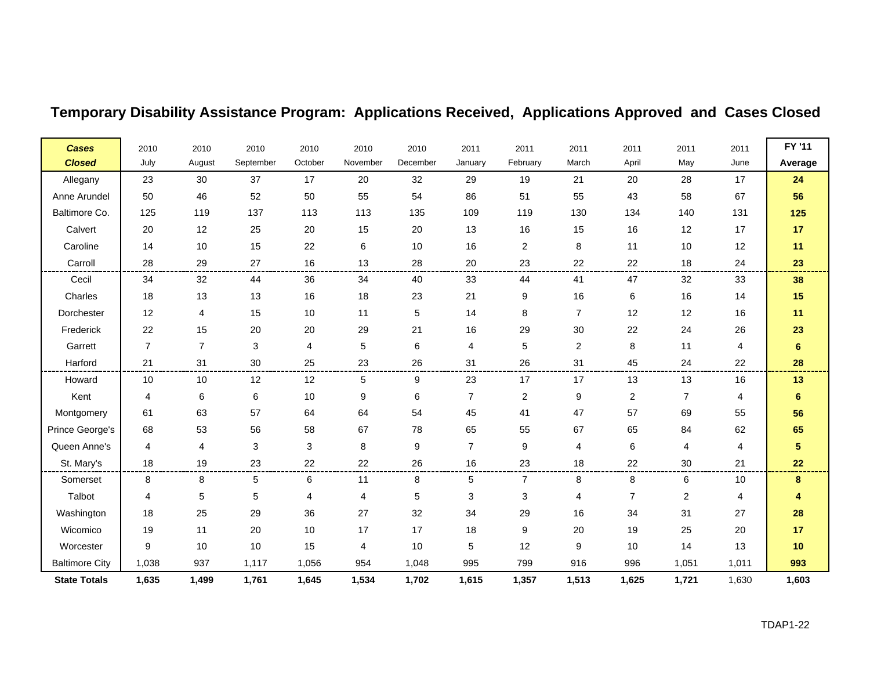| <b>Cases</b>          | 2010           | 2010           | 2010      | 2010    | 2010             | 2010     | 2011           | 2011           | 2011             | 2011        | 2011           | 2011  | FY '11         |
|-----------------------|----------------|----------------|-----------|---------|------------------|----------|----------------|----------------|------------------|-------------|----------------|-------|----------------|
| <b>Closed</b>         | July           | August         | September | October | November         | December | January        | February       | March            | April       | May            | June  | Average        |
| Allegany              | 23             | 30             | 37        | 17      | 20               | 32       | 29             | 19             | 21               | 20          | 28             | 17    | 24             |
| Anne Arundel          | 50             | 46             | 52        | 50      | 55               | 54       | 86             | 51             | 55               | 43          | 58             | 67    | 56             |
| Baltimore Co.         | 125            | 119            | 137       | 113     | 113              | 135      | 109            | 119            | 130              | 134         | 140            | 131   | 125            |
| Calvert               | 20             | 12             | 25        | 20      | 15               | 20       | 13             | 16             | 15               | 16          | 12             | 17    | 17             |
| Caroline              | 14             | 10             | 15        | 22      | $\,6$            | $10$     | 16             | 2              | 8                | 11          | 10             | 12    | 11             |
| Carroll               | 28             | 29             | 27        | 16      | 13               | 28       | 20             | 23             | 22               | 22          | 18             | 24    | 23             |
| Cecil                 | 34             | 32             | 44        | 36      | 34               | 40       | 33             | 44             | 41               | 47          | 32             | 33    | 38             |
| Charles               | 18             | 13             | 13        | 16      | 18               | 23       | 21             | 9              | 16               | 6           | 16             | 14    | 15             |
| Dorchester            | 12             | 4              | 15        | 10      | 11               | 5        | 14             | 8              | $\overline{7}$   | 12          | 12             | 16    | 11             |
| Frederick             | 22             | 15             | 20        | 20      | 29               | 21       | 16             | 29             | 30               | 22          | 24             | 26    | 23             |
| Garrett               | $\overline{7}$ | $\overline{7}$ | 3         | 4       | 5                | 6        | 4              | 5              | $\overline{2}$   | 8           | 11             | 4     | $6\phantom{1}$ |
| Harford               | 21             | 31             | 30        | 25      | 23               | 26       | 31             | 26             | 31               | 45          | 24             | 22    | 28             |
| Howard                | 10             | 10             | 12        | 12      | 5                | 9        | 23             | 17             | 17               | 13          | 13             | 16    | 13             |
| Kent                  | 4              | $\,6$          | $\,6\,$   | 10      | $\boldsymbol{9}$ | 6        | $\overline{7}$ | $\overline{c}$ | $\boldsymbol{9}$ | $\mathbf 2$ | $\overline{7}$ | 4     | $\bf 6$        |
| Montgomery            | 61             | 63             | 57        | 64      | 64               | 54       | 45             | 41             | 47               | 57          | 69             | 55    | 56             |
| Prince George's       | 68             | 53             | 56        | 58      | 67               | 78       | 65             | 55             | 67               | 65          | 84             | 62    | 65             |
| Queen Anne's          | 4              | 4              | 3         | 3       | 8                | 9        | $\overline{7}$ | 9              | 4                | 6           | 4              | 4     | 5              |
| St. Mary's            | 18             | 19             | 23        | 22      | 22               | 26       | 16             | 23             | 18               | 22          | 30             | 21    | 22             |
| Somerset              | 8              | 8              | 5         | 6       | 11               | 8        | 5              | $\overline{7}$ | 8                | 8           | 6              | $10$  | 8              |
| Talbot                | 4              | 5              | 5         | 4       | 4                | 5        | 3              | 3              | 4                | 7           | 2              | 4     | 4              |
| Washington            | 18             | 25             | 29        | 36      | 27               | 32       | 34             | 29             | 16               | 34          | 31             | 27    | 28             |
| Wicomico              | 19             | 11             | 20        | 10      | 17               | 17       | 18             | 9              | 20               | 19          | 25             | 20    | 17             |
| Worcester             | 9              | 10             | 10        | 15      | $\overline{4}$   | 10       | 5              | 12             | 9                | 10          | 14             | 13    | 10             |
| <b>Baltimore City</b> | 1,038          | 937            | 1,117     | 1,056   | 954              | 1,048    | 995            | 799            | 916              | 996         | 1,051          | 1,011 | 993            |
| <b>State Totals</b>   | 1,635          | 1,499          | 1,761     | 1,645   | 1,534            | 1,702    | 1,615          | 1,357          | 1,513            | 1,625       | 1,721          | 1,630 | 1,603          |

## **Temporary Disability Assistance Program: Applications Received, Applications Approved and Cases Closed**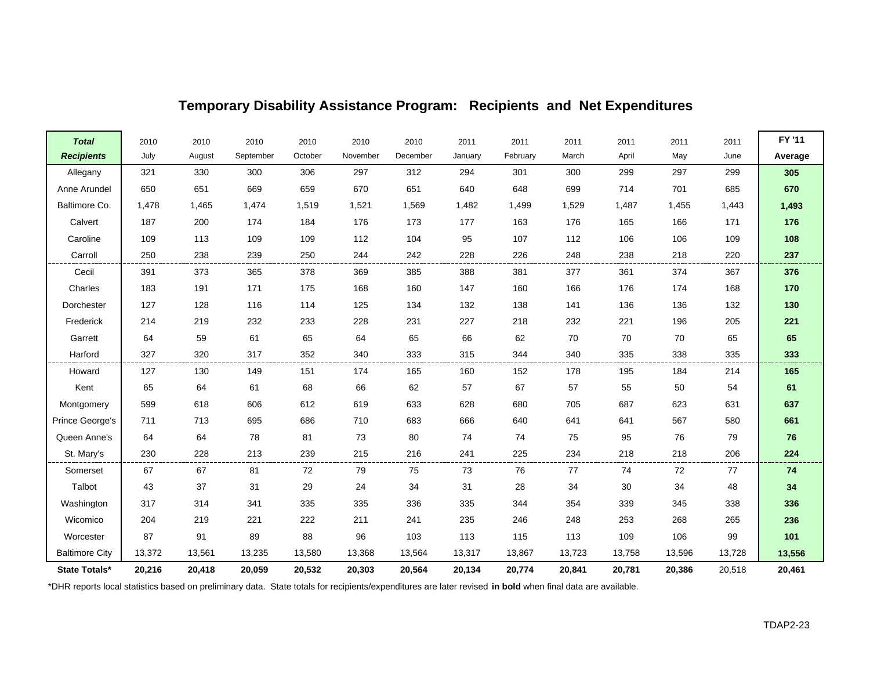| <b>Total</b>          | 2010   | 2010   | 2010      | 2010    | 2010     | 2010     | 2011    | 2011     | 2011   | 2011   | 2011   | 2011   | FY '11  |
|-----------------------|--------|--------|-----------|---------|----------|----------|---------|----------|--------|--------|--------|--------|---------|
| <b>Recipients</b>     | July   | August | September | October | November | December | January | February | March  | April  | May    | June   | Average |
| Allegany              | 321    | 330    | 300       | 306     | 297      | 312      | 294     | 301      | 300    | 299    | 297    | 299    | 305     |
| Anne Arundel          | 650    | 651    | 669       | 659     | 670      | 651      | 640     | 648      | 699    | 714    | 701    | 685    | 670     |
| Baltimore Co.         | 1,478  | 1,465  | 1,474     | 1,519   | 1,521    | 1,569    | 1,482   | 1,499    | 1,529  | 1,487  | 1,455  | 1,443  | 1,493   |
| Calvert               | 187    | 200    | 174       | 184     | 176      | 173      | 177     | 163      | 176    | 165    | 166    | 171    | 176     |
| Caroline              | 109    | 113    | 109       | 109     | 112      | 104      | 95      | 107      | 112    | 106    | 106    | 109    | 108     |
| Carroll               | 250    | 238    | 239       | 250     | 244      | 242      | 228     | 226      | 248    | 238    | 218    | 220    | 237     |
| Cecil                 | 391    | 373    | 365       | 378     | 369      | 385      | 388     | 381      | 377    | 361    | 374    | 367    | 376     |
| Charles               | 183    | 191    | 171       | 175     | 168      | 160      | 147     | 160      | 166    | 176    | 174    | 168    | 170     |
| Dorchester            | 127    | 128    | 116       | 114     | 125      | 134      | 132     | 138      | 141    | 136    | 136    | 132    | 130     |
| Frederick             | 214    | 219    | 232       | 233     | 228      | 231      | 227     | 218      | 232    | 221    | 196    | 205    | 221     |
| Garrett               | 64     | 59     | 61        | 65      | 64       | 65       | 66      | 62       | 70     | 70     | 70     | 65     | 65      |
| Harford               | 327    | 320    | 317       | 352     | 340      | 333      | 315     | 344      | 340    | 335    | 338    | 335    | 333     |
| Howard                | 127    | 130    | 149       | 151     | 174      | 165      | 160     | 152      | 178    | 195    | 184    | 214    | 165     |
| Kent                  | 65     | 64     | 61        | 68      | 66       | 62       | 57      | 67       | 57     | 55     | 50     | 54     | 61      |
| Montgomery            | 599    | 618    | 606       | 612     | 619      | 633      | 628     | 680      | 705    | 687    | 623    | 631    | 637     |
| Prince George's       | 711    | 713    | 695       | 686     | 710      | 683      | 666     | 640      | 641    | 641    | 567    | 580    | 661     |
| Queen Anne's          | 64     | 64     | 78        | 81      | 73       | 80       | 74      | 74       | 75     | 95     | 76     | 79     | 76      |
| St. Mary's            | 230    | 228    | 213       | 239     | 215      | 216      | 241     | 225      | 234    | 218    | 218    | 206    | 224     |
| Somerset              | 67     | 67     | 81        | 72      | 79       | 75       | 73      | 76       | 77     | 74     | 72     | 77     | 74      |
| Talbot                | 43     | 37     | 31        | 29      | 24       | 34       | 31      | 28       | 34     | 30     | 34     | 48     | 34      |
| Washington            | 317    | 314    | 341       | 335     | 335      | 336      | 335     | 344      | 354    | 339    | 345    | 338    | 336     |
| Wicomico              | 204    | 219    | 221       | 222     | 211      | 241      | 235     | 246      | 248    | 253    | 268    | 265    | 236     |
| Worcester             | 87     | 91     | 89        | 88      | 96       | 103      | 113     | 115      | 113    | 109    | 106    | 99     | 101     |
| <b>Baltimore City</b> | 13,372 | 13,561 | 13,235    | 13,580  | 13,368   | 13,564   | 13,317  | 13,867   | 13,723 | 13,758 | 13,596 | 13,728 | 13,556  |
| State Totals*         | 20,216 | 20,418 | 20,059    | 20,532  | 20,303   | 20,564   | 20,134  | 20,774   | 20,841 | 20,781 | 20,386 | 20,518 | 20,461  |

\*DHR reports local statistics based on preliminary data. State totals for recipients/expenditures are later revised **in bold** when final data are available.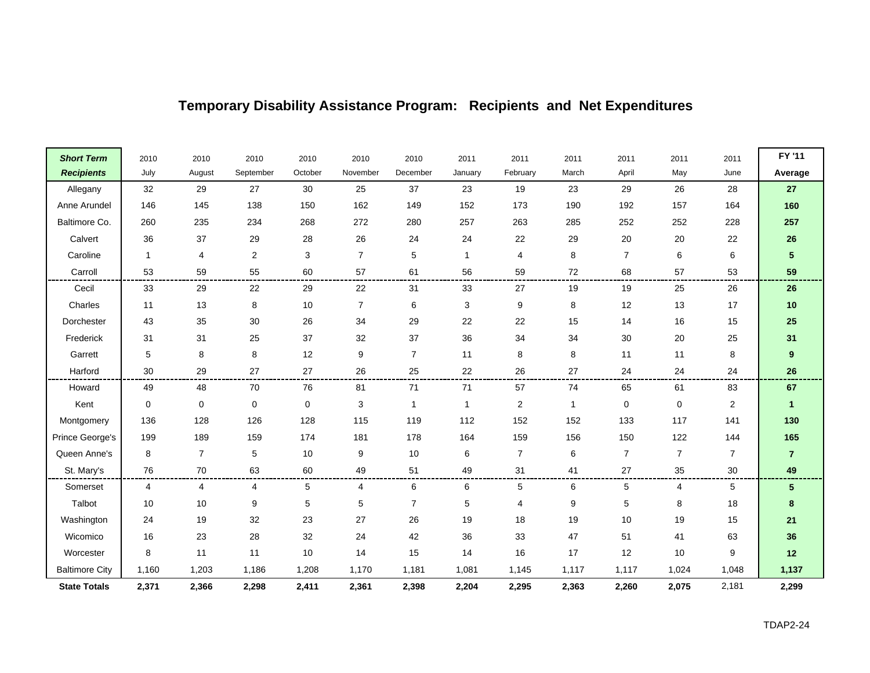| <b>Short Term</b>     | 2010         | 2010           | 2010      | 2010      | 2010           | 2010           | 2011         | 2011             | 2011             | 2011           | 2011           | 2011           | FY '11           |
|-----------------------|--------------|----------------|-----------|-----------|----------------|----------------|--------------|------------------|------------------|----------------|----------------|----------------|------------------|
| <b>Recipients</b>     | July         | August         | September | October   | November       | December       | January      | February         | March            | April          | May            | June           | Average          |
| Allegany              | 32           | 29             | 27        | 30        | 25             | 37             | 23           | 19               | 23               | 29             | 26             | 28             | ${\bf 27}$       |
| Anne Arundel          | 146          | 145            | 138       | 150       | 162            | 149            | 152          | 173              | 190              | 192            | 157            | 164            | 160              |
| Baltimore Co.         | 260          | 235            | 234       | 268       | 272            | 280            | 257          | 263              | 285              | 252            | 252            | 228            | 257              |
| Calvert               | 36           | 37             | 29        | 28        | 26             | 24             | 24           | 22               | 29               | 20             | 20             | 22             | 26               |
| Caroline              | $\mathbf{1}$ | 4              | 2         | 3         | $\overline{7}$ | 5              | 1            | $\overline{4}$   | 8                | $\overline{7}$ | 6              | 6              | ${\bf 5}$        |
| Carroll               | 53           | 59             | 55        | 60        | 57             | 61             | 56           | 59               | 72               | 68             | 57             | 53             | 59               |
| Cecil                 | 33           | 29             | 22        | 29        | 22             | 31             | 33           | 27               | 19               | 19             | 25             | 26             | 26               |
| Charles               | 11           | 13             | 8         | 10        | $\overline{7}$ | 6              | 3            | 9                | 8                | 12             | 13             | 17             | $10$             |
| Dorchester            | 43           | 35             | 30        | 26        | 34             | 29             | 22           | 22               | 15               | 14             | 16             | 15             | 25               |
| Frederick             | 31           | 31             | 25        | 37        | 32             | 37             | 36           | 34               | 34               | 30             | 20             | 25             | 31               |
| Garrett               | $\mathbf 5$  | 8              | 8         | 12        | 9              | $\overline{7}$ | 11           | 8                | 8                | 11             | 11             | 8              | $\boldsymbol{9}$ |
| Harford               | 30           | 29             | 27        | 27        | 26             | 25             | 22           | 26               | 27               | 24             | 24             | 24             | 26               |
| Howard                | 49           | 48             | 70        | 76        | 81             | 71             | 71           | 57               | 74               | 65             | 61             | 83             | 67               |
| Kent                  | 0            | 0              | 0         | $\pmb{0}$ | 3              | $\overline{1}$ | $\mathbf{1}$ | $\boldsymbol{2}$ | $\mathbf{1}$     | 0              | 0              | $\overline{2}$ | $\mathbf{1}$     |
| Montgomery            | 136          | 128            | 126       | 128       | 115            | 119            | 112          | 152              | 152              | 133            | 117            | 141            | 130              |
| Prince George's       | 199          | 189            | 159       | 174       | 181            | 178            | 164          | 159              | 156              | 150            | 122            | 144            | 165              |
| Queen Anne's          | 8            | $\overline{7}$ | 5         | 10        | 9              | 10             | 6            | $\overline{7}$   | 6                | $\overline{7}$ | $\overline{7}$ | $\overline{7}$ | $\overline{7}$   |
| St. Mary's            | 76           | 70             | 63        | 60        | 49             | 51             | 49           | 31               | 41               | 27             | 35             | 30             | 49               |
| Somerset              | 4            | 4              | 4         | 5         | 4              | 6              | 6            | 5                | 6                | 5              | 4              | 5              | 5                |
| Talbot                | 10           | 10             | 9         | 5         | $\,$ 5 $\,$    | $\overline{7}$ | $\mathbf 5$  | $\overline{4}$   | $\boldsymbol{9}$ | 5              | 8              | 18             | $\bf8$           |
| Washington            | 24           | 19             | 32        | 23        | 27             | 26             | 19           | 18               | 19               | 10             | 19             | 15             | 21               |
| Wicomico              | 16           | 23             | 28        | 32        | 24             | 42             | 36           | 33               | 47               | 51             | 41             | 63             | 36               |
| Worcester             | 8            | 11             | 11        | 10        | 14             | 15             | 14           | 16               | 17               | 12             | 10             | 9              | $12$             |
| <b>Baltimore City</b> | 1,160        | 1,203          | 1,186     | 1,208     | 1,170          | 1,181          | 1,081        | 1,145            | 1,117            | 1,117          | 1,024          | 1,048          | 1,137            |
| <b>State Totals</b>   | 2,371        | 2,366          | 2,298     | 2,411     | 2,361          | 2,398          | 2,204        | 2,295            | 2,363            | 2,260          | 2,075          | 2,181          | 2,299            |

 $\blacksquare$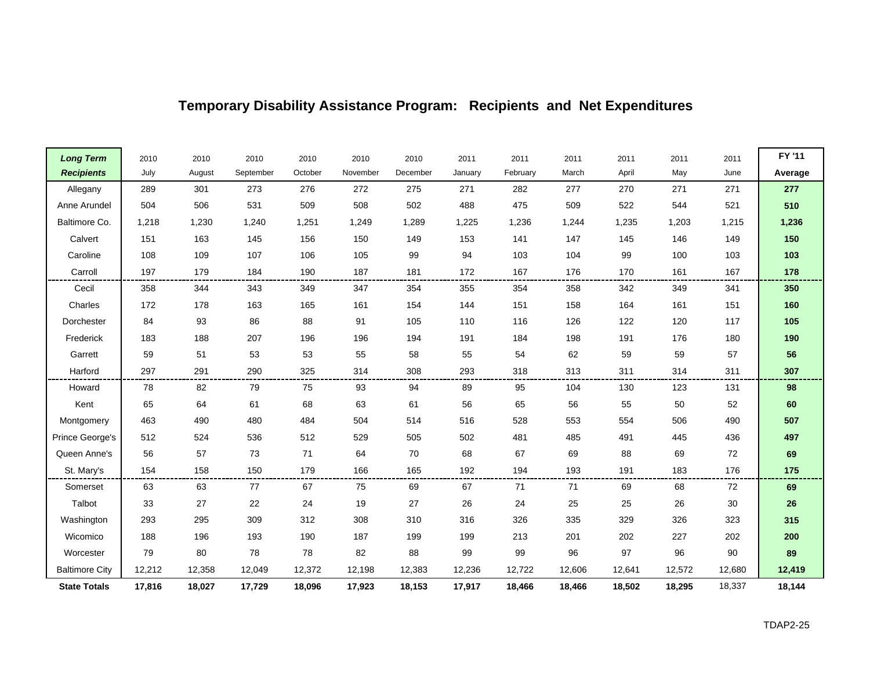| <b>Long Term</b>      | 2010   | 2010   | 2010      | 2010    | 2010     | 2010     | 2011    | 2011     | 2011   | 2011   | 2011   | 2011   | FY '11  |
|-----------------------|--------|--------|-----------|---------|----------|----------|---------|----------|--------|--------|--------|--------|---------|
| <b>Recipients</b>     | July   | August | September | October | November | December | January | February | March  | April  | May    | June   | Average |
| Allegany              | 289    | 301    | 273       | 276     | 272      | 275      | 271     | 282      | 277    | 270    | 271    | 271    | 277     |
| Anne Arundel          | 504    | 506    | 531       | 509     | 508      | 502      | 488     | 475      | 509    | 522    | 544    | 521    | 510     |
| Baltimore Co.         | 1,218  | 1,230  | 1,240     | 1,251   | 1,249    | 1,289    | 1,225   | 1,236    | 1,244  | 1,235  | 1,203  | 1,215  | 1,236   |
| Calvert               | 151    | 163    | 145       | 156     | 150      | 149      | 153     | 141      | 147    | 145    | 146    | 149    | 150     |
| Caroline              | 108    | 109    | 107       | 106     | 105      | 99       | 94      | 103      | 104    | 99     | 100    | 103    | 103     |
| Carroll               | 197    | 179    | 184       | 190     | 187      | 181      | 172     | 167      | 176    | 170    | 161    | 167    | 178     |
| Cecil                 | 358    | 344    | 343       | 349     | 347      | 354      | 355     | 354      | 358    | 342    | 349    | 341    | 350     |
| Charles               | 172    | 178    | 163       | 165     | 161      | 154      | 144     | 151      | 158    | 164    | 161    | 151    | 160     |
| Dorchester            | 84     | 93     | 86        | 88      | 91       | 105      | 110     | 116      | 126    | 122    | 120    | 117    | 105     |
| Frederick             | 183    | 188    | 207       | 196     | 196      | 194      | 191     | 184      | 198    | 191    | 176    | 180    | 190     |
| Garrett               | 59     | 51     | 53        | 53      | 55       | 58       | 55      | 54       | 62     | 59     | 59     | 57     | 56      |
| Harford               | 297    | 291    | 290       | 325     | 314      | 308      | 293     | 318      | 313    | 311    | 314    | 311    | 307     |
| Howard                | 78     | 82     | 79        | 75      | 93       | 94       | 89      | 95       | 104    | 130    | 123    | 131    | 98      |
| Kent                  | 65     | 64     | 61        | 68      | 63       | 61       | 56      | 65       | 56     | 55     | 50     | 52     | 60      |
| Montgomery            | 463    | 490    | 480       | 484     | 504      | 514      | 516     | 528      | 553    | 554    | 506    | 490    | 507     |
| Prince George's       | 512    | 524    | 536       | 512     | 529      | 505      | 502     | 481      | 485    | 491    | 445    | 436    | 497     |
| Queen Anne's          | 56     | 57     | 73        | 71      | 64       | 70       | 68      | 67       | 69     | 88     | 69     | 72     | 69      |
| St. Mary's            | 154    | 158    | 150       | 179     | 166      | 165      | 192     | 194      | 193    | 191    | 183    | 176    | 175     |
| Somerset              | 63     | 63     | 77        | 67      | 75       | 69       | 67      | 71       | 71     | 69     | 68     | 72     | 69      |
| Talbot                | 33     | 27     | 22        | 24      | 19       | 27       | 26      | 24       | 25     | 25     | 26     | 30     | 26      |
| Washington            | 293    | 295    | 309       | 312     | 308      | 310      | 316     | 326      | 335    | 329    | 326    | 323    | 315     |
| Wicomico              | 188    | 196    | 193       | 190     | 187      | 199      | 199     | 213      | 201    | 202    | 227    | 202    | 200     |
| Worcester             | 79     | 80     | 78        | 78      | 82       | 88       | 99      | 99       | 96     | 97     | 96     | 90     | 89      |
| <b>Baltimore City</b> | 12,212 | 12,358 | 12,049    | 12,372  | 12,198   | 12,383   | 12,236  | 12,722   | 12,606 | 12,641 | 12,572 | 12,680 | 12,419  |
| <b>State Totals</b>   | 17,816 | 18,027 | 17,729    | 18,096  | 17,923   | 18,153   | 17,917  | 18,466   | 18,466 | 18,502 | 18,295 | 18,337 | 18,144  |

 $\overline{ }$ 

H.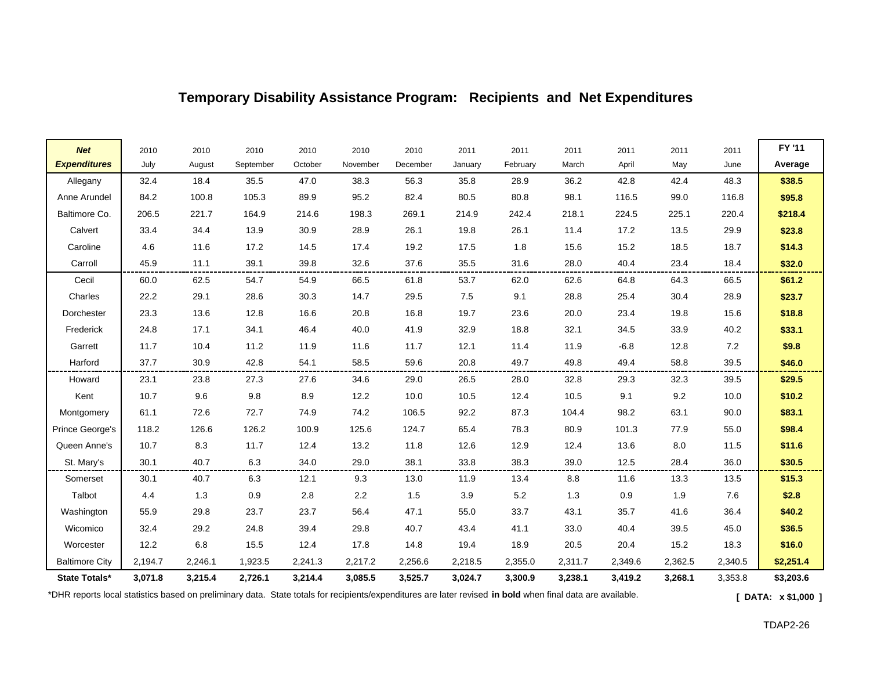| <b>Net</b>            | 2010    | 2010    | 2010      | 2010    | 2010     | 2010     | 2011    | 2011     | 2011    | 2011    | 2011    | 2011    | FY '11    |
|-----------------------|---------|---------|-----------|---------|----------|----------|---------|----------|---------|---------|---------|---------|-----------|
| <b>Expenditures</b>   | July    | August  | September | October | November | December | January | February | March   | April   | May     | June    | Average   |
| Allegany              | 32.4    | 18.4    | 35.5      | 47.0    | 38.3     | 56.3     | 35.8    | 28.9     | 36.2    | 42.8    | 42.4    | 48.3    | \$38.5    |
| Anne Arundel          | 84.2    | 100.8   | 105.3     | 89.9    | 95.2     | 82.4     | 80.5    | 80.8     | 98.1    | 116.5   | 99.0    | 116.8   | \$95.8    |
| Baltimore Co.         | 206.5   | 221.7   | 164.9     | 214.6   | 198.3    | 269.1    | 214.9   | 242.4    | 218.1   | 224.5   | 225.1   | 220.4   | \$218.4   |
| Calvert               | 33.4    | 34.4    | 13.9      | 30.9    | 28.9     | 26.1     | 19.8    | 26.1     | 11.4    | 17.2    | 13.5    | 29.9    | \$23.8    |
| Caroline              | 4.6     | 11.6    | 17.2      | 14.5    | 17.4     | 19.2     | 17.5    | 1.8      | 15.6    | 15.2    | 18.5    | 18.7    | \$14.3    |
| Carroll               | 45.9    | 11.1    | 39.1      | 39.8    | 32.6     | 37.6     | 35.5    | 31.6     | 28.0    | 40.4    | 23.4    | 18.4    | \$32.0    |
| Cecil                 | 60.0    | 62.5    | 54.7      | 54.9    | 66.5     | 61.8     | 53.7    | 62.0     | 62.6    | 64.8    | 64.3    | 66.5    | \$61.2\$  |
| Charles               | 22.2    | 29.1    | 28.6      | 30.3    | 14.7     | 29.5     | 7.5     | 9.1      | 28.8    | 25.4    | 30.4    | 28.9    | \$23.7    |
| Dorchester            | 23.3    | 13.6    | 12.8      | 16.6    | 20.8     | 16.8     | 19.7    | 23.6     | 20.0    | 23.4    | 19.8    | 15.6    | \$18.8    |
| Frederick             | 24.8    | 17.1    | 34.1      | 46.4    | 40.0     | 41.9     | 32.9    | 18.8     | 32.1    | 34.5    | 33.9    | 40.2    | \$33.1    |
| Garrett               | 11.7    | 10.4    | 11.2      | 11.9    | 11.6     | 11.7     | 12.1    | 11.4     | 11.9    | $-6.8$  | 12.8    | 7.2     | \$9.8     |
| Harford               | 37.7    | 30.9    | 42.8      | 54.1    | 58.5     | 59.6     | 20.8    | 49.7     | 49.8    | 49.4    | 58.8    | 39.5    | \$46.0    |
| Howard                | 23.1    | 23.8    | 27.3      | 27.6    | 34.6     | 29.0     | 26.5    | 28.0     | 32.8    | 29.3    | 32.3    | 39.5    | \$29.5    |
| Kent                  | 10.7    | 9.6     | 9.8       | 8.9     | 12.2     | 10.0     | 10.5    | 12.4     | 10.5    | 9.1     | 9.2     | 10.0    | \$10.2    |
| Montgomery            | 61.1    | 72.6    | 72.7      | 74.9    | 74.2     | 106.5    | 92.2    | 87.3     | 104.4   | 98.2    | 63.1    | 90.0    | \$83.1    |
| Prince George's       | 118.2   | 126.6   | 126.2     | 100.9   | 125.6    | 124.7    | 65.4    | 78.3     | 80.9    | 101.3   | 77.9    | 55.0    | \$98.4    |
| Queen Anne's          | 10.7    | 8.3     | 11.7      | 12.4    | 13.2     | 11.8     | 12.6    | 12.9     | 12.4    | 13.6    | 8.0     | 11.5    | \$11.6    |
| St. Mary's            | 30.1    | 40.7    | 6.3       | 34.0    | 29.0     | 38.1     | 33.8    | 38.3     | 39.0    | 12.5    | 28.4    | 36.0    | \$30.5    |
| Somerset              | 30.1    | 40.7    | 6.3       | 12.1    | 9.3      | 13.0     | 11.9    | 13.4     | 8.8     | 11.6    | 13.3    | 13.5    | \$15.3    |
| Talbot                | 4.4     | 1.3     | 0.9       | 2.8     | $2.2\,$  | 1.5      | 3.9     | 5.2      | 1.3     | 0.9     | 1.9     | 7.6     | \$2.8     |
| Washington            | 55.9    | 29.8    | 23.7      | 23.7    | 56.4     | 47.1     | 55.0    | 33.7     | 43.1    | 35.7    | 41.6    | 36.4    | \$40.2    |
| Wicomico              | 32.4    | 29.2    | 24.8      | 39.4    | 29.8     | 40.7     | 43.4    | 41.1     | 33.0    | 40.4    | 39.5    | 45.0    | \$36.5    |
| Worcester             | 12.2    | 6.8     | 15.5      | 12.4    | 17.8     | 14.8     | 19.4    | 18.9     | 20.5    | 20.4    | 15.2    | 18.3    | \$16.0    |
| <b>Baltimore City</b> | 2,194.7 | 2,246.1 | 1,923.5   | 2,241.3 | 2,217.2  | 2,256.6  | 2,218.5 | 2,355.0  | 2,311.7 | 2,349.6 | 2,362.5 | 2,340.5 | \$2,251.4 |
| State Totals*         | 3,071.8 | 3,215.4 | 2,726.1   | 3,214.4 | 3,085.5  | 3,525.7  | 3,024.7 | 3,300.9  | 3,238.1 | 3,419.2 | 3,268.1 | 3,353.8 | \$3,203.6 |

\*DHR reports local statistics based on preliminary data. State totals for recipients/expenditures are later revised **in bold** when final data are available. **[ DATA: x \$1,000 ]**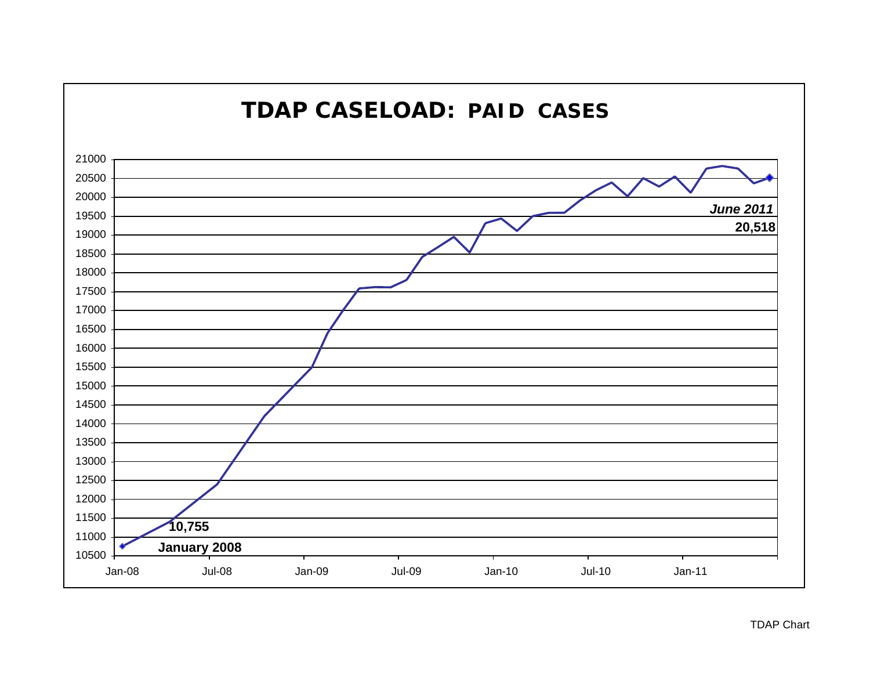

#### TDAP Chart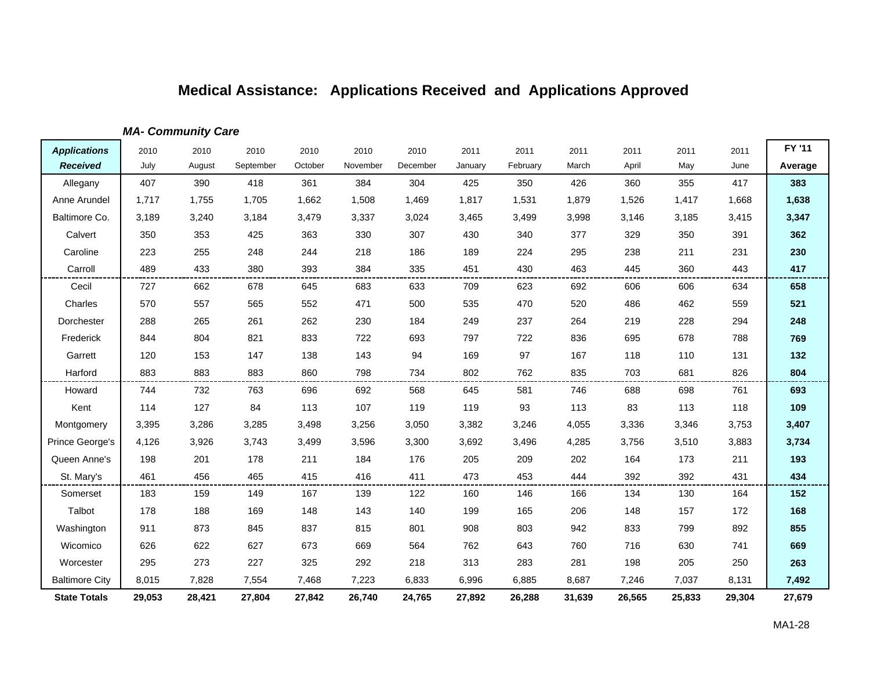*MA- Community Care*

| <b>Applications</b>   | 2010   | 2010   | 2010      | 2010    | 2010     | 2010     | 2011    | 2011     | 2011   | 2011   | 2011   | 2011   | FY '11  |
|-----------------------|--------|--------|-----------|---------|----------|----------|---------|----------|--------|--------|--------|--------|---------|
| <b>Received</b>       | July   | August | September | October | November | December | January | February | March  | April  | May    | June   | Average |
| Allegany              | 407    | 390    | 418       | 361     | 384      | 304      | 425     | 350      | 426    | 360    | 355    | 417    | 383     |
| Anne Arundel          | 1,717  | 1,755  | 1,705     | 1,662   | 1,508    | 1,469    | 1,817   | 1,531    | 1,879  | 1,526  | 1,417  | 1,668  | 1,638   |
| Baltimore Co.         | 3,189  | 3,240  | 3,184     | 3,479   | 3,337    | 3,024    | 3,465   | 3,499    | 3,998  | 3,146  | 3,185  | 3,415  | 3,347   |
| Calvert               | 350    | 353    | 425       | 363     | 330      | 307      | 430     | 340      | 377    | 329    | 350    | 391    | 362     |
| Caroline              | 223    | 255    | 248       | 244     | 218      | 186      | 189     | 224      | 295    | 238    | 211    | 231    | 230     |
| Carroll               | 489    | 433    | 380       | 393     | 384      | 335      | 451     | 430      | 463    | 445    | 360    | 443    | 417     |
| Cecil                 | 727    | 662    | 678       | 645     | 683      | 633      | 709     | 623      | 692    | 606    | 606    | 634    | 658     |
| Charles               | 570    | 557    | 565       | 552     | 471      | 500      | 535     | 470      | 520    | 486    | 462    | 559    | 521     |
| Dorchester            | 288    | 265    | 261       | 262     | 230      | 184      | 249     | 237      | 264    | 219    | 228    | 294    | 248     |
| Frederick             | 844    | 804    | 821       | 833     | 722      | 693      | 797     | 722      | 836    | 695    | 678    | 788    | 769     |
| Garrett               | 120    | 153    | 147       | 138     | 143      | 94       | 169     | 97       | 167    | 118    | 110    | 131    | 132     |
| Harford               | 883    | 883    | 883       | 860     | 798      | 734      | 802     | 762      | 835    | 703    | 681    | 826    | 804     |
| Howard                | 744    | 732    | 763       | 696     | 692      | 568      | 645     | 581      | 746    | 688    | 698    | 761    | 693     |
| Kent                  | 114    | 127    | 84        | 113     | 107      | 119      | 119     | 93       | 113    | 83     | 113    | 118    | 109     |
| Montgomery            | 3,395  | 3,286  | 3,285     | 3,498   | 3,256    | 3,050    | 3,382   | 3,246    | 4,055  | 3,336  | 3,346  | 3,753  | 3,407   |
| Prince George's       | 4,126  | 3,926  | 3,743     | 3,499   | 3,596    | 3,300    | 3,692   | 3,496    | 4,285  | 3,756  | 3,510  | 3,883  | 3,734   |
| Queen Anne's          | 198    | 201    | 178       | 211     | 184      | 176      | 205     | 209      | 202    | 164    | 173    | 211    | 193     |
| St. Mary's            | 461    | 456    | 465       | 415     | 416      | 411      | 473     | 453      | 444    | 392    | 392    | 431    | 434     |
| Somerset              | 183    | 159    | 149       | 167     | 139      | 122      | 160     | 146      | 166    | 134    | 130    | 164    | 152     |
| Talbot                | 178    | 188    | 169       | 148     | 143      | 140      | 199     | 165      | 206    | 148    | 157    | 172    | 168     |
| Washington            | 911    | 873    | 845       | 837     | 815      | 801      | 908     | 803      | 942    | 833    | 799    | 892    | 855     |
| Wicomico              | 626    | 622    | 627       | 673     | 669      | 564      | 762     | 643      | 760    | 716    | 630    | 741    | 669     |
| Worcester             | 295    | 273    | 227       | 325     | 292      | 218      | 313     | 283      | 281    | 198    | 205    | 250    | 263     |
| <b>Baltimore City</b> | 8,015  | 7,828  | 7,554     | 7,468   | 7,223    | 6,833    | 6,996   | 6,885    | 8,687  | 7,246  | 7,037  | 8,131  | 7,492   |
| <b>State Totals</b>   | 29,053 | 28,421 | 27,804    | 27,842  | 26,740   | 24,765   | 27,892  | 26,288   | 31,639 | 26,565 | 25,833 | 29,304 | 27,679  |

 $\blacksquare$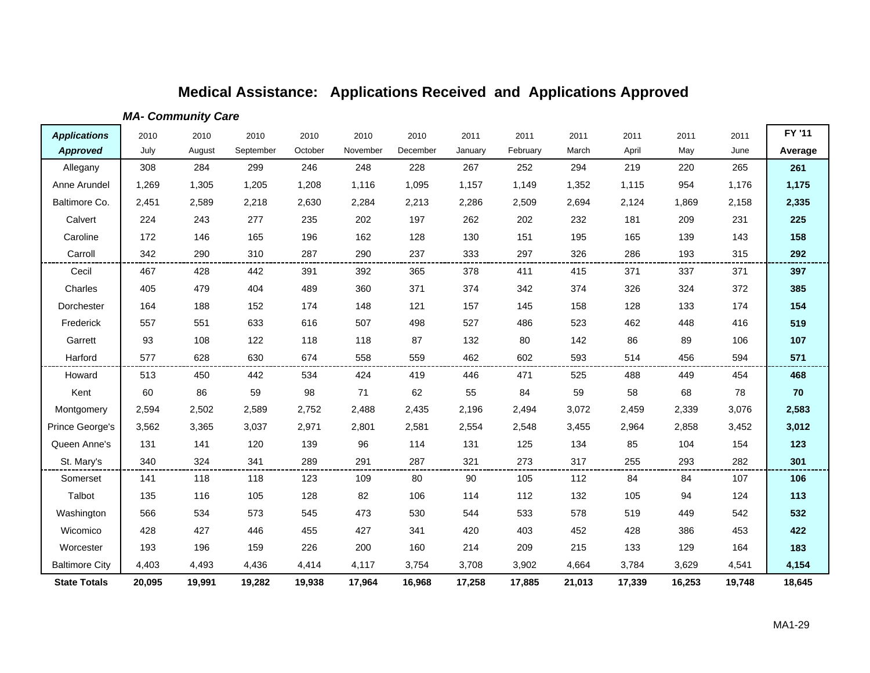*MA- Community Care*

| <b>Applications</b>   | 2010   | 2010   | 2010      | 2010    | 2010     | 2010     | 2011    | 2011     | 2011   | 2011   | 2011   | 2011   | FY '11  |
|-----------------------|--------|--------|-----------|---------|----------|----------|---------|----------|--------|--------|--------|--------|---------|
| <b>Approved</b>       | July   | August | September | October | November | December | January | February | March  | April  | May    | June   | Average |
| Allegany              | 308    | 284    | 299       | 246     | 248      | 228      | 267     | 252      | 294    | 219    | 220    | 265    | 261     |
| Anne Arundel          | 1,269  | 1,305  | 1,205     | 1,208   | 1,116    | 1,095    | 1,157   | 1,149    | 1,352  | 1,115  | 954    | 1,176  | 1,175   |
| Baltimore Co.         | 2,451  | 2,589  | 2,218     | 2,630   | 2,284    | 2,213    | 2,286   | 2,509    | 2,694  | 2,124  | 1,869  | 2,158  | 2,335   |
| Calvert               | 224    | 243    | 277       | 235     | 202      | 197      | 262     | 202      | 232    | 181    | 209    | 231    | 225     |
| Caroline              | 172    | 146    | 165       | 196     | 162      | 128      | 130     | 151      | 195    | 165    | 139    | 143    | 158     |
| Carroll               | 342    | 290    | 310       | 287     | 290      | 237      | 333     | 297      | 326    | 286    | 193    | 315    | 292     |
| Cecil                 | 467    | 428    | 442       | 391     | 392      | 365      | 378     | 411      | 415    | 371    | 337    | 371    | 397     |
| Charles               | 405    | 479    | 404       | 489     | 360      | 371      | 374     | 342      | 374    | 326    | 324    | 372    | 385     |
| Dorchester            | 164    | 188    | 152       | 174     | 148      | 121      | 157     | 145      | 158    | 128    | 133    | 174    | 154     |
| Frederick             | 557    | 551    | 633       | 616     | 507      | 498      | 527     | 486      | 523    | 462    | 448    | 416    | 519     |
| Garrett               | 93     | 108    | 122       | 118     | 118      | 87       | 132     | 80       | 142    | 86     | 89     | 106    | 107     |
| Harford               | 577    | 628    | 630       | 674     | 558      | 559      | 462     | 602      | 593    | 514    | 456    | 594    | 571     |
| Howard                | 513    | 450    | 442       | 534     | 424      | 419      | 446     | 471      | 525    | 488    | 449    | 454    | 468     |
| Kent                  | 60     | 86     | 59        | 98      | 71       | 62       | 55      | 84       | 59     | 58     | 68     | 78     | 70      |
| Montgomery            | 2,594  | 2,502  | 2,589     | 2,752   | 2,488    | 2,435    | 2,196   | 2,494    | 3,072  | 2,459  | 2,339  | 3,076  | 2,583   |
| Prince George's       | 3,562  | 3,365  | 3,037     | 2,971   | 2,801    | 2,581    | 2,554   | 2,548    | 3,455  | 2,964  | 2,858  | 3,452  | 3,012   |
| Queen Anne's          | 131    | 141    | 120       | 139     | 96       | 114      | 131     | 125      | 134    | 85     | 104    | 154    | 123     |
| St. Mary's            | 340    | 324    | 341       | 289     | 291      | 287      | 321     | 273      | 317    | 255    | 293    | 282    | 301     |
| Somerset              | 141    | 118    | 118       | 123     | 109      | 80       | 90      | 105      | 112    | 84     | 84     | 107    | 106     |
| Talbot                | 135    | 116    | 105       | 128     | 82       | 106      | 114     | 112      | 132    | 105    | 94     | 124    | 113     |
| Washington            | 566    | 534    | 573       | 545     | 473      | 530      | 544     | 533      | 578    | 519    | 449    | 542    | 532     |
| Wicomico              | 428    | 427    | 446       | 455     | 427      | 341      | 420     | 403      | 452    | 428    | 386    | 453    | 422     |
| Worcester             | 193    | 196    | 159       | 226     | 200      | 160      | 214     | 209      | 215    | 133    | 129    | 164    | 183     |
| <b>Baltimore City</b> | 4,403  | 4,493  | 4,436     | 4,414   | 4,117    | 3,754    | 3,708   | 3,902    | 4,664  | 3,784  | 3,629  | 4,541  | 4,154   |
| <b>State Totals</b>   | 20,095 | 19,991 | 19,282    | 19,938  | 17,964   | 16,968   | 17,258  | 17,885   | 21,013 | 17,339 | 16,253 | 19,748 | 18,645  |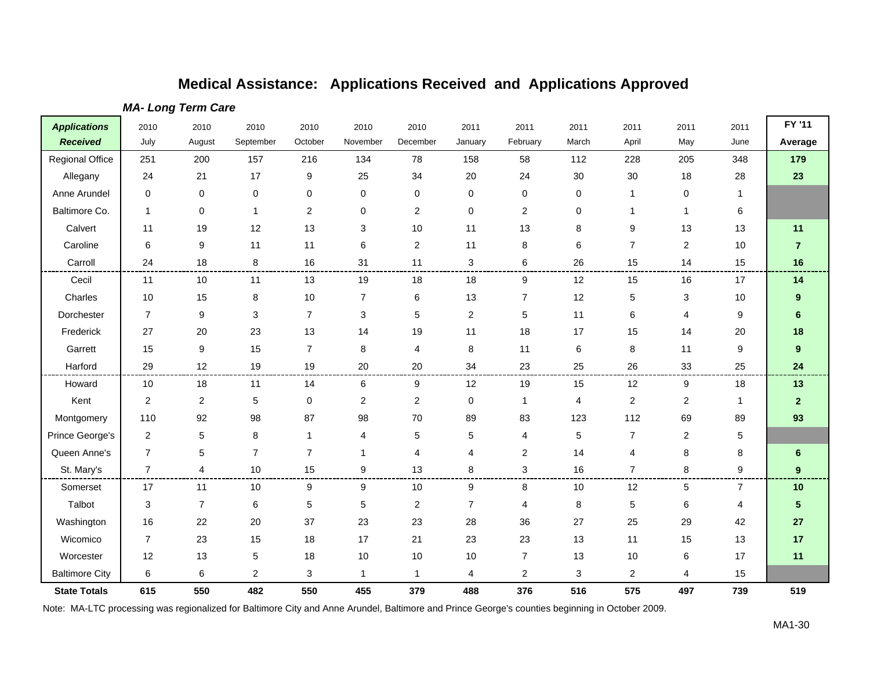| <b>Applications</b>    | 2010           | 2010             | 2010                    | 2010           | 2010         | 2010             | 2011                      | 2011           | 2011  | 2011           | 2011           | 2011           | FY '11         |
|------------------------|----------------|------------------|-------------------------|----------------|--------------|------------------|---------------------------|----------------|-------|----------------|----------------|----------------|----------------|
| <b>Received</b>        | July           | August           | September               | October        | November     | December         | January                   | February       | March | April          | May            | June           | Average        |
| <b>Regional Office</b> | 251            | 200              | 157                     | 216            | 134          | 78               | 158                       | 58             | 112   | 228            | 205            | 348            | 179            |
| Allegany               | 24             | 21               | 17                      | 9              | 25           | 34               | 20                        | 24             | 30    | 30             | 18             | 28             | 23             |
| Anne Arundel           | 0              | 0                | 0                       | $\mathbf 0$    | 0            | 0                | 0                         | 0              | 0     | 1              | 0              | 1              |                |
| Baltimore Co.          | $\mathbf{1}$   | $\pmb{0}$        | $\mathbf{1}$            | $\overline{c}$ | $\mathbf 0$  | $\overline{2}$   | $\mathbf 0$               | $\overline{2}$ | 0     | 1              | $\mathbf{1}$   | 6              |                |
| Calvert                | 11             | 19               | 12                      | 13             | 3            | 10               | 11                        | 13             | 8     | 9              | 13             | 13             | 11             |
| Caroline               | 6              | 9                | 11                      | 11             | 6            | 2                | 11                        | 8              | 6     | $\overline{7}$ | $\overline{2}$ | 10             | $\overline{7}$ |
| Carroll                | 24             | 18               | 8                       | 16             | 31           | 11               | $\ensuremath{\mathsf{3}}$ | 6              | 26    | 15             | 14             | 15             | 16             |
| Cecil                  | 11             | 10               | 11                      | 13             | 19           | 18               | 18                        | 9              | 12    | 15             | 16             | 17             | 14             |
| Charles                | $10$           | 15               | 8                       | 10             | 7            | 6                | 13                        | 7              | 12    | 5              | 3              | 10             | 9              |
| Dorchester             | $\overline{7}$ | $\boldsymbol{9}$ | 3                       | $\overline{7}$ | 3            | 5                | $\overline{c}$            | 5              | 11    | 6              | $\overline{4}$ | 9              | 6              |
| Frederick              | 27             | 20               | 23                      | 13             | 14           | 19               | 11                        | 18             | 17    | 15             | 14             | 20             | 18             |
| Garrett                | 15             | 9                | 15                      | $\overline{7}$ | 8            | 4                | 8                         | 11             | 6     | 8              | 11             | 9              | 9              |
| Harford                | 29             | 12               | 19                      | 19             | 20           | 20               | 34                        | 23             | 25    | 26             | 33             | 25             | 24             |
| Howard                 | 10             | 18               | 11                      | 14             | 6            | 9                | 12                        | 19             | 15    | 12             | 9              | 18             | 13             |
| Kent                   | $\overline{2}$ | $\overline{2}$   | 5                       | 0              | 2            | 2                | 0                         | 1              | 4     | $\overline{c}$ | 2              | 1              | 2 <sup>2</sup> |
| Montgomery             | 110            | 92               | 98                      | 87             | 98           | 70               | 89                        | 83             | 123   | 112            | 69             | 89             | 93             |
| Prince George's        | $\overline{c}$ | $\mathbf 5$      | 8                       | $\mathbf{1}$   | 4            | 5                | 5                         | 4              | 5     | $\overline{7}$ | $\overline{2}$ | 5              |                |
| Queen Anne's           | $\overline{7}$ | 5                | $\overline{7}$          | $\overline{7}$ | -1           | 4                | 4                         | 2              | 14    | 4              | 8              | 8              | 6              |
| St. Mary's             | $\overline{7}$ | 4                | 10                      | 15             | 9            | 13               | 8                         | 3              | 16    | $\overline{7}$ | 8              | 9              | 9              |
| Somerset               | 17             | 11               | 10                      | 9              | 9            | 10               | 9                         | 8              | 10    | 12             | 5              | $\overline{7}$ | 10             |
| Talbot                 | 3              | $\overline{7}$   | 6                       | 5              | 5            | $\boldsymbol{2}$ | $\overline{7}$            | 4              | 8     | 5              | 6              | 4              | 5              |
| Washington             | 16             | 22               | 20                      | 37             | 23           | 23               | 28                        | 36             | 27    | 25             | 29             | 42             | 27             |
| Wicomico               | $\overline{7}$ | 23               | 15                      | 18             | 17           | 21               | 23                        | 23             | 13    | 11             | 15             | 13             | 17             |
| Worcester              | 12             | 13               | 5                       | 18             | 10           | 10               | 10                        | $\overline{7}$ | 13    | 10             | 6              | 17             | 11             |
| <b>Baltimore City</b>  | 6              | 6                | $\overline{\mathbf{c}}$ | 3              | $\mathbf{1}$ | $\mathbf{1}$     | 4                         | $\overline{2}$ | 3     | 2              | 4              | 15             |                |
| <b>State Totals</b>    | 615            | 550              | 482                     | 550            | 455          | 379              | 488                       | 376            | 516   | 575            | 497            | 739            | 519            |

#### *MA- Long Term Care*

Note: MA-LTC processing was regionalized for Baltimore City and Anne Arundel, Baltimore and Prince George's counties beginning in October 2009.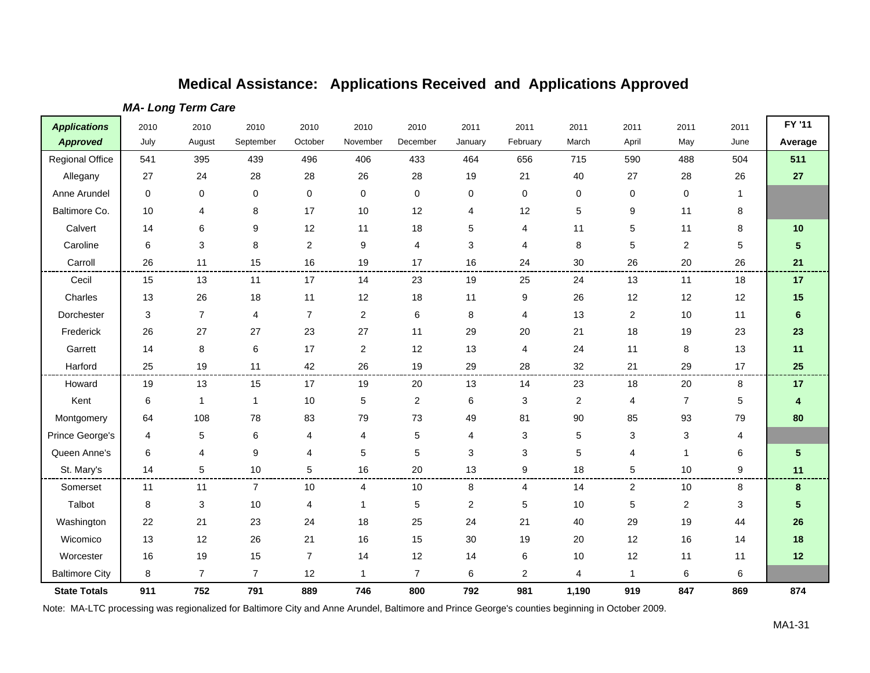| <b>Applications</b>    | 2010                      | 2010           | 2010           | 2010           | 2010                    | 2010           | 2011           | 2011                      | 2011           | 2011             | 2011           | 2011        | FY '11                  |
|------------------------|---------------------------|----------------|----------------|----------------|-------------------------|----------------|----------------|---------------------------|----------------|------------------|----------------|-------------|-------------------------|
| <b>Approved</b>        | July                      | August         | September      | October        | November                | December       | January        | February                  | March          | April            | May            | June        | Average                 |
| <b>Regional Office</b> | 541                       | 395            | 439            | 496            | 406                     | 433            | 464            | 656                       | 715            | 590              | 488            | 504         | 511                     |
| Allegany               | 27                        | 24             | 28             | 28             | 26                      | 28             | 19             | 21                        | 40             | 27               | 28             | 26          | 27                      |
| Anne Arundel           | $\pmb{0}$                 | 0              | $\pmb{0}$      | $\mathbf 0$    | $\mathbf 0$             | 0              | $\mathbf 0$    | 0                         | 0              | 0                | 0              | $\mathbf 1$ |                         |
| Baltimore Co.          | 10                        | 4              | 8              | 17             | 10                      | 12             | 4              | 12                        | 5              | 9                | 11             | 8           |                         |
| Calvert                | 14                        | 6              | 9              | 12             | 11                      | 18             | 5              | 4                         | 11             | 5                | 11             | 8           | 10                      |
| Caroline               | 6                         | 3              | 8              | $\overline{2}$ | 9                       | 4              | 3              | 4                         | 8              | 5                | 2              | 5           | $5\phantom{1}$          |
| Carroll                | 26                        | 11             | 15             | 16             | 19                      | 17             | 16             | 24                        | 30             | 26               | 20             | 26          | 21                      |
| Cecil                  | 15                        | 13             | 11             | 17             | 14                      | 23             | 19             | 25                        | 24             | 13               | 11             | 18          | 17                      |
| Charles                | 13                        | 26             | 18             | 11             | 12                      | 18             | 11             | $\boldsymbol{9}$          | 26             | 12               | 12             | 12          | 15                      |
| Dorchester             | $\ensuremath{\mathsf{3}}$ | $\overline{7}$ | 4              | $\overline{7}$ | $\sqrt{2}$              | 6              | 8              | 4                         | 13             | $\boldsymbol{2}$ | 10             | 11          | $\boldsymbol{6}$        |
| Frederick              | 26                        | 27             | 27             | 23             | 27                      | 11             | 29             | $20\,$                    | 21             | 18               | 19             | 23          | 23                      |
| Garrett                | 14                        | 8              | $\,6$          | 17             | $\overline{c}$          | 12             | 13             | 4                         | 24             | 11               | 8              | 13          | 11                      |
| Harford                | 25                        | 19             | 11             | 42             | 26                      | 19             | 29             | 28                        | 32             | 21               | 29             | 17          | 25                      |
| Howard                 | 19                        | 13             | 15             | 17             | 19                      | 20             | 13             | 14                        | 23             | 18               | 20             | 8           | 17                      |
| Kent                   | 6                         | $\mathbf{1}$   | $\mathbf{1}$   | 10             | $\,$ 5 $\,$             | $\overline{c}$ | $\,6\,$        | $\ensuremath{\mathsf{3}}$ | $\overline{c}$ | 4                | $\overline{7}$ | 5           | $\overline{\mathbf{4}}$ |
| Montgomery             | 64                        | 108            | 78             | 83             | 79                      | 73             | 49             | 81                        | 90             | 85               | 93             | 79          | 80                      |
| Prince George's        | 4                         | 5              | 6              | $\overline{4}$ | 4                       | 5              | 4              | 3                         | 5              | 3                | 3              | 4           |                         |
| Queen Anne's           | 6                         | 4              | 9              | $\overline{4}$ | 5                       | 5              | 3              | 3                         | 5              | 4                | $\mathbf 1$    | 6           | $5\phantom{.0}$         |
| St. Mary's             | 14                        | 5              | 10             | 5              | 16                      | 20             | 13             | 9                         | 18             | 5                | $10$           | 9           | 11                      |
| Somerset               | 11                        | 11             | $\overline{7}$ | 10             | $\overline{4}$          | 10             | 8              | 4                         | 14             | $\overline{c}$   | 10             | 8           | 8                       |
| Talbot                 | 8                         | 3              | 10             | 4              | $\mathbf{1}$            | 5              | $\overline{2}$ | 5                         | 10             | 5                | 2              | 3           | 5                       |
| Washington             | 22                        | 21             | 23             | 24             | 18                      | 25             | 24             | 21                        | 40             | 29               | 19             | 44          | 26                      |
| Wicomico               | 13                        | 12             | 26             | 21             | 16                      | 15             | 30             | 19                        | 20             | 12               | 16             | 14          | 18                      |
| Worcester              | 16                        | 19             | 15             | $\overline{7}$ | 14                      | 12             | 14             | 6                         | 10             | 12               | 11             | 11          | 12                      |
| <b>Baltimore City</b>  | 8                         | $\overline{7}$ | 7              | 12             | $\overline{\mathbf{1}}$ | $\overline{7}$ | 6              | $\overline{\mathbf{c}}$   | 4              | $\mathbf{1}$     | $\,6$          | 6           |                         |
| <b>State Totals</b>    | 911                       | 752            | 791            | 889            | 746                     | 800            | 792            | 981                       | 1,190          | 919              | 847            | 869         | 874                     |

*MA- Long Term Care*

Note: MA-LTC processing was regionalized for Baltimore City and Anne Arundel, Baltimore and Prince George's counties beginning in October 2009.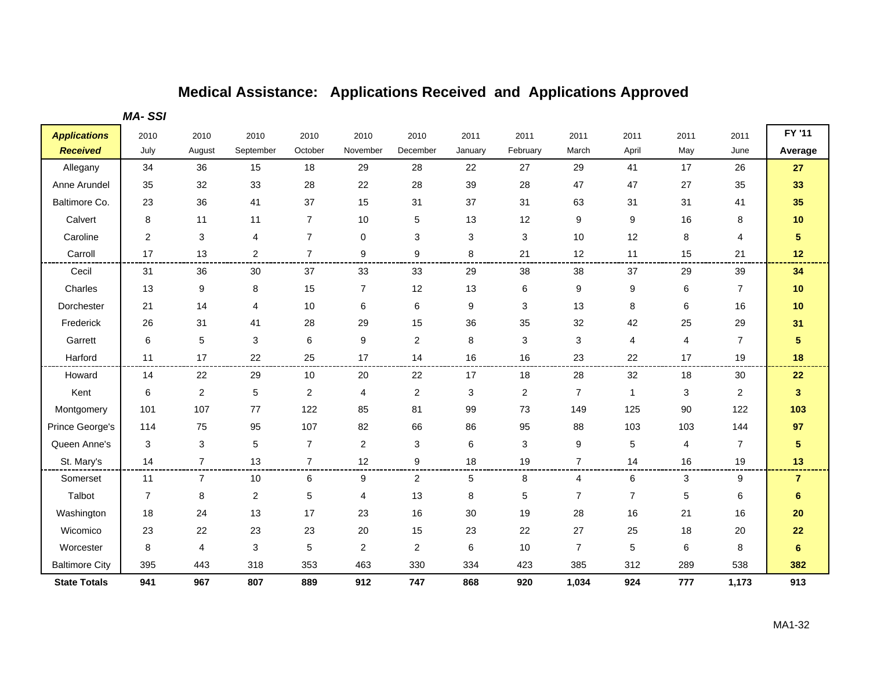*MA- SSI*

| <b>Applications</b>   | 2010             | 2010           | 2010                      | 2010           | 2010           | 2010           | 2011                      | 2011     | 2011           | 2011                    | 2011           | 2011           | FY '11                  |
|-----------------------|------------------|----------------|---------------------------|----------------|----------------|----------------|---------------------------|----------|----------------|-------------------------|----------------|----------------|-------------------------|
| <b>Received</b>       | July             | August         | September                 | October        | November       | December       | January                   | February | March          | April                   | May            | June           | Average                 |
| Allegany              | 34               | 36             | 15                        | 18             | 29             | 28             | 22                        | 27       | 29             | 41                      | 17             | 26             | 27                      |
| Anne Arundel          | 35               | 32             | 33                        | 28             | 22             | 28             | 39                        | 28       | 47             | 47                      | 27             | 35             | 33                      |
| Baltimore Co.         | 23               | 36             | 41                        | 37             | 15             | 31             | 37                        | 31       | 63             | 31                      | 31             | 41             | 35                      |
| Calvert               | 8                | 11             | 11                        | $\overline{7}$ | 10             | 5              | 13                        | 12       | 9              | 9                       | 16             | 8              | $10$                    |
| Caroline              | $\boldsymbol{2}$ | 3              | 4                         | $\overline{7}$ | 0              | 3              | $\ensuremath{\mathsf{3}}$ | 3        | 10             | 12                      | $\,$ 8 $\,$    | 4              | $\overline{\mathbf{5}}$ |
| Carroll               | 17               | 13             | $\overline{2}$            | $\overline{7}$ | 9              | 9              | 8                         | 21       | 12             | 11                      | 15             | 21             | 12                      |
| Cecil                 | 31               | 36             | 30                        | 37             | 33             | 33             | 29                        | 38       | 38             | 37                      | 29             | 39             | 34                      |
| Charles               | 13               | 9              | 8                         | 15             | $\overline{7}$ | 12             | 13                        | 6        | 9              | 9                       | 6              | $\overline{7}$ | $10$                    |
| Dorchester            | 21               | 14             | 4                         | 10             | 6              | 6              | 9                         | 3        | 13             | 8                       | 6              | 16             | 10                      |
| Frederick             | 26               | 31             | 41                        | 28             | 29             | 15             | 36                        | 35       | 32             | 42                      | 25             | 29             | 31                      |
| Garrett               | 6                | 5              | $\sqrt{3}$                | 6              | 9              | $\overline{c}$ | 8                         | 3        | 3              | $\overline{\mathbf{4}}$ | $\overline{4}$ | $\overline{7}$ | $\overline{\mathbf{5}}$ |
| Harford               | 11               | 17             | 22                        | 25             | 17             | 14             | 16                        | 16       | 23             | 22                      | 17             | 19             | 18                      |
| Howard                | 14               | 22             | 29                        | 10             | 20             | 22             | 17                        | 18       | 28             | 32                      | 18             | 30             | 22                      |
| Kent                  | 6                | 2              | 5                         | $\overline{2}$ | 4              | $\overline{2}$ | 3                         | 2        | $\overline{7}$ | $\mathbf{1}$            | 3              | $\overline{2}$ | $3\phantom{a}$          |
| Montgomery            | 101              | 107            | 77                        | 122            | 85             | 81             | 99                        | 73       | 149            | 125                     | 90             | 122            | 103                     |
| Prince George's       | 114              | 75             | 95                        | 107            | 82             | 66             | 86                        | 95       | 88             | 103                     | 103            | 144            | 97                      |
| Queen Anne's          | 3                | 3              | 5                         | $\overline{7}$ | $\overline{2}$ | 3              | 6                         | 3        | 9              | 5                       | $\overline{4}$ | $\overline{7}$ | $\sqrt{5}$              |
| St. Mary's            | 14               | $\overline{7}$ | 13                        | $\overline{7}$ | 12             | 9              | 18                        | 19       | $\overline{7}$ | 14                      | 16             | 19             | 13                      |
| Somerset              | 11               | 7              | 10                        | 6              | 9              | $\overline{2}$ | 5                         | 8        | 4              | 6                       | 3              | 9              | $\overline{7}$          |
| Talbot                | $\overline{7}$   | 8              | $\boldsymbol{2}$          | 5              | 4              | 13             | 8                         | 5        | $\overline{7}$ | $\overline{7}$          | $\mathbf 5$    | 6              | 6                       |
| Washington            | 18               | 24             | 13                        | 17             | 23             | 16             | 30                        | 19       | 28             | 16                      | 21             | 16             | 20                      |
| Wicomico              | 23               | 22             | 23                        | 23             | 20             | 15             | 23                        | 22       | 27             | 25                      | 18             | 20             | 22                      |
| Worcester             | 8                | $\overline{4}$ | $\ensuremath{\mathsf{3}}$ | 5              | 2              | $\overline{a}$ | 6                         | 10       | $\overline{7}$ | 5                       | 6              | 8              | $6\phantom{1}6$         |
| <b>Baltimore City</b> | 395              | 443            | 318                       | 353            | 463            | 330            | 334                       | 423      | 385            | 312                     | 289            | 538            | 382                     |
| <b>State Totals</b>   | 941              | 967            | 807                       | 889            | 912            | 747            | 868                       | 920      | 1,034          | 924                     | 777            | 1,173          | 913                     |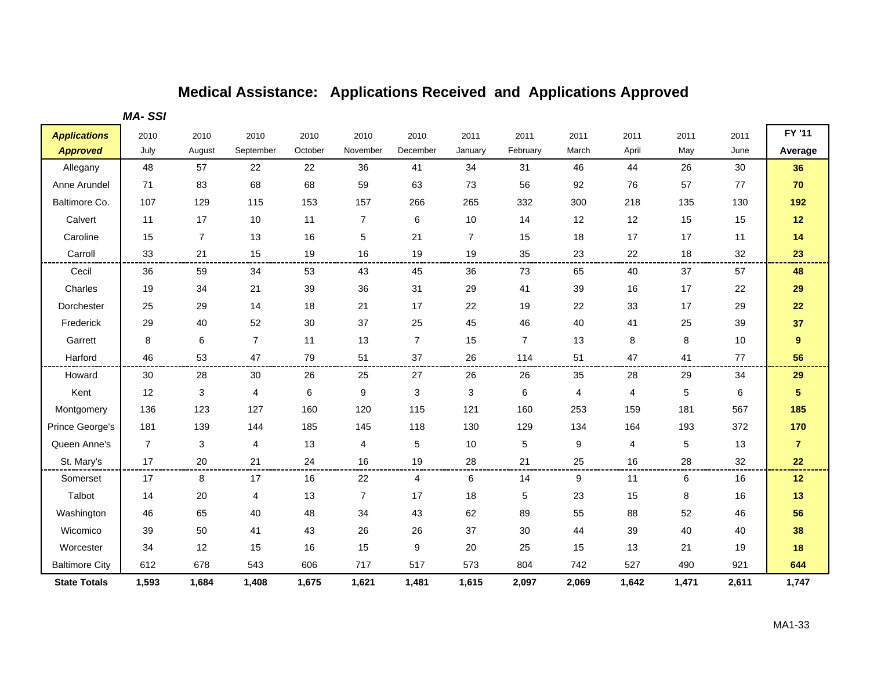*MA- SSI*

| <b>Applications</b>   | 2010           | 2010           | 2010           | 2010    | 2010             | 2010           | 2011                      | 2011           | 2011  | 2011           | 2011        | 2011  | FY '11         |
|-----------------------|----------------|----------------|----------------|---------|------------------|----------------|---------------------------|----------------|-------|----------------|-------------|-------|----------------|
| <b>Approved</b>       | July           | August         | September      | October | November         | December       | January                   | February       | March | April          | May         | June  | Average        |
| Allegany              | 48             | 57             | 22             | 22      | 36               | 41             | 34                        | 31             | 46    | 44             | 26          | 30    | 36             |
| Anne Arundel          | 71             | 83             | 68             | 68      | 59               | 63             | 73                        | 56             | 92    | 76             | 57          | 77    | 70             |
| Baltimore Co.         | 107            | 129            | 115            | 153     | 157              | 266            | 265                       | 332            | 300   | 218            | 135         | 130   | 192            |
| Calvert               | 11             | 17             | 10             | 11      | $\overline{7}$   | 6              | 10                        | 14             | 12    | 12             | 15          | 15    | 12             |
| Caroline              | 15             | $\overline{7}$ | 13             | 16      | 5                | 21             | $\overline{7}$            | 15             | 18    | 17             | 17          | 11    | 14             |
| Carroll               | 33             | 21             | 15             | 19      | 16               | 19             | 19                        | 35             | 23    | 22             | 18          | 32    | 23             |
| Cecil                 | 36             | 59             | 34             | 53      | 43               | 45             | 36                        | 73             | 65    | 40             | 37          | 57    | 48             |
| Charles               | 19             | 34             | 21             | 39      | 36               | 31             | 29                        | 41             | 39    | 16             | 17          | 22    | 29             |
| Dorchester            | 25             | 29             | 14             | 18      | 21               | 17             | 22                        | 19             | 22    | 33             | 17          | 29    | 22             |
| Frederick             | 29             | 40             | 52             | 30      | 37               | 25             | 45                        | 46             | 40    | 41             | 25          | 39    | 37             |
| Garrett               | 8              | 6              | $\overline{7}$ | 11      | 13               | $\overline{7}$ | 15                        | $\overline{7}$ | 13    | 8              | 8           | $10$  | $\pmb{9}$      |
| Harford               | 46             | 53             | 47             | 79      | 51               | 37             | 26                        | 114            | 51    | 47             | 41          | 77    | 56             |
| Howard                | 30             | 28             | 30             | 26      | 25               | 27             | 26                        | 26             | 35    | 28             | 29          | 34    | 29             |
| Kent                  | 12             | 3              | $\overline{4}$ | 6       | $\boldsymbol{9}$ | 3              | $\ensuremath{\mathsf{3}}$ | 6              | 4     | $\overline{4}$ | $\mathbf 5$ | 6     | 5              |
| Montgomery            | 136            | 123            | 127            | 160     | 120              | 115            | 121                       | 160            | 253   | 159            | 181         | 567   | 185            |
| Prince George's       | 181            | 139            | 144            | 185     | 145              | 118            | 130                       | 129            | 134   | 164            | 193         | 372   | 170            |
| Queen Anne's          | $\overline{7}$ | 3              | 4              | 13      | 4                | 5              | 10                        | 5              | 9     | $\overline{4}$ | 5           | 13    | $\overline{7}$ |
| St. Mary's            | 17             | 20             | 21             | 24      | 16               | 19             | 28                        | 21             | 25    | 16             | 28          | 32    | 22             |
| Somerset              | 17             | 8              | 17             | 16      | 22               | 4              | 6                         | 14             | 9     | 11             | 6           | 16    | 12             |
| Talbot                | 14             | 20             | 4              | 13      | $\overline{7}$   | 17             | 18                        | 5              | 23    | 15             | 8           | 16    | 13             |
| Washington            | 46             | 65             | 40             | 48      | 34               | 43             | 62                        | 89             | 55    | 88             | 52          | 46    | 56             |
| Wicomico              | 39             | 50             | 41             | 43      | 26               | 26             | 37                        | 30             | 44    | 39             | 40          | 40    | 38             |
| Worcester             | 34             | 12             | 15             | 16      | 15               | 9              | 20                        | 25             | 15    | 13             | 21          | 19    | 18             |
| <b>Baltimore City</b> | 612            | 678            | 543            | 606     | 717              | 517            | 573                       | 804            | 742   | 527            | 490         | 921   | 644            |
| <b>State Totals</b>   | 1,593          | 1,684          | 1,408          | 1,675   | 1,621            | 1,481          | 1,615                     | 2,097          | 2,069 | 1,642          | 1,471       | 2,611 | 1,747          |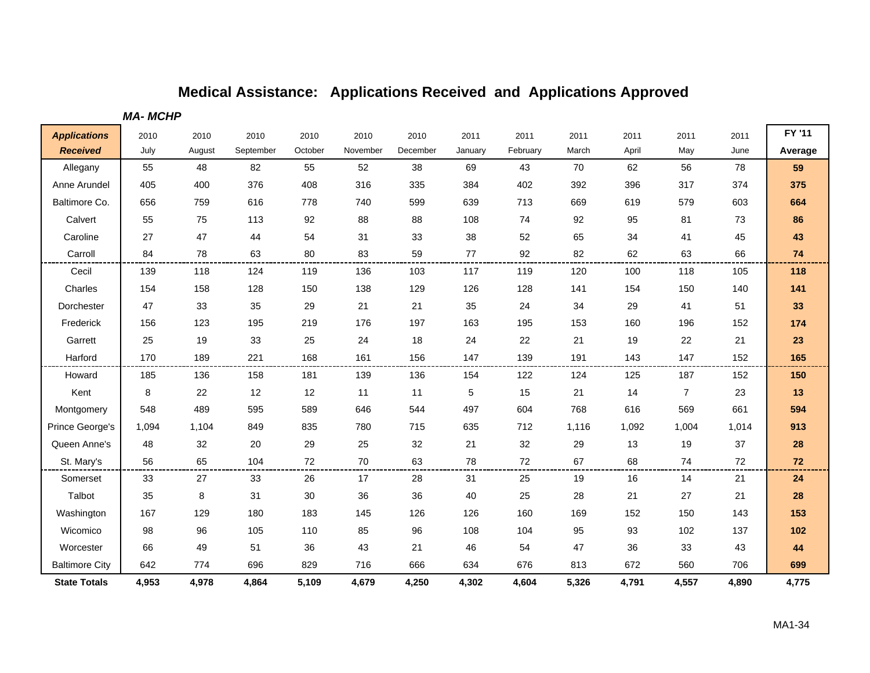*MA- MCHP*

| <b>Applications</b>   | 2010  | 2010   | 2010      | 2010    | 2010     | 2010     | 2011    | 2011     | 2011  | 2011  | 2011           | 2011  | FY '11    |
|-----------------------|-------|--------|-----------|---------|----------|----------|---------|----------|-------|-------|----------------|-------|-----------|
| <b>Received</b>       | July  | August | September | October | November | December | January | February | March | April | May            | June  | Average   |
| Allegany              | 55    | 48     | 82        | 55      | 52       | 38       | 69      | 43       | 70    | 62    | 56             | 78    | 59        |
| Anne Arundel          | 405   | 400    | 376       | 408     | 316      | 335      | 384     | 402      | 392   | 396   | 317            | 374   | 375       |
| Baltimore Co.         | 656   | 759    | 616       | 778     | 740      | 599      | 639     | 713      | 669   | 619   | 579            | 603   | 664       |
| Calvert               | 55    | 75     | 113       | 92      | 88       | 88       | 108     | 74       | 92    | 95    | 81             | 73    | 86        |
| Caroline              | 27    | 47     | 44        | 54      | 31       | 33       | 38      | 52       | 65    | 34    | 41             | 45    | 43        |
| Carroll               | 84    | 78     | 63        | 80      | 83       | 59       | 77      | 92       | 82    | 62    | 63             | 66    | 74        |
| Cecil                 | 139   | 118    | 124       | 119     | 136      | 103      | 117     | 119      | 120   | 100   | 118            | 105   | 118       |
| Charles               | 154   | 158    | 128       | 150     | 138      | 129      | 126     | 128      | 141   | 154   | 150            | 140   | 141       |
| Dorchester            | 47    | 33     | 35        | 29      | 21       | 21       | 35      | 24       | 34    | 29    | 41             | 51    | 33        |
| Frederick             | 156   | 123    | 195       | 219     | 176      | 197      | 163     | 195      | 153   | 160   | 196            | 152   | 174       |
| Garrett               | 25    | 19     | 33        | 25      | 24       | 18       | 24      | 22       | 21    | 19    | 22             | 21    | 23        |
| Harford               | 170   | 189    | 221       | 168     | 161      | 156      | 147     | 139      | 191   | 143   | 147            | 152   | 165       |
| Howard                | 185   | 136    | 158       | 181     | 139      | 136      | 154     | 122      | 124   | 125   | 187            | 152   | 150       |
| Kent                  | 8     | 22     | 12        | 12      | 11       | 11       | 5       | 15       | 21    | 14    | $\overline{7}$ | 23    | $13$      |
| Montgomery            | 548   | 489    | 595       | 589     | 646      | 544      | 497     | 604      | 768   | 616   | 569            | 661   | 594       |
| Prince George's       | 1,094 | 1,104  | 849       | 835     | 780      | 715      | 635     | 712      | 1,116 | 1,092 | 1,004          | 1,014 | 913       |
| Queen Anne's          | 48    | 32     | 20        | 29      | 25       | 32       | 21      | 32       | 29    | 13    | 19             | 37    | 28        |
| St. Mary's            | 56    | 65     | 104       | 72      | 70       | 63       | 78      | 72       | 67    | 68    | 74             | 72    | 72        |
| Somerset              | 33    | 27     | 33        | 26      | 17       | 28       | 31      | 25       | 19    | 16    | 14             | 21    | 24        |
| Talbot                | 35    | 8      | 31        | 30      | 36       | 36       | 40      | 25       | 28    | 21    | 27             | 21    | 28        |
| Washington            | 167   | 129    | 180       | 183     | 145      | 126      | 126     | 160      | 169   | 152   | 150            | 143   | 153       |
| Wicomico              | 98    | 96     | 105       | 110     | 85       | 96       | 108     | 104      | 95    | 93    | 102            | 137   | 102       |
| Worcester             | 66    | 49     | 51        | 36      | 43       | 21       | 46      | 54       | 47    | 36    | 33             | 43    | $\bf{44}$ |
| <b>Baltimore City</b> | 642   | 774    | 696       | 829     | 716      | 666      | 634     | 676      | 813   | 672   | 560            | 706   | 699       |
| <b>State Totals</b>   | 4,953 | 4,978  | 4,864     | 5,109   | 4,679    | 4,250    | 4,302   | 4,604    | 5,326 | 4,791 | 4,557          | 4,890 | 4,775     |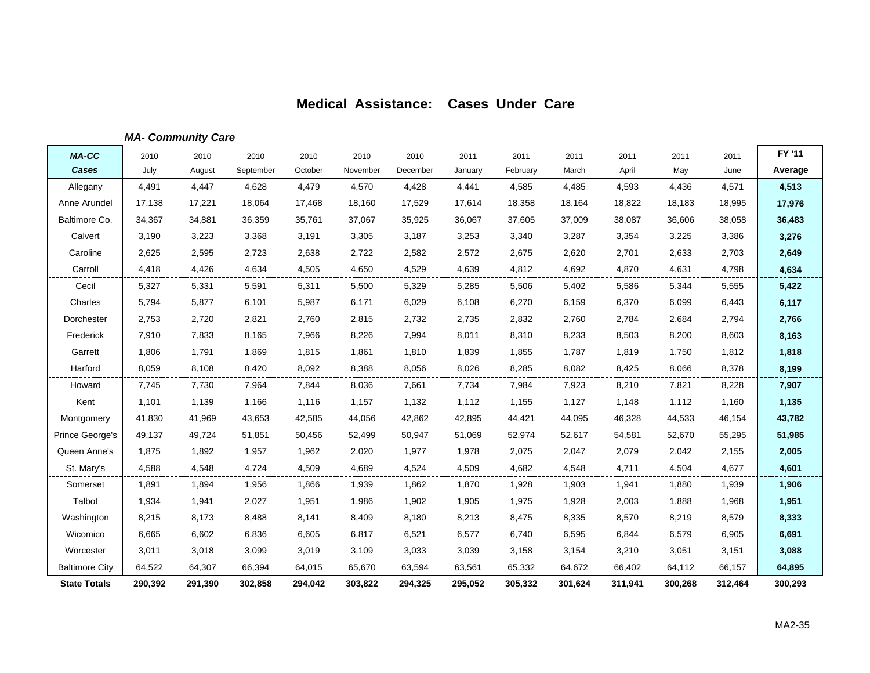### *MA- Community Care*

| <b>MA-CC</b>          | 2010    | 2010    | 2010      | 2010    | 2010     | 2010     | 2011    | 2011     | 2011    | 2011    | 2011    | 2011    | FY '11  |
|-----------------------|---------|---------|-----------|---------|----------|----------|---------|----------|---------|---------|---------|---------|---------|
| Cases                 | July    | August  | September | October | November | December | January | February | March   | April   | May     | June    | Average |
| Allegany              | 4,491   | 4,447   | 4,628     | 4,479   | 4,570    | 4,428    | 4,441   | 4,585    | 4,485   | 4,593   | 4,436   | 4,571   | 4,513   |
| Anne Arundel          | 17,138  | 17,221  | 18,064    | 17,468  | 18,160   | 17,529   | 17,614  | 18,358   | 18,164  | 18,822  | 18,183  | 18,995  | 17,976  |
| Baltimore Co.         | 34,367  | 34,881  | 36,359    | 35,761  | 37,067   | 35,925   | 36,067  | 37,605   | 37,009  | 38,087  | 36,606  | 38,058  | 36,483  |
| Calvert               | 3,190   | 3,223   | 3,368     | 3,191   | 3,305    | 3,187    | 3,253   | 3,340    | 3,287   | 3,354   | 3,225   | 3,386   | 3,276   |
| Caroline              | 2,625   | 2,595   | 2,723     | 2,638   | 2,722    | 2,582    | 2,572   | 2,675    | 2,620   | 2,701   | 2,633   | 2,703   | 2,649   |
| Carroll               | 4.418   | 4,426   | 4,634     | 4,505   | 4,650    | 4,529    | 4,639   | 4,812    | 4,692   | 4,870   | 4,631   | 4,798   | 4,634   |
| Cecil                 | 5,327   | 5,331   | 5,591     | 5,311   | 5,500    | 5,329    | 5,285   | 5,506    | 5,402   | 5,586   | 5,344   | 5,555   | 5,422   |
| Charles               | 5,794   | 5,877   | 6,101     | 5,987   | 6,171    | 6,029    | 6,108   | 6,270    | 6,159   | 6,370   | 6,099   | 6,443   | 6,117   |
| Dorchester            | 2,753   | 2,720   | 2,821     | 2,760   | 2,815    | 2,732    | 2,735   | 2,832    | 2,760   | 2,784   | 2,684   | 2,794   | 2,766   |
| Frederick             | 7,910   | 7,833   | 8,165     | 7,966   | 8,226    | 7,994    | 8,011   | 8,310    | 8,233   | 8,503   | 8,200   | 8,603   | 8,163   |
| Garrett               | 1,806   | 1,791   | 1,869     | 1,815   | 1,861    | 1,810    | 1,839   | 1,855    | 1,787   | 1,819   | 1,750   | 1,812   | 1,818   |
| Harford               | 8,059   | 8,108   | 8,420     | 8,092   | 8,388    | 8,056    | 8,026   | 8,285    | 8,082   | 8,425   | 8,066   | 8,378   | 8,199   |
| Howard                | 7,745   | 7,730   | 7,964     | 7,844   | 8,036    | 7,661    | 7,734   | 7,984    | 7,923   | 8,210   | 7,821   | 8,228   | 7,907   |
| Kent                  | 1,101   | 1,139   | 1,166     | 1,116   | 1,157    | 1,132    | 1,112   | 1,155    | 1,127   | 1,148   | 1,112   | 1,160   | 1,135   |
| Montgomery            | 41,830  | 41,969  | 43,653    | 42,585  | 44,056   | 42,862   | 42,895  | 44,421   | 44,095  | 46,328  | 44,533  | 46,154  | 43,782  |
| Prince George's       | 49,137  | 49,724  | 51,851    | 50,456  | 52,499   | 50,947   | 51,069  | 52,974   | 52,617  | 54,581  | 52,670  | 55,295  | 51,985  |
| Queen Anne's          | 1,875   | 1,892   | 1,957     | 1,962   | 2,020    | 1,977    | 1,978   | 2,075    | 2,047   | 2,079   | 2,042   | 2,155   | 2,005   |
| St. Mary's            | 4,588   | 4,548   | 4,724     | 4,509   | 4,689    | 4,524    | 4,509   | 4,682    | 4,548   | 4,711   | 4,504   | 4,677   | 4,601   |
| Somerset              | 1,891   | 1,894   | 1,956     | 1,866   | 1,939    | 1,862    | 1,870   | 1,928    | 1,903   | 1,941   | 1,880   | 1,939   | 1,906   |
| Talbot                | 1,934   | 1,941   | 2,027     | 1,951   | 1,986    | 1,902    | 1,905   | 1,975    | 1,928   | 2,003   | 1,888   | 1,968   | 1,951   |
| Washington            | 8,215   | 8,173   | 8,488     | 8,141   | 8,409    | 8,180    | 8,213   | 8,475    | 8,335   | 8,570   | 8,219   | 8,579   | 8,333   |
| Wicomico              | 6,665   | 6,602   | 6,836     | 6,605   | 6,817    | 6,521    | 6,577   | 6,740    | 6,595   | 6,844   | 6,579   | 6,905   | 6,691   |
| Worcester             | 3,011   | 3,018   | 3,099     | 3,019   | 3,109    | 3,033    | 3,039   | 3,158    | 3,154   | 3,210   | 3,051   | 3,151   | 3,088   |
| <b>Baltimore City</b> | 64,522  | 64,307  | 66,394    | 64,015  | 65,670   | 63,594   | 63,561  | 65,332   | 64,672  | 66,402  | 64,112  | 66,157  | 64,895  |
| <b>State Totals</b>   | 290,392 | 291,390 | 302,858   | 294,042 | 303,822  | 294,325  | 295,052 | 305,332  | 301,624 | 311,941 | 300,268 | 312,464 | 300,293 |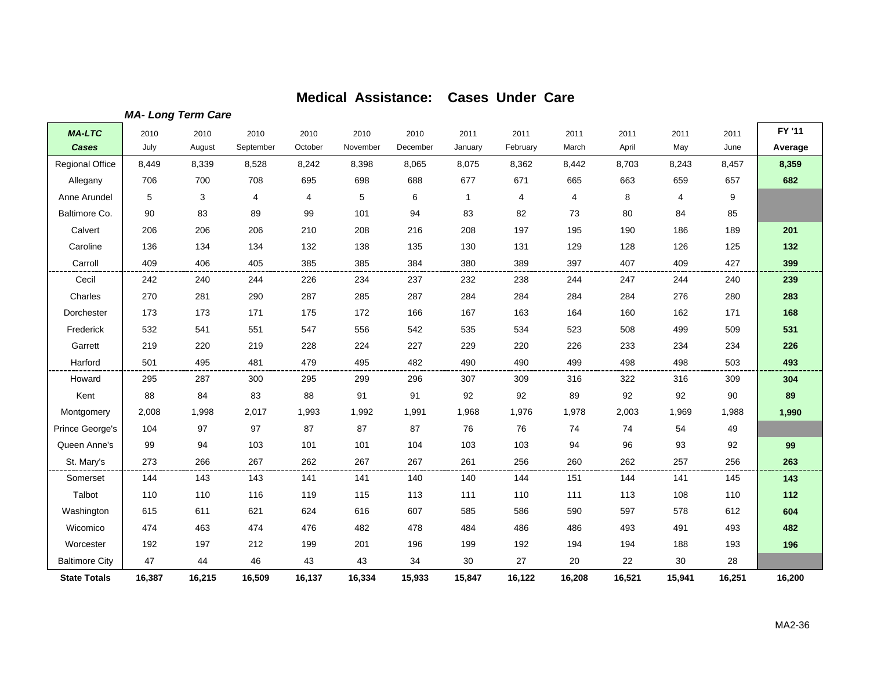*MA- Long Term Care*

| <b>MA-LTC</b>          | 2010   | 2010   | 2010      | 2010    | 2010     | 2010     | 2011         | 2011     | 2011           | 2011   | 2011   | 2011   | FY '11  |
|------------------------|--------|--------|-----------|---------|----------|----------|--------------|----------|----------------|--------|--------|--------|---------|
| Cases                  | July   | August | September | October | November | December | January      | February | March          | April  | May    | June   | Average |
| <b>Regional Office</b> | 8,449  | 8,339  | 8,528     | 8,242   | 8,398    | 8,065    | 8,075        | 8,362    | 8,442          | 8,703  | 8,243  | 8,457  | 8,359   |
| Allegany               | 706    | 700    | 708       | 695     | 698      | 688      | 677          | 671      | 665            | 663    | 659    | 657    | 682     |
| Anne Arundel           | 5      | 3      | 4         | 4       | 5        | 6        | $\mathbf{1}$ | 4        | $\overline{4}$ | 8      | 4      | 9      |         |
| Baltimore Co.          | 90     | 83     | 89        | 99      | 101      | 94       | 83           | 82       | 73             | 80     | 84     | 85     |         |
| Calvert                | 206    | 206    | 206       | 210     | 208      | 216      | 208          | 197      | 195            | 190    | 186    | 189    | 201     |
| Caroline               | 136    | 134    | 134       | 132     | 138      | 135      | 130          | 131      | 129            | 128    | 126    | 125    | 132     |
| Carroll                | 409    | 406    | 405       | 385     | 385      | 384      | 380          | 389      | 397            | 407    | 409    | 427    | 399     |
| Cecil                  | 242    | 240    | 244       | 226     | 234      | 237      | 232          | 238      | 244            | 247    | 244    | 240    | 239     |
| Charles                | 270    | 281    | 290       | 287     | 285      | 287      | 284          | 284      | 284            | 284    | 276    | 280    | 283     |
| Dorchester             | 173    | 173    | 171       | 175     | 172      | 166      | 167          | 163      | 164            | 160    | 162    | 171    | 168     |
| Frederick              | 532    | 541    | 551       | 547     | 556      | 542      | 535          | 534      | 523            | 508    | 499    | 509    | 531     |
| Garrett                | 219    | 220    | 219       | 228     | 224      | 227      | 229          | 220      | 226            | 233    | 234    | 234    | 226     |
| Harford                | 501    | 495    | 481       | 479     | 495      | 482      | 490          | 490      | 499            | 498    | 498    | 503    | 493     |
| Howard                 | 295    | 287    | 300       | 295     | 299      | 296      | 307          | 309      | 316            | 322    | 316    | 309    | 304     |
| Kent                   | 88     | 84     | 83        | 88      | 91       | 91       | 92           | 92       | 89             | 92     | 92     | 90     | 89      |
| Montgomery             | 2,008  | 1,998  | 2,017     | 1,993   | 1,992    | 1,991    | 1,968        | 1,976    | 1,978          | 2,003  | 1,969  | 1,988  | 1,990   |
| Prince George's        | 104    | 97     | 97        | 87      | 87       | 87       | 76           | 76       | 74             | 74     | 54     | 49     |         |
| Queen Anne's           | 99     | 94     | 103       | 101     | 101      | 104      | 103          | 103      | 94             | 96     | 93     | 92     | 99      |
| St. Mary's             | 273    | 266    | 267       | 262     | 267      | 267      | 261          | 256      | 260            | 262    | 257    | 256    | 263     |
| Somerset               | 144    | 143    | 143       | 141     | 141      | 140      | 140          | 144      | 151            | 144    | 141    | 145    | 143     |
| Talbot                 | 110    | 110    | 116       | 119     | 115      | 113      | 111          | 110      | 111            | 113    | 108    | 110    | 112     |
| Washington             | 615    | 611    | 621       | 624     | 616      | 607      | 585          | 586      | 590            | 597    | 578    | 612    | 604     |
| Wicomico               | 474    | 463    | 474       | 476     | 482      | 478      | 484          | 486      | 486            | 493    | 491    | 493    | 482     |
| Worcester              | 192    | 197    | 212       | 199     | 201      | 196      | 199          | 192      | 194            | 194    | 188    | 193    | 196     |
| <b>Baltimore City</b>  | 47     | 44     | 46        | 43      | 43       | 34       | 30           | 27       | 20             | 22     | 30     | 28     |         |
| <b>State Totals</b>    | 16,387 | 16,215 | 16,509    | 16,137  | 16,334   | 15,933   | 15,847       | 16,122   | 16,208         | 16,521 | 15,941 | 16,251 | 16,200  |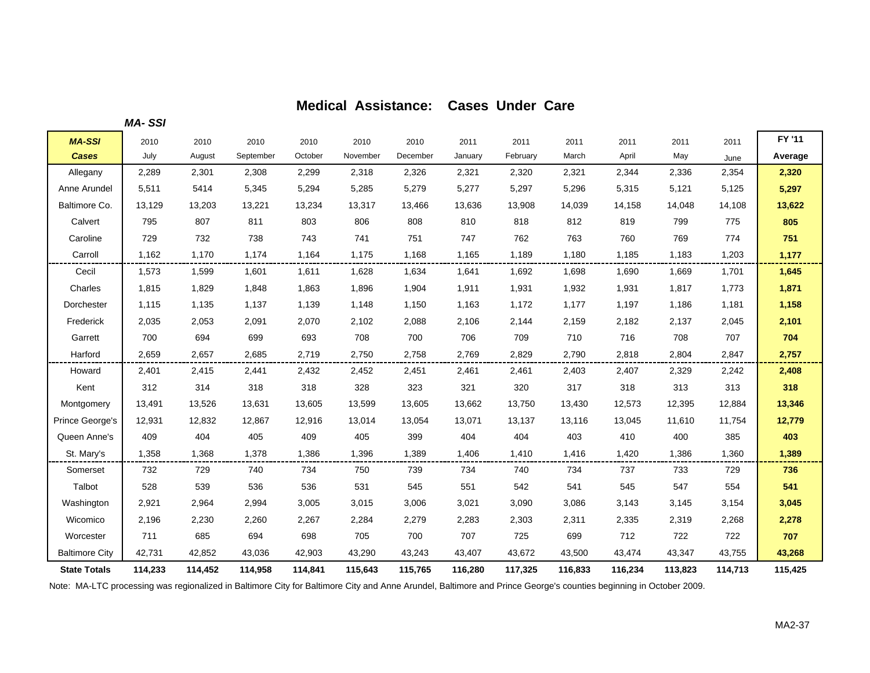|                       | <b>MA-SSI</b> |         |           |         |          |          |         |          |         |         |         |         |         |
|-----------------------|---------------|---------|-----------|---------|----------|----------|---------|----------|---------|---------|---------|---------|---------|
| <b>MA-SSI</b>         | 2010          | 2010    | 2010      | 2010    | 2010     | 2010     | 2011    | 2011     | 2011    | 2011    | 2011    | 2011    | FY '11  |
| <b>Cases</b>          | July          | August  | September | October | November | December | January | February | March   | April   | May     | June    | Average |
| Allegany              | 2,289         | 2,301   | 2,308     | 2,299   | 2,318    | 2,326    | 2,321   | 2,320    | 2,321   | 2,344   | 2,336   | 2,354   | 2,320   |
| Anne Arundel          | 5,511         | 5414    | 5,345     | 5,294   | 5,285    | 5,279    | 5,277   | 5,297    | 5,296   | 5,315   | 5,121   | 5,125   | 5,297   |
| Baltimore Co.         | 13,129        | 13,203  | 13,221    | 13,234  | 13,317   | 13,466   | 13,636  | 13,908   | 14,039  | 14,158  | 14,048  | 14,108  | 13,622  |
| Calvert               | 795           | 807     | 811       | 803     | 806      | 808      | 810     | 818      | 812     | 819     | 799     | 775     | 805     |
| Caroline              | 729           | 732     | 738       | 743     | 741      | 751      | 747     | 762      | 763     | 760     | 769     | 774     | 751     |
| Carroll               | 1,162         | 1,170   | 1,174     | 1,164   | 1,175    | 1,168    | 1,165   | 1,189    | 1,180   | 1,185   | 1,183   | 1,203   | 1,177   |
| Cecil                 | 1,573         | 1,599   | 1,601     | 1,611   | 1,628    | 1,634    | 1,641   | 1,692    | 1,698   | 1,690   | 1,669   | 1,701   | 1,645   |
| Charles               | 1,815         | 1,829   | 1,848     | 1,863   | 1,896    | 1,904    | 1,911   | 1,931    | 1,932   | 1,931   | 1,817   | 1,773   | 1,871   |
| Dorchester            | 1,115         | 1,135   | 1,137     | 1,139   | 1,148    | 1,150    | 1,163   | 1,172    | 1,177   | 1,197   | 1,186   | 1,181   | 1,158   |
| Frederick             | 2,035         | 2,053   | 2,091     | 2,070   | 2,102    | 2,088    | 2,106   | 2,144    | 2,159   | 2,182   | 2,137   | 2,045   | 2,101   |
| Garrett               | 700           | 694     | 699       | 693     | 708      | 700      | 706     | 709      | 710     | 716     | 708     | 707     | 704     |
| Harford               | 2,659         | 2,657   | 2,685     | 2,719   | 2,750    | 2,758    | 2,769   | 2,829    | 2,790   | 2,818   | 2,804   | 2,847   | 2,757   |
| Howard                | 2,401         | 2,415   | 2,441     | 2,432   | 2,452    | 2,451    | 2,461   | 2,461    | 2,403   | 2,407   | 2,329   | 2,242   | 2,408   |
| Kent                  | 312           | 314     | 318       | 318     | 328      | 323      | 321     | 320      | 317     | 318     | 313     | 313     | 318     |
| Montgomery            | 13,491        | 13,526  | 13,631    | 13,605  | 13,599   | 13,605   | 13,662  | 13,750   | 13,430  | 12,573  | 12,395  | 12,884  | 13,346  |
| Prince George's       | 12,931        | 12,832  | 12,867    | 12,916  | 13,014   | 13,054   | 13,071  | 13,137   | 13,116  | 13,045  | 11,610  | 11,754  | 12,779  |
| Queen Anne's          | 409           | 404     | 405       | 409     | 405      | 399      | 404     | 404      | 403     | 410     | 400     | 385     | 403     |
| St. Mary's            | 1,358         | 1,368   | 1,378     | 1,386   | 1,396    | 1,389    | 1,406   | 1,410    | 1,416   | 1,420   | 1,386   | 1,360   | 1,389   |
| Somerset              | 732           | 729     | 740       | 734     | 750      | 739      | 734     | 740      | 734     | 737     | 733     | 729     | 736     |
| Talbot                | 528           | 539     | 536       | 536     | 531      | 545      | 551     | 542      | 541     | 545     | 547     | 554     | 541     |
| Washington            | 2,921         | 2,964   | 2,994     | 3,005   | 3,015    | 3,006    | 3,021   | 3,090    | 3,086   | 3,143   | 3,145   | 3,154   | 3,045   |
| Wicomico              | 2,196         | 2,230   | 2,260     | 2,267   | 2,284    | 2,279    | 2,283   | 2,303    | 2,311   | 2,335   | 2,319   | 2,268   | 2,278   |
| Worcester             | 711           | 685     | 694       | 698     | 705      | 700      | 707     | 725      | 699     | 712     | 722     | 722     | 707     |
| <b>Baltimore City</b> | 42,731        | 42,852  | 43,036    | 42,903  | 43,290   | 43,243   | 43,407  | 43,672   | 43,500  | 43,474  | 43,347  | 43,755  | 43,268  |
| <b>State Totals</b>   | 114,233       | 114,452 | 114,958   | 114,841 | 115,643  | 115,765  | 116,280 | 117,325  | 116,833 | 116,234 | 113,823 | 114,713 | 115,425 |

Note: MA-LTC processing was regionalized in Baltimore City for Baltimore City and Anne Arundel, Baltimore and Prince George's counties beginning in October 2009.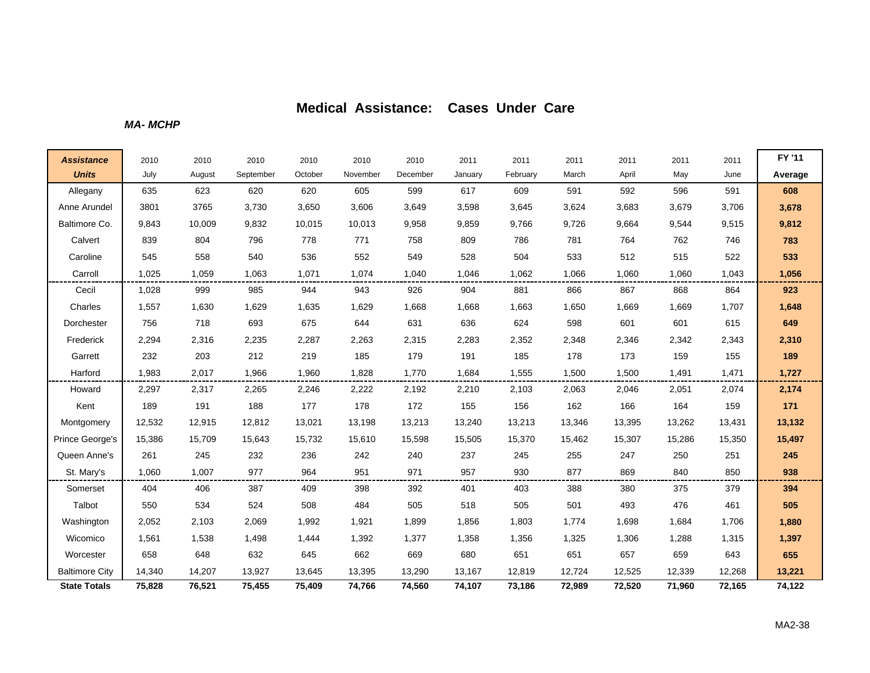*MA- MCHP*

| <b>Assistance</b>     | 2010   | 2010   | 2010      | 2010    | 2010     | 2010     | 2011    | 2011     | 2011   | 2011   | 2011   | 2011   | FY '11  |
|-----------------------|--------|--------|-----------|---------|----------|----------|---------|----------|--------|--------|--------|--------|---------|
| <b>Units</b>          | July   | August | September | October | November | December | January | February | March  | April  | May    | June   | Average |
| Allegany              | 635    | 623    | 620       | 620     | 605      | 599      | 617     | 609      | 591    | 592    | 596    | 591    | 608     |
| Anne Arundel          | 3801   | 3765   | 3,730     | 3,650   | 3,606    | 3,649    | 3,598   | 3,645    | 3,624  | 3,683  | 3,679  | 3,706  | 3,678   |
| Baltimore Co.         | 9,843  | 10,009 | 9,832     | 10,015  | 10,013   | 9,958    | 9,859   | 9,766    | 9,726  | 9,664  | 9,544  | 9,515  | 9,812   |
| Calvert               | 839    | 804    | 796       | 778     | 771      | 758      | 809     | 786      | 781    | 764    | 762    | 746    | 783     |
| Caroline              | 545    | 558    | 540       | 536     | 552      | 549      | 528     | 504      | 533    | 512    | 515    | 522    | 533     |
| Carroll               | 1,025  | 1,059  | 1,063     | 1,071   | 1,074    | 1,040    | 1,046   | 1,062    | 1,066  | 1,060  | 1,060  | 1,043  | 1,056   |
| Cecil                 | 1,028  | 999    | 985       | 944     | 943      | 926      | 904     | 881      | 866    | 867    | 868    | 864    | 923     |
| Charles               | 1,557  | 1,630  | 1,629     | 1,635   | 1,629    | 1,668    | 1,668   | 1,663    | 1,650  | 1,669  | 1,669  | 1,707  | 1,648   |
| Dorchester            | 756    | 718    | 693       | 675     | 644      | 631      | 636     | 624      | 598    | 601    | 601    | 615    | 649     |
| Frederick             | 2,294  | 2,316  | 2,235     | 2,287   | 2,263    | 2,315    | 2,283   | 2,352    | 2,348  | 2,346  | 2,342  | 2,343  | 2,310   |
| Garrett               | 232    | 203    | 212       | 219     | 185      | 179      | 191     | 185      | 178    | 173    | 159    | 155    | 189     |
| Harford               | 1,983  | 2,017  | 1,966     | 1,960   | 1,828    | 1,770    | 1,684   | 1,555    | 1,500  | 1,500  | 1,491  | 1,471  | 1,727   |
| Howard                | 2,297  | 2,317  | 2,265     | 2,246   | 2,222    | 2,192    | 2,210   | 2,103    | 2,063  | 2,046  | 2,051  | 2,074  | 2,174   |
| Kent                  | 189    | 191    | 188       | 177     | 178      | 172      | 155     | 156      | 162    | 166    | 164    | 159    | 171     |
| Montgomery            | 12,532 | 12,915 | 12,812    | 13,021  | 13,198   | 13,213   | 13,240  | 13,213   | 13,346 | 13,395 | 13,262 | 13,431 | 13,132  |
| Prince George's       | 15,386 | 15,709 | 15,643    | 15,732  | 15,610   | 15,598   | 15,505  | 15,370   | 15,462 | 15,307 | 15,286 | 15,350 | 15,497  |
| Queen Anne's          | 261    | 245    | 232       | 236     | 242      | 240      | 237     | 245      | 255    | 247    | 250    | 251    | 245     |
| St. Mary's            | 1,060  | 1,007  | 977       | 964     | 951      | 971      | 957     | 930      | 877    | 869    | 840    | 850    | 938     |
| Somerset              | 404    | 406    | 387       | 409     | 398      | 392      | 401     | 403      | 388    | 380    | 375    | 379    | 394     |
| Talbot                | 550    | 534    | 524       | 508     | 484      | 505      | 518     | 505      | 501    | 493    | 476    | 461    | 505     |
| Washington            | 2,052  | 2,103  | 2,069     | 1,992   | 1,921    | 1,899    | 1,856   | 1,803    | 1,774  | 1,698  | 1,684  | 1,706  | 1,880   |
| Wicomico              | 1,561  | 1,538  | 1,498     | 1,444   | 1,392    | 1,377    | 1,358   | 1,356    | 1,325  | 1,306  | 1,288  | 1,315  | 1,397   |
| Worcester             | 658    | 648    | 632       | 645     | 662      | 669      | 680     | 651      | 651    | 657    | 659    | 643    | 655     |
| <b>Baltimore City</b> | 14,340 | 14,207 | 13,927    | 13,645  | 13,395   | 13,290   | 13,167  | 12,819   | 12,724 | 12,525 | 12,339 | 12,268 | 13,221  |
| <b>State Totals</b>   | 75,828 | 76,521 | 75,455    | 75,409  | 74,766   | 74,560   | 74,107  | 73,186   | 72,989 | 72,520 | 71,960 | 72,165 | 74,122  |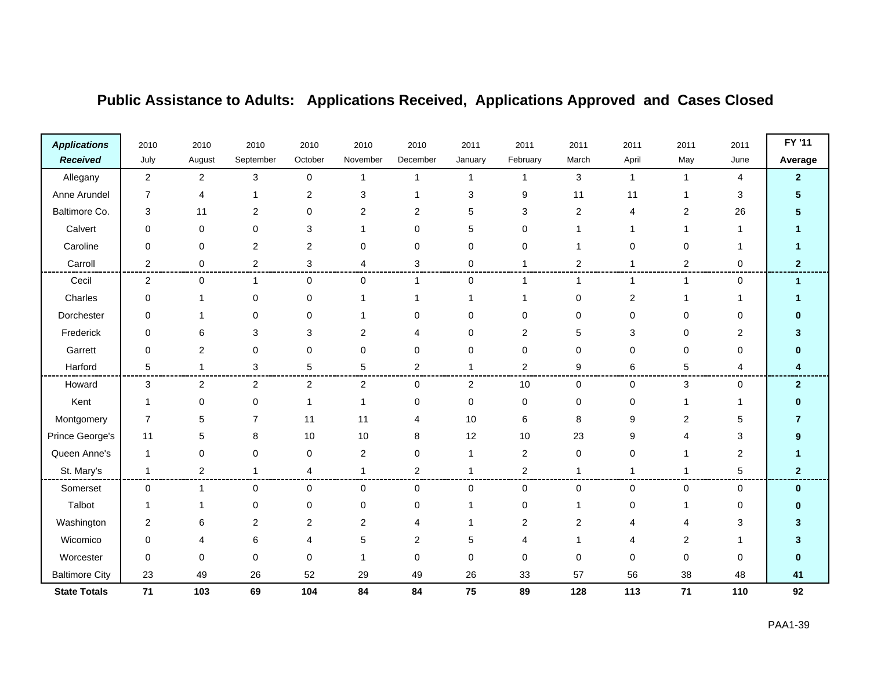| <b>Applications</b>   | 2010                    | 2010                    | 2010           | 2010                    | 2010                    | 2010           | 2011         | 2011           | 2011           | 2011           | 2011           | 2011           | FY '11               |
|-----------------------|-------------------------|-------------------------|----------------|-------------------------|-------------------------|----------------|--------------|----------------|----------------|----------------|----------------|----------------|----------------------|
| <b>Received</b>       | July                    | August                  | September      | October                 | November                | December       | January      | February       | March          | April          | May            | June           | Average              |
| Allegany              | $\boldsymbol{2}$        | $\overline{c}$          | $\mathbf{3}$   | $\pmb{0}$               | $\mathbf{1}$            | -1             | $\mathbf{1}$ | 1              | 3              | $\mathbf{1}$   | $\mathbf{1}$   | $\overline{4}$ | $\overline{2}$       |
| Anne Arundel          | 7                       | $\overline{\mathbf{4}}$ |                | 2                       | 3                       |                | 3            | 9              | 11             | 11             | 1              | 3              |                      |
| Baltimore Co.         | 3                       | 11                      | 2              | $\Omega$                | $\overline{\mathbf{c}}$ | 2              | 5            | 3              | $\overline{c}$ | 4              | $\overline{2}$ | 26             |                      |
| Calvert               | $\Omega$                | $\Omega$                | $\Omega$       | 3                       |                         | $\Omega$       | 5            | 0              |                |                | 1              |                |                      |
| Caroline              | 0                       | $\mathbf 0$             | $\overline{2}$ | $\overline{2}$          | 0                       | 0              | 0            | 0              | 1              | 0              | 0              |                |                      |
| Carroll               | 2                       | 0                       | 2              | 3                       | 4                       | 3              | 0            |                | 2              |                | $\sqrt{2}$     | 0              | $\mathbf{2}$         |
| Cecil                 | $\overline{\mathbf{c}}$ | 0                       | $\overline{1}$ | 0                       | 0                       |                | 0            |                | $\mathbf{1}$   | 1              | $\mathbf{1}$   | $\mathbf 0$    | $\blacktriangleleft$ |
| Charles               | 0                       |                         | 0              | $\Omega$                |                         |                |              |                | 0              | $\overline{2}$ | 1              |                |                      |
| Dorchester            | $\Omega$                |                         | $\Omega$       | $\Omega$                |                         | $\Omega$       | 0            | 0              | 0              | 0              | $\mathbf 0$    | 0              |                      |
| Frederick             | 0                       | 6                       | 3              | 3                       | 2                       |                | 0            | 2              | 5              | 3              | 0              | 2              |                      |
| Garrett               | 0                       | $\overline{2}$          | 0              | 0                       | 0                       | $\Omega$       | 0            | 0              | 0              | $\Omega$       | $\mathbf 0$    | 0              |                      |
| Harford               | 5                       | -1                      | 3              | 5                       | 5                       | 2              |              | 2              | 9              | 6              | 5              | 4              |                      |
| Howard                | 3                       | $\overline{2}$          | $\overline{2}$ | $\overline{2}$          | $\overline{2}$          | $\Omega$       | 2            | 10             | 0              | $\mathbf 0$    | 3              | 0              | $\overline{2}$       |
| Kent                  | $\mathbf 1$             | 0                       | 0              | $\overline{\mathbf{1}}$ | 1                       | $\mathbf 0$    | 0            | 0              | 0              | 0              | $\mathbf 1$    | 1              | n                    |
| Montgomery            | $\overline{7}$          | 5                       | $\overline{7}$ | 11                      | 11                      | 4              | 10           | 6              | 8              | 9              | $\overline{2}$ | 5              |                      |
| Prince George's       | 11                      | 5                       | 8              | 10                      | 10                      | 8              | 12           | 10             | 23             | 9              | $\overline{4}$ | 3              | 9                    |
| Queen Anne's          | $\mathbf 1$             | $\mathbf 0$             | 0              | 0                       | 2                       | 0              | 1            | 2              | 0              | 0              | 1              | 2              |                      |
| St. Mary's            | $\mathbf 1$             | $\overline{2}$          | $\mathbf{1}$   | 4                       | 1                       | $\overline{2}$ | -1           | $\overline{2}$ | $\mathbf{1}$   | $\mathbf{1}$   | $\mathbf{1}$   | 5              | $\mathbf{2}$         |
| Somerset              | $\pmb{0}$               | $\mathbf{1}$            | $\mathbf 0$    | $\mathbf 0$             | 0                       | 0              | 0            | 0              | 0              | 0              | 0              | 0              | $\bf{0}$             |
| Talbot                | 1                       | $\mathbf 1$             | $\pmb{0}$      | $\mathbf 0$             | 0                       | 0              |              | 0              | 1              | 0              | 1              | 0              | ŋ                    |
| Washington            | $\overline{2}$          | 6                       | $\overline{2}$ | $\overline{c}$          | $\overline{c}$          |                |              | $\overline{2}$ | $\overline{c}$ |                | $\overline{4}$ | 3              | 3                    |
| Wicomico              | 0                       | 4                       | 6              | 4                       | 5                       | 2              | 5            | 4              | 1              |                | 2              |                |                      |
| Worcester             | 0                       | $\mathbf 0$             | 0              | 0                       | 1                       | $\mathbf 0$    | 0            | 0              | 0              | 0              | $\mathbf 0$    | 0              | 0                    |
| <b>Baltimore City</b> | 23                      | 49                      | 26             | 52                      | 29                      | 49             | 26           | 33             | 57             | 56             | 38             | 48             | 41                   |
| <b>State Totals</b>   | $71$                    | 103                     | 69             | 104                     | 84                      | 84             | 75           | 89             | 128            | 113            | 71             | 110            | 92                   |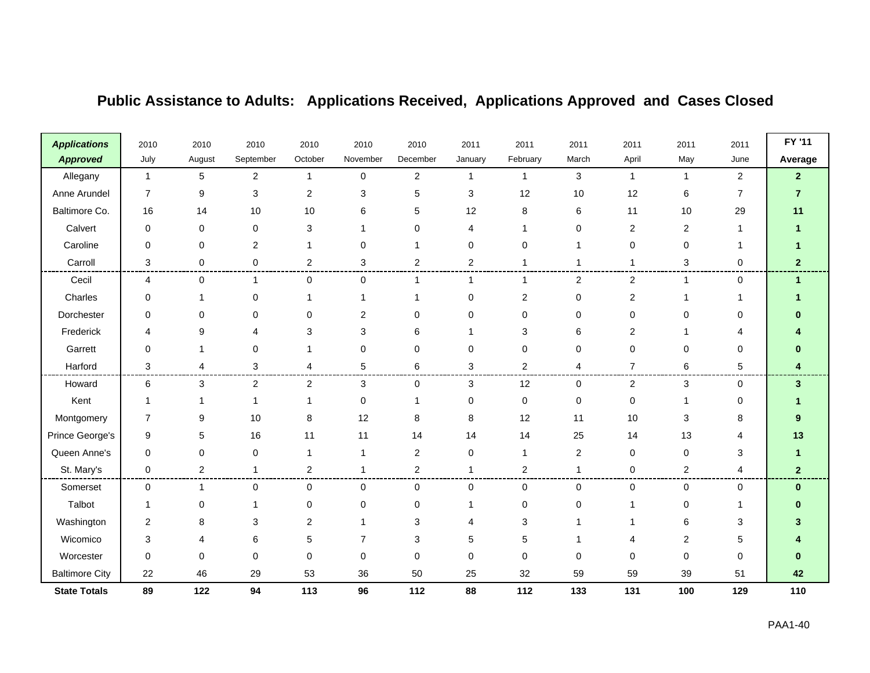| <b>Applications</b>   | 2010                    | 2010                    | 2010         | 2010                     | 2010        | 2010           | 2011         | 2011     | 2011             | 2011             | 2011           | 2011           | FY '11               |
|-----------------------|-------------------------|-------------------------|--------------|--------------------------|-------------|----------------|--------------|----------|------------------|------------------|----------------|----------------|----------------------|
| <b>Approved</b>       | July                    | August                  | September    | October                  | November    | December       | January      | February | March            | April            | May            | June           | Average              |
| Allegany              | $\mathbf{1}$            | 5                       | $\mathbf{2}$ | $\overline{1}$           | $\mathbf 0$ | $\overline{a}$ | $\mathbf{1}$ | -1       | 3                | $\mathbf{1}$     | $\mathbf{1}$   | $\overline{2}$ | $\mathbf{2}$         |
| Anne Arundel          | $\overline{7}$          | 9                       | 3            | $\overline{2}$           | 3           | 5              | 3            | 12       | 10               | 12               | 6              | $\overline{7}$ | $\overline{7}$       |
| Baltimore Co.         | 16                      | 14                      | 10           | 10                       | 6           | 5              | 12           | 8        | 6                | 11               | $10$           | 29             | 11                   |
| Calvert               | $\mathbf 0$             | $\Omega$                | $\mathbf 0$  | 3                        |             | $\Omega$       | 4            |          | 0                | 2                | $\overline{2}$ |                |                      |
| Caroline              | 0                       | $\mathbf 0$             | 2            | 1                        | 0           |                | 0            | 0        | 1                | 0                | $\mathbf 0$    |                |                      |
| Carroll               | 3                       | 0                       | 0            | $\overline{2}$           | 3           | 2              | 2            |          | 1                | 1                | 3              | 0              | $\mathbf{2}$         |
| Cecil                 | 4                       | 0                       | 1            | 0                        | 0           |                | 1            |          | $\boldsymbol{2}$ | $\boldsymbol{2}$ | $\mathbf{1}$   | 0              | $\blacktriangleleft$ |
| Charles               | 0                       | -1                      | 0            | -1                       |             |                | 0            | 2        | 0                | 2                | $\mathbf 1$    | 1              |                      |
| Dorchester            | $\Omega$                | $\Omega$                | $\Omega$     | $\Omega$                 | 2           | $\Omega$       | 0            | 0        | 0                | $\Omega$         | $\mathbf 0$    | 0              |                      |
| Frederick             | 4                       | 9                       |              | 3                        | 3           | 6              |              | 3        | 6                | 2                | 1              | 4              |                      |
| Garrett               | 0                       | -1                      | 0            | 1                        | 0           | 0              | $\mathbf 0$  | 0        | 0                | 0                | $\mathbf 0$    | 0              |                      |
| Harford               | 3                       | $\overline{\mathbf{4}}$ | 3            | 4                        | 5           | 6              | 3            | 2        | 4                | $\overline{7}$   | 6              | 5              |                      |
| Howard                | 6                       | 3                       | 2            | 2                        | 3           | $\Omega$       | 3            | 12       | 0                | 2                | 3              | 0              | 3                    |
| Kent                  | 1                       |                         | -1           | $\overline{\phantom{a}}$ | 0           |                | 0            | 0        | 0                | $\mathbf 0$      | 1              | 0              |                      |
| Montgomery            | 7                       | 9                       | 10           | 8                        | 12          | 8              | $\,8\,$      | 12       | 11               | 10               | 3              | 8              | 9                    |
| Prince George's       | 9                       | 5                       | 16           | 11                       | 11          | 14             | 14           | 14       | 25               | 14               | 13             | 4              | 13                   |
| Queen Anne's          | 0                       | $\mathbf 0$             | $\pmb{0}$    | 1                        | 1           | $\overline{2}$ | 0            | 1        | 2                | 0                | $\pmb{0}$      | 3              |                      |
| St. Mary's            | $\mathbf 0$             | $\overline{2}$          | $\mathbf{1}$ | $\overline{2}$           | 1           | $\overline{2}$ | -1           | 2        | $\mathbf{1}$     | 0                | $\overline{2}$ | 4              | $\mathbf{2}$         |
| Somerset              | $\mathbf 0$             | $\mathbf{1}$            | 0            | $\mathbf 0$              | 0           | $\mathbf 0$    | 0            | 0        | 0                | 0                | 0              | 0              | $\mathbf{0}$         |
| Talbot                |                         | $\mathbf 0$             |              | 0                        | 0           | $\Omega$       |              | 0        | 0                | 1                | $\mathbf 0$    |                |                      |
| Washington            | $\overline{\mathbf{c}}$ | 8                       | 3            | $\overline{c}$           |             | 3              | 4            | 3        | 1                |                  | $\,6$          | 3              |                      |
| Wicomico              | 3                       | Δ                       | 6            | 5                        | 7           | 3              | 5            | 5        | 1                | 4                | $\overline{c}$ | 5              |                      |
| Worcester             | 0                       | $\Omega$                | $\mathbf 0$  | $\Omega$                 | 0           | $\Omega$       | 0            | 0        | 0                | 0                | $\mathbf 0$    | 0              | o                    |
| <b>Baltimore City</b> | 22                      | 46                      | 29           | 53                       | 36          | 50             | 25           | 32       | 59               | 59               | 39             | 51             | 42                   |
| <b>State Totals</b>   | 89                      | 122                     | 94           | 113                      | 96          | 112            | 88           | 112      | 133              | 131              | 100            | 129            | 110                  |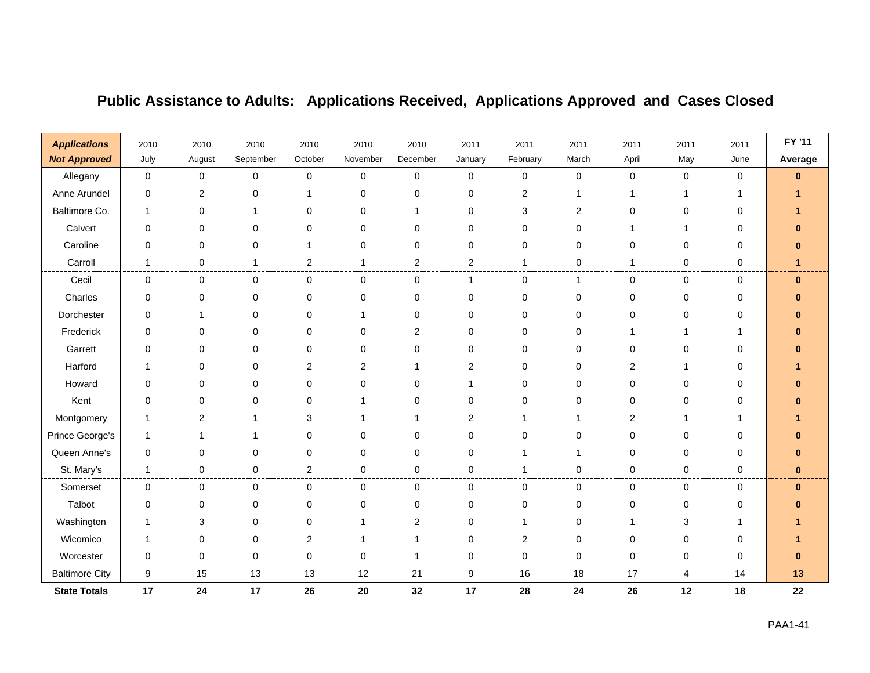| <b>Applications</b>   | 2010         | 2010           | 2010        | 2010           | 2010           | 2010         | 2011           | 2011     | 2011                    | 2011           | 2011        | 2011        | FY '11   |
|-----------------------|--------------|----------------|-------------|----------------|----------------|--------------|----------------|----------|-------------------------|----------------|-------------|-------------|----------|
| <b>Not Approved</b>   | July         | August         | September   | October        | November       | December     | January        | February | March                   | April          | May         | June        | Average  |
| Allegany              | $\pmb{0}$    | 0              | $\mathsf 0$ | $\mathbf 0$    | $\mathbf 0$    | $\mathbf 0$  | $\mathbf 0$    | 0        | 0                       | $\pmb{0}$      | $\mathbf 0$ | $\mathbf 0$ | $\bf{0}$ |
| Anne Arundel          | 0            | $\overline{2}$ | $\mathbf 0$ |                | 0              | $\Omega$     | 0              | 2        | 1                       |                | 1           |             |          |
| Baltimore Co.         | 1            | 0              |             | 0              | 0              |              | 0              | 3        | $\overline{\mathbf{c}}$ | 0              | 0           | 0           |          |
| Calvert               | 0            | $\Omega$       | $\Omega$    | 0              | $\Omega$       | <sup>0</sup> | 0              | 0        | 0                       |                | 1           | 0           |          |
| Caroline              | 0            | 0              | 0           |                | 0              | 0            | 0              | 0        | 0                       | 0              | $\mathbf 0$ | 0           |          |
| Carroll               | 1            | 0              | -1          | $\overline{2}$ | 1              | 2            | $\overline{2}$ | 1        | 0                       | 1              | 0           | 0           |          |
| Cecil                 | 0            | $\mathbf 0$    | $\mathbf 0$ | 0              | 0              | $\mathbf 0$  | 1              | 0        | $\mathbf{1}$            | 0              | 0           | $\mathbf 0$ | $\bf{0}$ |
| Charles               | 0            | 0              | $\mathbf 0$ | 0              | 0              | 0            | 0              | 0        | 0                       | 0              | $\mathbf 0$ | 0           |          |
| Dorchester            | $\Omega$     | 1              | $\Omega$    | $\Omega$       | 1              | $\Omega$     | $\mathbf 0$    | 0        | $\mathbf 0$             | $\Omega$       | $\mathbf 0$ | 0           |          |
| Frederick             | 0            | 0              | 0           | 0              | 0              | 2            | 0              | 0        | 0                       |                |             |             |          |
| Garrett               | 0            | $\Omega$       | $\mathbf 0$ | 0              | 0              | $\Omega$     | $\mathbf 0$    | 0        | 0                       | $\Omega$       | $\mathbf 0$ | $\Omega$    |          |
| Harford               | $\mathbf{1}$ | $\mathbf 0$    | $\mathbf 0$ | $\overline{2}$ | $\overline{2}$ |              | $\overline{2}$ | 0        | 0                       | 2              | $\mathbf 1$ | 0           |          |
| Howard                | 0            | 0              | $\mathbf 0$ | 0              | 0              | $\Omega$     | 1              | 0        | 0                       | 0              | $\mathbf 0$ | $\mathbf 0$ | $\bf{0}$ |
| Kent                  | 0            | $\mathbf 0$    | 0           | $\mathbf 0$    | 1              | $\Omega$     | $\mathbf 0$    | 0        | 0                       | 0              | $\mathbf 0$ | 0           |          |
| Montgomery            | 1            | $\overline{2}$ |             | 3              |                |              | $\overline{2}$ |          | 1                       | $\overline{2}$ | 1           |             |          |
| Prince George's       | $\mathbf{1}$ | 1              |             | 0              | $\Omega$       | $\Omega$     | 0              | 0        | $\mathbf 0$             | $\Omega$       | $\mathbf 0$ | $\Omega$    |          |
| Queen Anne's          | 0            | $\Omega$       | 0           | 0              | 0              | 0            | 0              |          | 1                       | 0              | 0           | 0           |          |
| St. Mary's            | $\mathbf 1$  | $\mathbf 0$    | $\mathbf 0$ | $\overline{2}$ | 0              | $\Omega$     | 0              |          | 0                       | $\mathbf 0$    | $\pmb{0}$   | 0           | $\bf{0}$ |
| Somerset              | 0            | $\mathbf 0$    | $\mathbf 0$ | 0              | 0              | $\mathbf 0$  | 0              | 0        | 0                       | 0              | 0           | $\mathbf 0$ | $\bf{0}$ |
| Talbot                | 0            | 0              | 0           | $\mathbf 0$    | 0              | 0            | 0              | 0        | 0                       | 0              | $\mathbf 0$ | 0           |          |
| Washington            | 1            | 3              | $\Omega$    | 0              | 1              | 2            | 0              |          | $\mathbf 0$             |                | 3           |             |          |
| Wicomico              | -1           | $\Omega$       | $\Omega$    | 2              |                |              | 0              | 2        | 0                       | 0              | 0           | 0           |          |
| Worcester             | 0            | $\Omega$       | $\mathbf 0$ | 0              | $\mathbf 0$    |              | 0              | 0        | 0                       | 0              | $\mathbf 0$ | 0           |          |
| <b>Baltimore City</b> | 9            | 15             | 13          | 13             | 12             | 21           | 9              | 16       | 18                      | 17             | 4           | 14          | 13       |
| <b>State Totals</b>   | 17           | 24             | 17          | 26             | 20             | 32           | 17             | 28       | 24                      | 26             | 12          | 18          | 22       |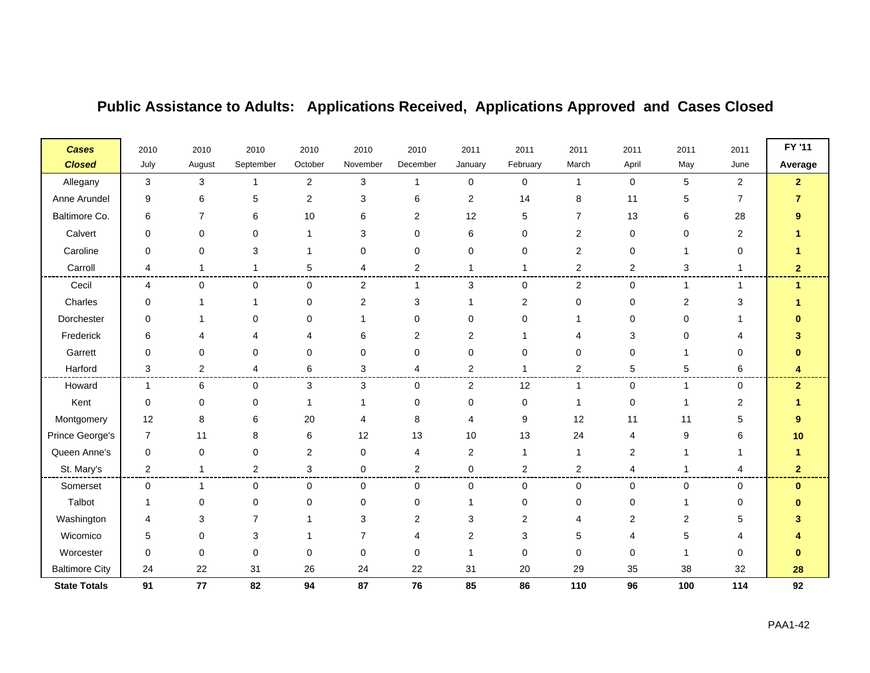| <b>Cases</b>          | 2010                      | 2010           | 2010           | 2010           | 2010           | 2010           | 2011             | 2011     | 2011           | 2011           | 2011           | 2011           | FY '11               |
|-----------------------|---------------------------|----------------|----------------|----------------|----------------|----------------|------------------|----------|----------------|----------------|----------------|----------------|----------------------|
| <b>Closed</b>         | July                      | August         | September      | October        | November       | December       | January          | February | March          | April          | May            | June           | Average              |
| Allegany              | $\ensuremath{\mathsf{3}}$ | 3              | -1             | $\overline{2}$ | 3              | 1              | $\mathbf 0$      | 0        | $\mathbf 1$    | 0              | $\sqrt{5}$     | $\overline{c}$ | $\overline{2}$       |
| Anne Arundel          | 9                         | 6              | 5              | $\overline{2}$ | 3              | 6              | $\boldsymbol{2}$ | 14       | 8              | 11             | 5              | $\overline{7}$ | 7                    |
| Baltimore Co.         | 6                         | $\overline{7}$ | 6              | 10             | 6              | 2              | 12               | 5        | $\overline{7}$ | 13             | 6              | 28             |                      |
| Calvert               | 0                         | 0              | 0              | $\mathbf 1$    | 3              | 0              | 6                | 0        | $\overline{2}$ | 0              | $\mathbf 0$    | 2              |                      |
| Caroline              | 0                         | 0              | 3              | -1             | 0              | 0              | 0                | 0        | $\overline{c}$ | 0              |                | 0              |                      |
| Carroll               | 4                         | 1              | 1              | 5              | 4              | $\overline{2}$ |                  |          | $\overline{2}$ | $\overline{2}$ | 3              | 1              | 2                    |
| Cecil                 | 4                         | 0              | $\mathbf 0$    | $\mathbf 0$    | $\overline{2}$ | 1              | 3                | 0        | $\overline{c}$ | 0              | $\mathbf{1}$   | $\mathbf{1}$   | $\blacktriangleleft$ |
| Charles               | 0                         |                |                | 0              | $\overline{2}$ | 3              |                  | 2        | 0              | 0              | $\overline{2}$ | 3              |                      |
| Dorchester            | 0                         |                | $\Omega$       | $\Omega$       |                | $\Omega$       | $\Omega$         | 0        | 1              | $\Omega$       | 0              |                |                      |
| Frederick             | 6                         | 4              |                |                | 6              | 2              | 2                |          | 4              | 3              | 0              | 4              |                      |
| Garrett               | 0                         | 0              | 0              | $\mathbf 0$    | 0              | 0              | 0                | 0        | 0              | 0              |                | 0              | ŋ                    |
| Harford               | 3                         | $\overline{c}$ | 4              | 6              | 3              | 4              | $\overline{2}$   |          | $\overline{c}$ | 5              | 5              | 6              | 4                    |
| Howard                | $\mathbf 1$               | 6              | $\mathbf 0$    | 3              | 3              | $\Omega$       | $\overline{2}$   | 12       | 1              | $\mathbf 0$    | 1              | 0              | $\overline{2}$       |
| Kent                  | 0                         | 0              | 0              | -1             |                | $\Omega$       | 0                | 0        | 1              | 0              |                | 2              |                      |
| Montgomery            | 12                        | 8              | 6              | 20             | 4              | 8              | 4                | 9        | 12             | 11             | 11             | 5              | 9                    |
| Prince George's       | $\overline{7}$            | 11             | 8              | 6              | 12             | 13             | 10               | 13       | 24             | 4              | 9              | 6              | 10                   |
| Queen Anne's          | 0                         | 0              | $\mathbf 0$    | $\overline{2}$ | 0              | 4              | $\overline{2}$   | 1        | $\mathbf{1}$   | $\overline{c}$ |                | 1              |                      |
| St. Mary's            | $\overline{2}$            | 1              | $\overline{2}$ | 3              | 0              | $\overline{2}$ | $\mathbf 0$      | 2        | $\overline{c}$ | 4              |                | 4              | 2                    |
| Somerset              | 0                         | 1              | $\mathbf 0$    | $\mathbf 0$    | 0              | 0              | $\mathbf 0$      | 0        | 0              | $\mathbf 0$    | 0              | 0              | $\bf{0}$             |
| Talbot                |                           | 0              | 0              | 0              | 0              | 0              |                  | 0        | 0              | 0              | $\mathbf 1$    | 0              | ŋ                    |
| Washington            | 4                         | 3              | 7              |                | 3              | 2              | 3                | 2        | 4              | 2              | $\overline{2}$ | 5              |                      |
| Wicomico              | 5                         | 0              | 3              |                | 7              | 4              | $\mathbf{2}$     | 3        | 5              |                | 5              | 4              |                      |
| Worcester             | 0                         | 0              | $\mathbf 0$    | $\Omega$       | 0              | 0              |                  | 0        | 0              | 0              |                | 0              | 0                    |
| <b>Baltimore City</b> | 24                        | 22             | 31             | 26             | 24             | 22             | 31               | 20       | 29             | 35             | 38             | 32             | 28                   |
| <b>State Totals</b>   | 91                        | 77             | 82             | 94             | 87             | 76             | 85               | 86       | 110            | 96             | 100            | 114            | 92                   |

and the company

 $\blacksquare$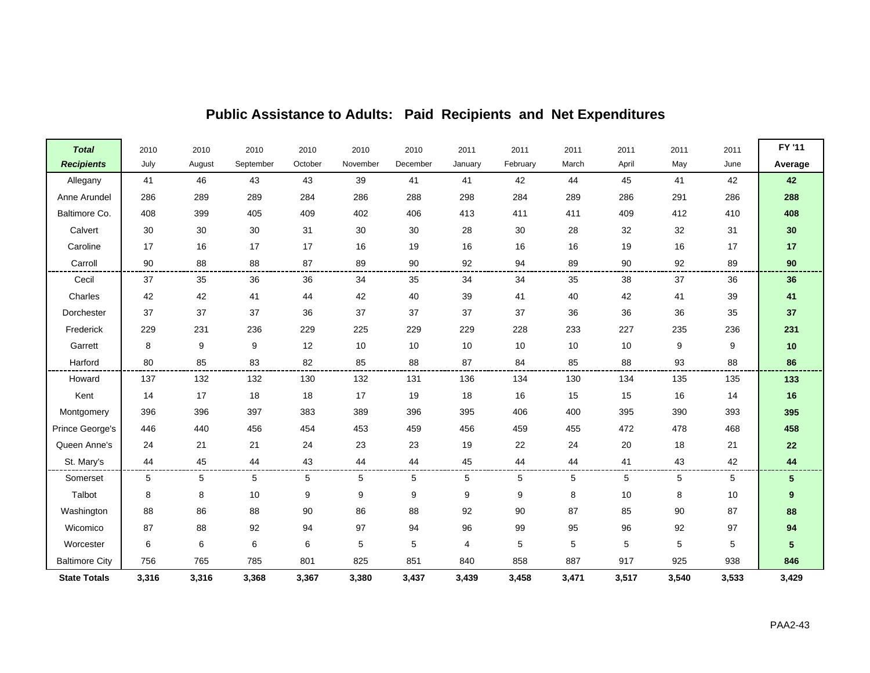| <b>Total</b>          | 2010  | 2010   | 2010      | 2010    | 2010     | 2010     | 2011    | 2011     | 2011  | 2011  | 2011  | 2011  | FY '11           |
|-----------------------|-------|--------|-----------|---------|----------|----------|---------|----------|-------|-------|-------|-------|------------------|
| <b>Recipients</b>     | July  | August | September | October | November | December | January | February | March | April | May   | June  | Average          |
| Allegany              | 41    | 46     | 43        | 43      | 39       | 41       | 41      | 42       | 44    | 45    | 41    | 42    | 42               |
| Anne Arundel          | 286   | 289    | 289       | 284     | 286      | 288      | 298     | 284      | 289   | 286   | 291   | 286   | 288              |
| Baltimore Co.         | 408   | 399    | 405       | 409     | 402      | 406      | 413     | 411      | 411   | 409   | 412   | 410   | 408              |
| Calvert               | 30    | 30     | 30        | 31      | $30\,$   | 30       | 28      | $30\,$   | 28    | 32    | 32    | 31    | 30               |
| Caroline              | 17    | 16     | 17        | 17      | 16       | 19       | 16      | 16       | 16    | 19    | 16    | 17    | 17               |
| Carroll               | 90    | 88     | 88        | 87      | 89       | 90       | 92      | 94       | 89    | 90    | 92    | 89    | 90               |
| Cecil                 | 37    | 35     | 36        | 36      | 34       | 35       | 34      | 34       | 35    | 38    | 37    | 36    | 36               |
| Charles               | 42    | 42     | 41        | 44      | 42       | 40       | 39      | 41       | 40    | 42    | 41    | 39    | 41               |
| Dorchester            | 37    | 37     | 37        | 36      | 37       | 37       | 37      | 37       | 36    | 36    | 36    | 35    | 37               |
| Frederick             | 229   | 231    | 236       | 229     | 225      | 229      | 229     | 228      | 233   | 227   | 235   | 236   | 231              |
| Garrett               | 8     | 9      | 9         | 12      | 10       | 10       | 10      | 10       | 10    | 10    | 9     | 9     | $10$             |
| Harford               | 80    | 85     | 83        | 82      | 85       | 88       | 87      | 84       | 85    | 88    | 93    | 88    | 86               |
| Howard                | 137   | 132    | 132       | 130     | 132      | 131      | 136     | 134      | 130   | 134   | 135   | 135   | 133              |
| Kent                  | 14    | 17     | 18        | 18      | 17       | 19       | 18      | 16       | 15    | 15    | 16    | 14    | 16               |
| Montgomery            | 396   | 396    | 397       | 383     | 389      | 396      | 395     | 406      | 400   | 395   | 390   | 393   | 395              |
| Prince George's       | 446   | 440    | 456       | 454     | 453      | 459      | 456     | 459      | 455   | 472   | 478   | 468   | 458              |
| Queen Anne's          | 24    | 21     | 21        | 24      | 23       | 23       | 19      | 22       | 24    | 20    | 18    | 21    | ${\bf 22}$       |
| St. Mary's            | 44    | 45     | 44        | 43      | 44       | 44       | 45      | 44       | 44    | 41    | 43    | 42    | 44               |
| Somerset              | 5     | 5      | 5         | 5       | 5        | 5        | 5       | 5        | 5     | 5     | 5     | 5     | 5                |
| Talbot                | 8     | 8      | 10        | 9       | 9        | 9        | 9       | 9        | 8     | 10    | 8     | 10    | $\boldsymbol{9}$ |
| Washington            | 88    | 86     | 88        | 90      | 86       | 88       | 92      | 90       | 87    | 85    | 90    | 87    | 88               |
| Wicomico              | 87    | 88     | 92        | 94      | 97       | 94       | 96      | 99       | 95    | 96    | 92    | 97    | 94               |
| Worcester             | 6     | 6      | 6         | 6       | 5        | 5        | 4       | 5        | 5     | 5     | 5     | 5     | 5                |
| <b>Baltimore City</b> | 756   | 765    | 785       | 801     | 825      | 851      | 840     | 858      | 887   | 917   | 925   | 938   | 846              |
| <b>State Totals</b>   | 3,316 | 3,316  | 3,368     | 3,367   | 3,380    | 3,437    | 3,439   | 3,458    | 3,471 | 3,517 | 3,540 | 3,533 | 3,429            |

### **Public Assistance to Adults: Paid Recipients and Net Expenditures**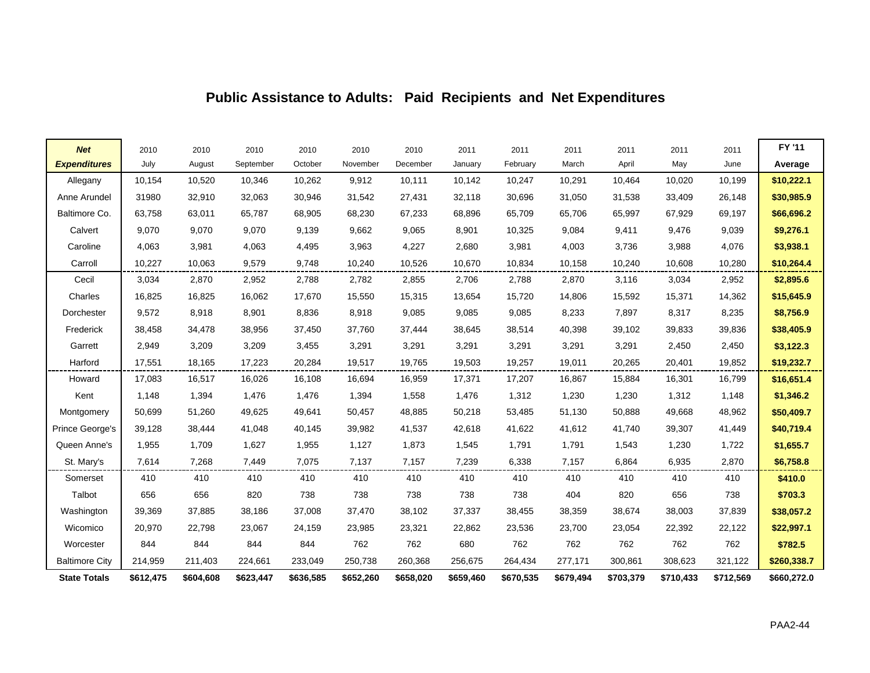### **Public Assistance to Adults: Paid Recipients and Net Expenditures**

| <b>Net</b>            | 2010      | 2010      | 2010      | 2010      | 2010      | 2010      | 2011      | 2011      | 2011      | 2011      | 2011      | 2011      | FY '11      |
|-----------------------|-----------|-----------|-----------|-----------|-----------|-----------|-----------|-----------|-----------|-----------|-----------|-----------|-------------|
| <b>Expenditures</b>   | July      | August    | September | October   | November  | December  | January   | February  | March     | April     | May       | June      | Average     |
| Allegany              | 10,154    | 10,520    | 10,346    | 10,262    | 9,912     | 10,111    | 10,142    | 10,247    | 10,291    | 10,464    | 10,020    | 10,199    | \$10,222.1  |
| Anne Arundel          | 31980     | 32,910    | 32,063    | 30,946    | 31,542    | 27,431    | 32,118    | 30,696    | 31,050    | 31,538    | 33,409    | 26,148    | \$30,985.9  |
| Baltimore Co.         | 63,758    | 63,011    | 65,787    | 68,905    | 68,230    | 67,233    | 68,896    | 65,709    | 65,706    | 65,997    | 67,929    | 69,197    | \$66,696.2  |
| Calvert               | 9,070     | 9,070     | 9,070     | 9,139     | 9,662     | 9,065     | 8,901     | 10,325    | 9,084     | 9,411     | 9,476     | 9,039     | \$9,276.1   |
| Caroline              | 4,063     | 3,981     | 4,063     | 4,495     | 3,963     | 4,227     | 2,680     | 3,981     | 4,003     | 3,736     | 3,988     | 4,076     | \$3,938.1   |
| Carroll               | 10,227    | 10,063    | 9,579     | 9,748     | 10,240    | 10,526    | 10,670    | 10,834    | 10,158    | 10,240    | 10,608    | 10,280    | \$10,264.4  |
| Cecil                 | 3,034     | 2,870     | 2,952     | 2,788     | 2,782     | 2,855     | 2,706     | 2,788     | 2,870     | 3,116     | 3,034     | 2,952     | \$2,895.6   |
| Charles               | 16,825    | 16,825    | 16,062    | 17,670    | 15,550    | 15,315    | 13,654    | 15,720    | 14,806    | 15,592    | 15,371    | 14,362    | \$15,645.9  |
| Dorchester            | 9,572     | 8,918     | 8,901     | 8,836     | 8,918     | 9,085     | 9,085     | 9,085     | 8,233     | 7,897     | 8,317     | 8,235     | \$8,756.9   |
| Frederick             | 38,458    | 34,478    | 38,956    | 37,450    | 37,760    | 37,444    | 38,645    | 38,514    | 40,398    | 39,102    | 39,833    | 39,836    | \$38,405.9  |
| Garrett               | 2,949     | 3,209     | 3,209     | 3,455     | 3,291     | 3,291     | 3,291     | 3,291     | 3,291     | 3,291     | 2,450     | 2,450     | \$3,122.3   |
| Harford               | 17,551    | 18,165    | 17,223    | 20,284    | 19,517    | 19,765    | 19,503    | 19,257    | 19,011    | 20,265    | 20,401    | 19,852    | \$19,232.7  |
| Howard                | 17,083    | 16,517    | 16,026    | 16,108    | 16,694    | 16,959    | 17,371    | 17,207    | 16,867    | 15,884    | 16,301    | 16,799    | \$16,651.4  |
| Kent                  | 1,148     | 1,394     | 1,476     | 1,476     | 1,394     | 1,558     | 1,476     | 1,312     | 1,230     | 1,230     | 1,312     | 1,148     | \$1,346.2   |
| Montgomery            | 50,699    | 51,260    | 49,625    | 49,641    | 50,457    | 48,885    | 50,218    | 53,485    | 51,130    | 50,888    | 49,668    | 48,962    | \$50,409.7  |
| Prince George's       | 39,128    | 38,444    | 41,048    | 40,145    | 39,982    | 41,537    | 42,618    | 41,622    | 41,612    | 41,740    | 39,307    | 41,449    | \$40,719.4  |
| Queen Anne's          | 1,955     | 1,709     | 1,627     | 1,955     | 1,127     | 1,873     | 1,545     | 1,791     | 1,791     | 1,543     | 1,230     | 1,722     | \$1,655.7   |
| St. Mary's            | 7,614     | 7,268     | 7,449     | 7,075     | 7,137     | 7,157     | 7,239     | 6,338     | 7,157     | 6,864     | 6,935     | 2,870     | \$6,758.8   |
| Somerset              | 410       | 410       | 410       | 410       | 410       | 410       | 410       | 410       | 410       | 410       | 410       | 410       | \$410.0     |
| Talbot                | 656       | 656       | 820       | 738       | 738       | 738       | 738       | 738       | 404       | 820       | 656       | 738       | \$703.3     |
| Washington            | 39,369    | 37,885    | 38,186    | 37,008    | 37,470    | 38,102    | 37,337    | 38,455    | 38,359    | 38,674    | 38,003    | 37,839    | \$38,057.2  |
| Wicomico              | 20,970    | 22,798    | 23,067    | 24,159    | 23,985    | 23,321    | 22,862    | 23,536    | 23,700    | 23,054    | 22,392    | 22,122    | \$22,997.1  |
| Worcester             | 844       | 844       | 844       | 844       | 762       | 762       | 680       | 762       | 762       | 762       | 762       | 762       | \$782.5     |
| <b>Baltimore City</b> | 214,959   | 211,403   | 224,661   | 233,049   | 250,738   | 260,368   | 256,675   | 264,434   | 277,171   | 300,861   | 308,623   | 321,122   | \$260,338.7 |
| <b>State Totals</b>   | \$612,475 | \$604,608 | \$623,447 | \$636,585 | \$652,260 | \$658,020 | \$659,460 | \$670,535 | \$679,494 | \$703,379 | \$710,433 | \$712,569 | \$660,272.0 |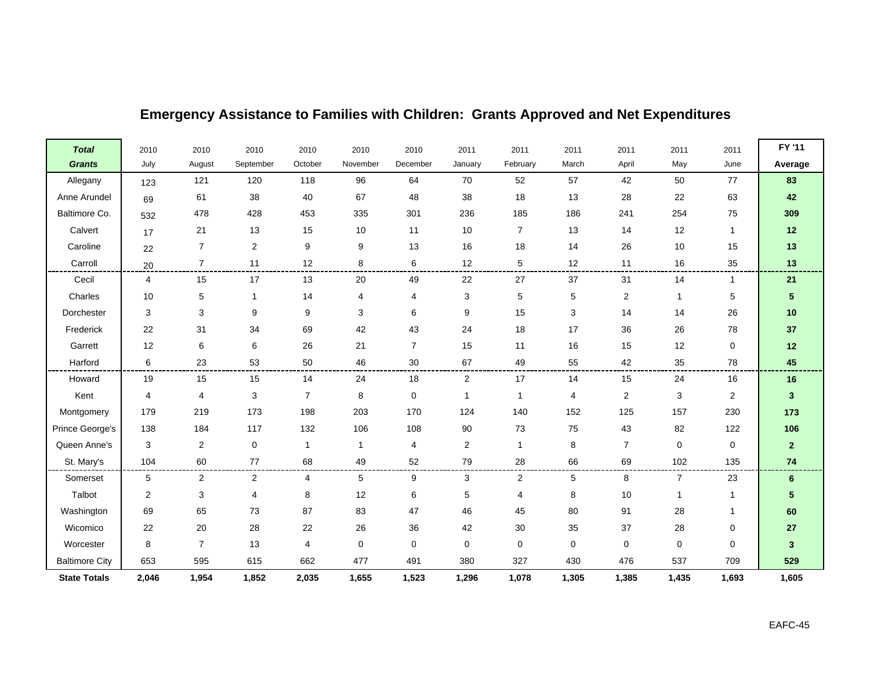| <b>Total</b>          | 2010           | 2010           | 2010                      | 2010           | 2010         | 2010           | 2011                      | 2011           | 2011           | 2011                    | 2011           | 2011           | FY '11          |
|-----------------------|----------------|----------------|---------------------------|----------------|--------------|----------------|---------------------------|----------------|----------------|-------------------------|----------------|----------------|-----------------|
| <b>Grants</b>         | July           | August         | September                 | October        | November     | December       | January                   | February       | March          | April                   | May            | June           | Average         |
| Allegany              | 123            | 121            | 120                       | 118            | 96           | 64             | 70                        | 52             | 57             | 42                      | 50             | 77             | 83              |
| Anne Arundel          | 69             | 61             | 38                        | 40             | 67           | 48             | 38                        | 18             | 13             | 28                      | 22             | 63             | 42              |
| Baltimore Co.         | 532            | 478            | 428                       | 453            | 335          | 301            | 236                       | 185            | 186            | 241                     | 254            | 75             | 309             |
| Calvert               | 17             | 21             | 13                        | 15             | 10           | 11             | 10                        | $\overline{7}$ | 13             | 14                      | 12             | $\mathbf 1$    | $12$            |
| Caroline              | 22             | $\overline{7}$ | $\overline{2}$            | 9              | 9            | 13             | 16                        | 18             | 14             | 26                      | 10             | 15             | $13$            |
| Carroll               | 20             | $\overline{7}$ | 11                        | 12             | 8            | 6              | 12                        | 5              | 12             | 11                      | 16             | 35             | 13              |
| Cecil                 | 4              | 15             | 17                        | 13             | 20           | 49             | 22                        | 27             | 37             | 31                      | 14             |                | 21              |
| Charles               | 10             | 5              | $\mathbf{1}$              | 14             | 4            | 4              | $\ensuremath{\mathsf{3}}$ | $\sqrt{5}$     | $\,$ 5 $\,$    | $\boldsymbol{2}$        | -1             | 5              | 5               |
| Dorchester            | $\mathbf{3}$   | 3              | 9                         | 9              | 3            | 6              | 9                         | 15             | $\mathbf{3}$   | 14                      | 14             | 26             | $10$            |
| Frederick             | 22             | 31             | 34                        | 69             | 42           | 43             | 24                        | 18             | 17             | 36                      | 26             | 78             | 37              |
| Garrett               | 12             | 6              | 6                         | 26             | 21           | $\overline{7}$ | 15                        | 11             | 16             | 15                      | 12             | 0              | $12$            |
| Harford               | 6              | 23             | 53                        | 50             | 46           | 30             | 67                        | 49             | 55             | 42                      | 35             | 78             | 45              |
| Howard                | 19             | 15             | 15                        | 14             | 24           | 18             | $\overline{2}$            | 17             | 14             | 15                      | 24             | 16             | 16              |
| Kent                  | 4              | 4              | $\ensuremath{\mathsf{3}}$ | $\overline{7}$ | 8            | $\mathbf 0$    | $\mathbf{1}$              | $\mathbf{1}$   | $\overline{4}$ | $\overline{\mathbf{c}}$ | 3              | $\overline{2}$ | $\mathbf{3}$    |
| Montgomery            | 179            | 219            | 173                       | 198            | 203          | 170            | 124                       | 140            | 152            | 125                     | 157            | 230            | 173             |
| Prince George's       | 138            | 184            | 117                       | 132            | 106          | 108            | 90                        | 73             | 75             | 43                      | 82             | 122            | 106             |
| Queen Anne's          | 3              | $\overline{c}$ | $\pmb{0}$                 | $\mathbf{1}$   | $\mathbf{1}$ | 4              | $\overline{2}$            | $\mathbf{1}$   | 8              | $\overline{7}$          | $\mathbf 0$    | 0              | $\mathbf{2}$    |
| St. Mary's            | 104            | 60             | $77\,$                    | 68             | 49           | 52             | 79                        | 28             | 66             | 69                      | 102            | 135            | 74              |
| Somerset              | 5              | $\overline{2}$ | $\overline{a}$            | 4              | 5            | 9              | 3                         | $\overline{c}$ | 5              | 8                       | $\overline{7}$ | 23             | $6\phantom{1}6$ |
| Talbot                | $\overline{c}$ | 3              | 4                         | 8              | 12           | 6              | $\sqrt{5}$                | $\overline{4}$ | 8              | 10                      |                |                | 5               |
| Washington            | 69             | 65             | 73                        | 87             | 83           | 47             | 46                        | 45             | 80             | 91                      | 28             |                | 60              |
| Wicomico              | 22             | 20             | 28                        | 22             | 26           | 36             | 42                        | 30             | 35             | 37                      | 28             | 0              | ${\bf 27}$      |
| Worcester             | 8              | $\overline{7}$ | 13                        | 4              | $\mathbf 0$  | 0              | $\mathbf 0$               | $\mathbf 0$    | $\mathbf 0$    | $\mathbf 0$             | $\mathbf 0$    | 0              | 3               |
| <b>Baltimore City</b> | 653            | 595            | 615                       | 662            | 477          | 491            | 380                       | 327            | 430            | 476                     | 537            | 709            | 529             |
| <b>State Totals</b>   | 2,046          | 1,954          | 1,852                     | 2,035          | 1,655        | 1,523          | 1,296                     | 1,078          | 1,305          | 1,385                   | 1,435          | 1,693          | 1,605           |

## **Emergency Assistance to Families with Children: Grants Approved and Net Expenditures**

 $\blacksquare$ 

 $\blacksquare$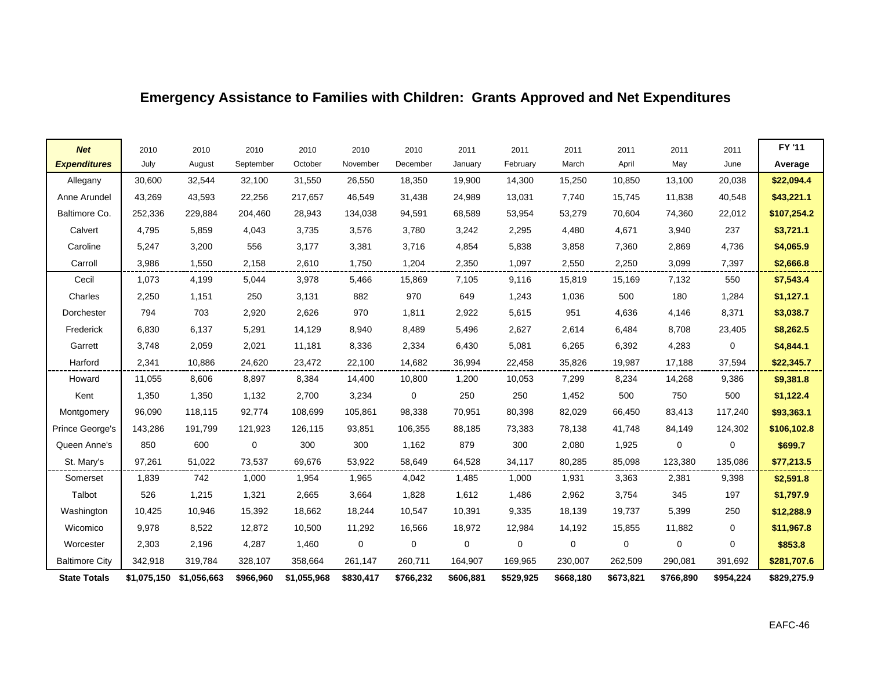## **Emergency Assistance to Families with Children: Grants Approved and Net Expenditures**

| <b>Net</b>            | 2010        | 2010        | 2010      | 2010        | 2010        | 2010      | 2011        | 2011        | 2011        | 2011        | 2011      | 2011      | FY '11      |
|-----------------------|-------------|-------------|-----------|-------------|-------------|-----------|-------------|-------------|-------------|-------------|-----------|-----------|-------------|
| <b>Expenditures</b>   | July        | August      | September | October     | November    | December  | January     | February    | March       | April       | May       | June      | Average     |
| Allegany              | 30,600      | 32,544      | 32,100    | 31,550      | 26,550      | 18,350    | 19,900      | 14,300      | 15,250      | 10,850      | 13,100    | 20,038    | \$22,094.4  |
| Anne Arundel          | 43,269      | 43,593      | 22,256    | 217,657     | 46,549      | 31,438    | 24,989      | 13,031      | 7,740       | 15,745      | 11,838    | 40,548    | \$43,221.1  |
| Baltimore Co.         | 252,336     | 229,884     | 204,460   | 28,943      | 134,038     | 94,591    | 68,589      | 53,954      | 53,279      | 70,604      | 74,360    | 22,012    | \$107,254.2 |
| Calvert               | 4,795       | 5,859       | 4,043     | 3,735       | 3,576       | 3,780     | 3,242       | 2,295       | 4,480       | 4,671       | 3,940     | 237       | \$3,721.1   |
| Caroline              | 5,247       | 3,200       | 556       | 3,177       | 3,381       | 3,716     | 4,854       | 5,838       | 3,858       | 7,360       | 2,869     | 4,736     | \$4,065.9   |
| Carroll               | 3,986       | 1,550       | 2,158     | 2,610       | 1,750       | 1,204     | 2,350       | 1,097       | 2,550       | 2,250       | 3,099     | 7,397     | \$2,666.8   |
| Cecil                 | 1,073       | 4,199       | 5,044     | 3,978       | 5,466       | 15,869    | 7,105       | 9,116       | 15,819      | 15,169      | 7,132     | 550       | \$7,543.4   |
| Charles               | 2,250       | 1,151       | 250       | 3,131       | 882         | 970       | 649         | 1,243       | 1,036       | 500         | 180       | 1,284     | \$1,127.1   |
| Dorchester            | 794         | 703         | 2,920     | 2,626       | 970         | 1,811     | 2,922       | 5,615       | 951         | 4,636       | 4,146     | 8,371     | \$3,038.7   |
| Frederick             | 6,830       | 6,137       | 5,291     | 14,129      | 8,940       | 8,489     | 5,496       | 2,627       | 2,614       | 6,484       | 8,708     | 23,405    | \$8,262.5   |
| Garrett               | 3,748       | 2,059       | 2,021     | 11,181      | 8,336       | 2,334     | 6,430       | 5,081       | 6,265       | 6,392       | 4,283     | 0         | \$4,844.1   |
| Harford               | 2,341       | 10.886      | 24,620    | 23,472      | 22,100      | 14,682    | 36,994      | 22,458      | 35,826      | 19,987      | 17,188    | 37,594    | \$22,345.7  |
| Howard                | 11,055      | 8,606       | 8,897     | 8,384       | 14,400      | 10,800    | 1,200       | 10,053      | 7,299       | 8,234       | 14,268    | 9,386     | \$9,381.8   |
| Kent                  | 1,350       | 1,350       | 1,132     | 2,700       | 3,234       | 0         | 250         | 250         | 1,452       | 500         | 750       | 500       | \$1,122.4   |
| Montgomery            | 96,090      | 118,115     | 92,774    | 108,699     | 105,861     | 98,338    | 70,951      | 80,398      | 82,029      | 66,450      | 83,413    | 117,240   | \$93,363.1  |
| Prince George's       | 143,286     | 191,799     | 121,923   | 126,115     | 93,851      | 106,355   | 88,185      | 73,383      | 78,138      | 41,748      | 84,149    | 124,302   | \$106,102.8 |
| Queen Anne's          | 850         | 600         | 0         | 300         | 300         | 1,162     | 879         | 300         | 2,080       | 1,925       | 0         | 0         | \$699.7     |
| St. Mary's            | 97,261      | 51,022      | 73,537    | 69,676      | 53,922      | 58,649    | 64,528      | 34,117      | 80,285      | 85,098      | 123,380   | 135,086   | \$77,213.5  |
| Somerset              | 1,839       | 742         | 1,000     | 1,954       | 1,965       | 4,042     | 1,485       | 1,000       | 1,931       | 3,363       | 2,381     | 9,398     | \$2,591.8   |
| Talbot                | 526         | 1,215       | 1,321     | 2,665       | 3,664       | 1,828     | 1,612       | 1,486       | 2,962       | 3,754       | 345       | 197       | \$1,797.9   |
| Washington            | 10,425      | 10,946      | 15,392    | 18,662      | 18,244      | 10,547    | 10,391      | 9,335       | 18,139      | 19,737      | 5,399     | 250       | \$12,288.9  |
| Wicomico              | 9,978       | 8,522       | 12,872    | 10,500      | 11,292      | 16,566    | 18,972      | 12,984      | 14,192      | 15,855      | 11,882    | 0         | \$11,967.8  |
| Worcester             | 2,303       | 2,196       | 4,287     | 1,460       | $\mathbf 0$ | 0         | $\mathbf 0$ | $\mathbf 0$ | $\mathbf 0$ | $\mathbf 0$ | 0         | $\Omega$  | \$853.8     |
| <b>Baltimore City</b> | 342,918     | 319,784     | 328,107   | 358,664     | 261,147     | 260,711   | 164,907     | 169,965     | 230,007     | 262,509     | 290,081   | 391,692   | \$281,707.6 |
| <b>State Totals</b>   | \$1,075,150 | \$1,056,663 | \$966,960 | \$1,055,968 | \$830,417   | \$766,232 | \$606,881   | \$529,925   | \$668,180   | \$673,821   | \$766,890 | \$954,224 | \$829,275.9 |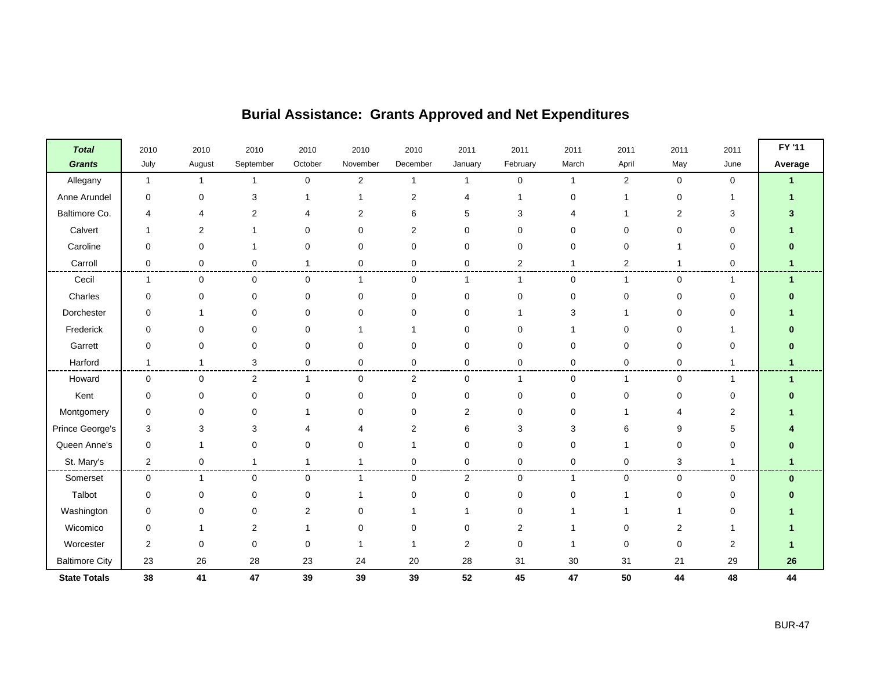| <b>Total</b>          | 2010           | 2010           | 2010           | 2010         | 2010             | 2010             | 2011           | 2011           | 2011         | 2011           | 2011        | 2011           | FY '11               |
|-----------------------|----------------|----------------|----------------|--------------|------------------|------------------|----------------|----------------|--------------|----------------|-------------|----------------|----------------------|
| <b>Grants</b>         | July           | August         | September      | October      | November         | December         | January        | February       | March        | April          | May         | June           | Average              |
| Allegany              | $\mathbf{1}$   | $\mathbf{1}$   | 1              | $\mathsf 0$  | $\boldsymbol{2}$ | $\mathbf{1}$     | $\mathbf{1}$   | $\mathbf 0$    | $\mathbf{1}$ | $\overline{2}$ | $\mathbf 0$ | 0              | $\blacktriangleleft$ |
| Anne Arundel          | $\mathbf 0$    | 0              | 3              |              |                  | $\boldsymbol{2}$ |                |                | 0            |                | $\mathbf 0$ |                |                      |
| Baltimore Co.         |                | $\overline{4}$ | 2              | 4            | 2                | 6                | 5              | 3              | 4            |                | 2           | 3              |                      |
| Calvert               |                | 2              |                | 0            | 0                | $\overline{2}$   | $\Omega$       | 0              | 0            | $\Omega$       | 0           | 0              |                      |
| Caroline              | 0              | 0              |                | 0            | 0                | 0                | 0              | 0              | 0            | $\Omega$       |             | 0              |                      |
| Carroll               | 0              | 0              | 0              | $\mathbf{1}$ | 0                | $\mathbf 0$      | $\mathbf 0$    | $\overline{2}$ | 1            | 2              | 1           | 0              |                      |
| Cecil                 | 1              | 0              | 0              | 0            | 1                | 0                | -1             | -1             | 0            |                | $\Omega$    |                | $\blacktriangleleft$ |
| Charles               | 0              | 0              | 0              | $\pmb{0}$    | 0                | 0                | $\mathbf 0$    | $\mathbf 0$    | $\mathbf 0$  | $\Omega$       | 0           | 0              |                      |
| Dorchester            | $\mathbf 0$    | 1              | 0              | 0            | 0                | 0                | O              |                | 3            |                | 0           | 0              |                      |
| Frederick             | $\mathbf 0$    | 0              | $\Omega$       | $\mathbf 0$  |                  |                  | $\Omega$       | $\Omega$       |              |                | $\Omega$    |                |                      |
| Garrett               | $\mathbf 0$    | 0              | 0              | $\mathbf 0$  | 0                | $\mathbf 0$      | $\mathbf 0$    | $\mathbf 0$    | 0            | 0              | $\mathbf 0$ | 0              | n                    |
| Harford               | 1              | $\mathbf{1}$   | 3              | 0            | 0                | 0                | 0              | 0              | 0            | 0              | 0           | 1              | $\mathbf{1}$         |
| Howard                | 0              | 0              | $\overline{2}$ | $\mathbf{1}$ | $\mathbf 0$      | $\overline{2}$   | $\mathbf 0$    | $\mathbf 1$    | $\mathbf 0$  | -1             | $\mathbf 0$ | 1              | $\blacktriangleleft$ |
| Kent                  | 0              | 0              | 0              | $\pmb{0}$    | 0                | $\pmb{0}$        | $\mathbf 0$    | $\mathbf 0$    | 0            | $\Omega$       | $\pmb{0}$   | 0              |                      |
| Montgomery            | 0              | 0              |                |              | 0                | $\Omega$         | 2              | $\Omega$       | 0            |                | 4           | $\overline{2}$ |                      |
| Prince George's       | 3              | 3              | З              | 4            |                  | $\overline{2}$   | 6              | 3              | 3            | 6              | 9           | 5              |                      |
| Queen Anne's          | $\mathbf 0$    | 1              | 0              | 0            | 0                | 1                | $\mathbf 0$    | $\mathbf 0$    | 0            |                | 0           | 0              |                      |
| St. Mary's            | $\overline{c}$ | 0              | 1              | 1            |                  | 0                | $\mathbf 0$    | $\mathbf 0$    | 0            | $\Omega$       | 3           |                |                      |
| Somerset              | $\mathbf 0$    | $\mathbf{1}$   | 0              | 0            | $\overline{1}$   | $\mathbf 0$      | $\overline{c}$ | $\mathbf 0$    | 1            | $\mathbf 0$    | 0           | $\mathbf 0$    | $\bf{0}$             |
| Talbot                | $\mathbf 0$    | 0              | 0              | 0            |                  | $\mathbf 0$      | $\mathbf 0$    | $\mathbf 0$    | 0            |                | 0           | 0              |                      |
| Washington            | 0              | 0              | 0              | 2            | 0                | 1                |                | 0              |              |                |             | 0              |                      |
| Wicomico              | 0              | 1              | 2              |              | 0                | $\Omega$         | $\Omega$       | 2              |              |                | 2           |                |                      |
| Worcester             | $\overline{c}$ | 0              | 0              | 0            |                  | -1               | $\overline{2}$ | $\mathbf 0$    | 1            | $\Omega$       | 0           | $\overline{2}$ |                      |
| <b>Baltimore City</b> | 23             | 26             | 28             | 23           | 24               | $20\,$           | 28             | 31             | 30           | 31             | 21          | 29             | 26                   |
| <b>State Totals</b>   | 38             | 41             | 47             | 39           | 39               | 39               | 52             | 45             | 47           | 50             | 44          | 48             | 44                   |

## **Burial Assistance: Grants Approved and Net Expenditures**

 $\blacksquare$ 

 $\blacksquare$